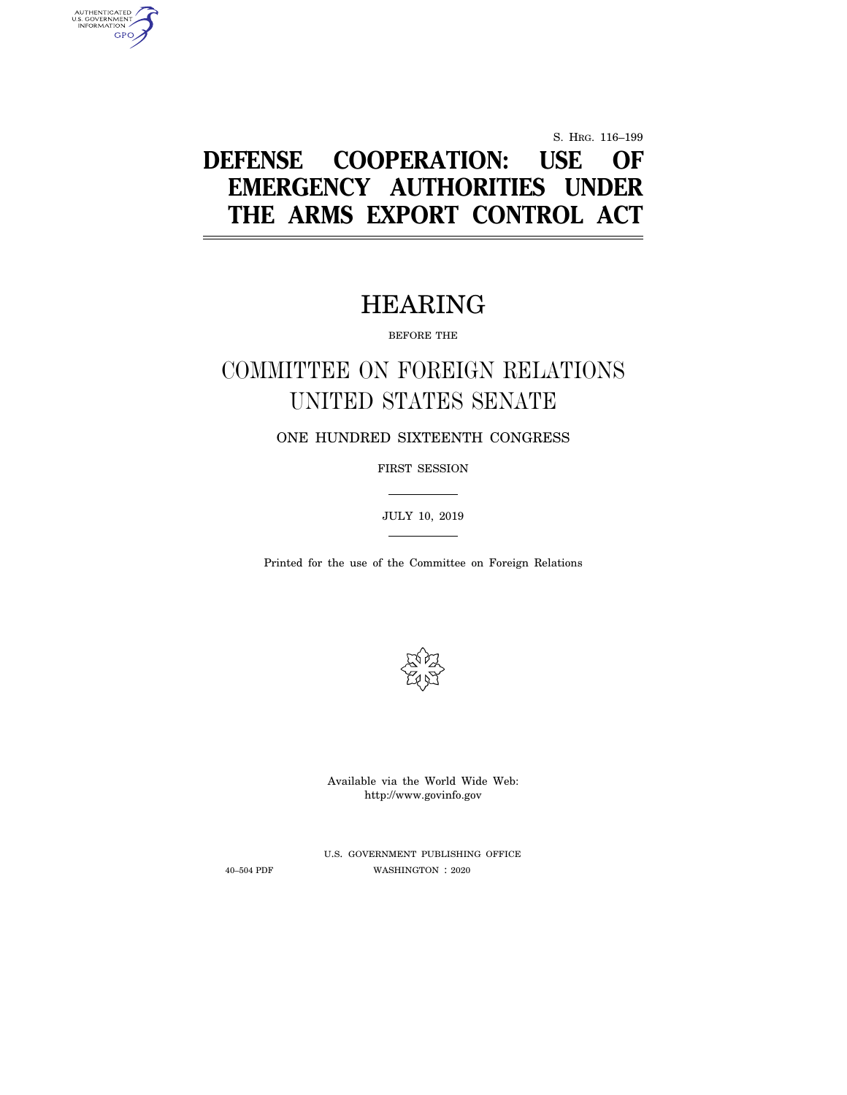S. HRG. 116–199

# **DEFENSE COOPERATION: USE OF EMERGENCY AUTHORITIES UNDER THE ARMS EXPORT CONTROL ACT**

# HEARING

BEFORE THE

# COMMITTEE ON FOREIGN RELATIONS UNITED STATES SENATE

ONE HUNDRED SIXTEENTH CONGRESS

FIRST SESSION

JULY 10, 2019

Printed for the use of the Committee on Foreign Relations



Available via the World Wide Web: http://www.govinfo.gov

U.S. GOVERNMENT PUBLISHING OFFICE 40–504 PDF WASHINGTON : 2020

AUTHENTICATED<br>U.S. GOVERNMENT<br>INFORMATION GPO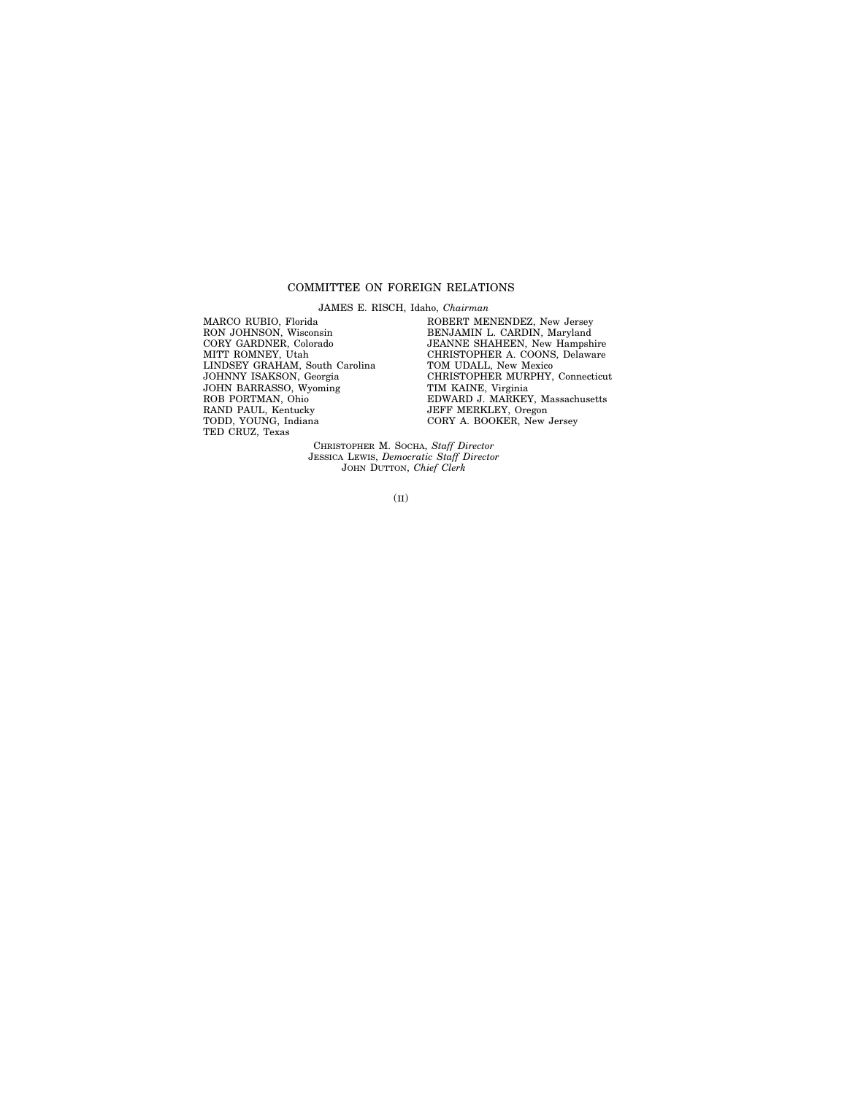## COMMITTEE ON FOREIGN RELATIONS

JAMES E. RISCH, Idaho, *Chairman*

MARCO RUBIO, Florida RON JOHNSON, Wisconsin CORY GARDNER, Colorado MITT ROMNEY, Utah LINDSEY GRAHAM, South Carolina JOHNNY ISAKSON, Georgia JOHN BARRASSO, Wyoming ROB PORTMAN, Ohio RAND PAUL, Kentucky TODD, YOUNG, Indiana TED CRUZ, Texas

ROBERT MENENDEZ, New Jersey BENJAMIN L. CARDIN, Maryland JEANNE SHAHEEN, New Hampshire CHRISTOPHER A. COONS, Delaware TOM UDALL, New Mexico CHRISTOPHER MURPHY, Connecticut TIM KAINE, Virginia EDWARD J. MARKEY, Massachusetts JEFF MERKLEY, Oregon CORY A. BOOKER, New Jersey

CHRISTOPHER M. SOCHA, *Staff Director* JESSICA LEWIS, *Democratic Staff Director* JOHN DUTTON, *Chief Clerk*

(II)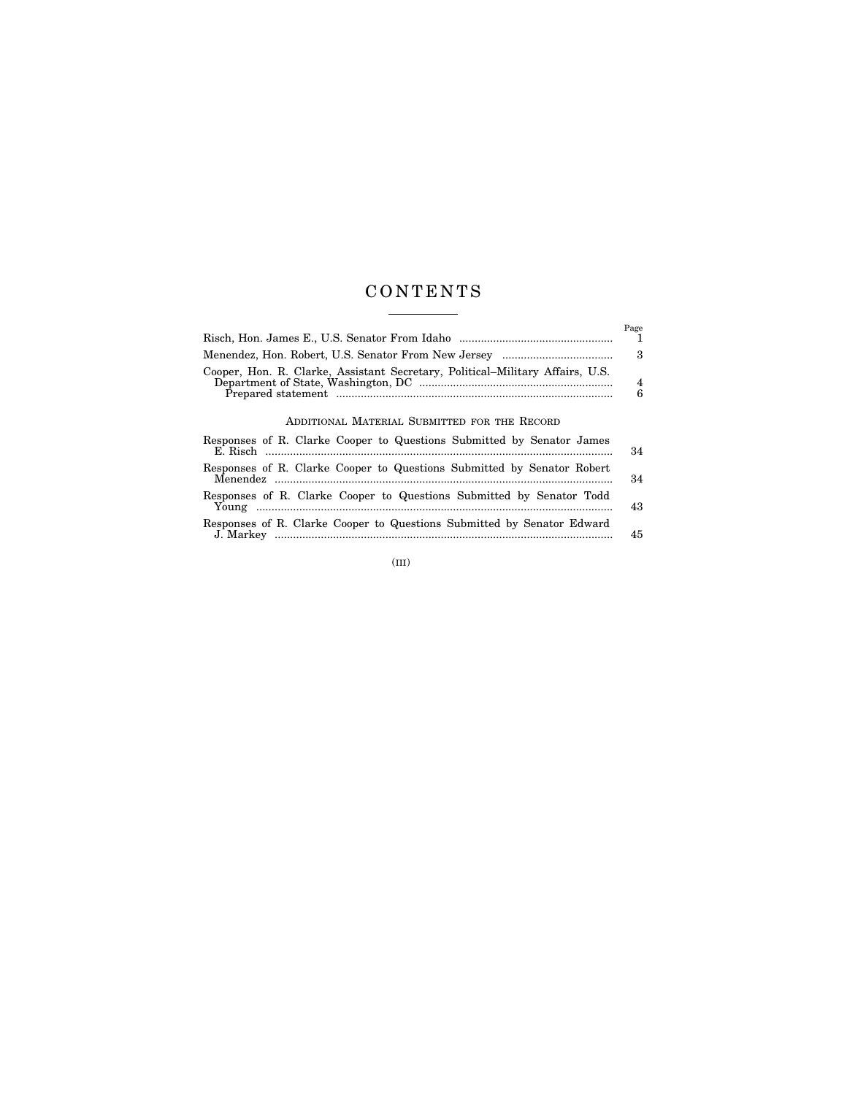# C O N T E N T S

|                                                                               | Page          |
|-------------------------------------------------------------------------------|---------------|
|                                                                               | - 3           |
| Cooper, Hon. R. Clarke, Assistant Secretary, Political-Military Affairs, U.S. | $\frac{4}{6}$ |

ADDITIONAL MATERIAL SUBMITTED FOR THE RECORD

| Responses of R. Clarke Cooper to Questions Submitted by Senator James  | 34 |
|------------------------------------------------------------------------|----|
| Responses of R. Clarke Cooper to Questions Submitted by Senator Robert | 34 |
| Responses of R. Clarke Cooper to Questions Submitted by Senator Todd   | 43 |
| Responses of R. Clarke Cooper to Questions Submitted by Senator Edward | 45 |

(III)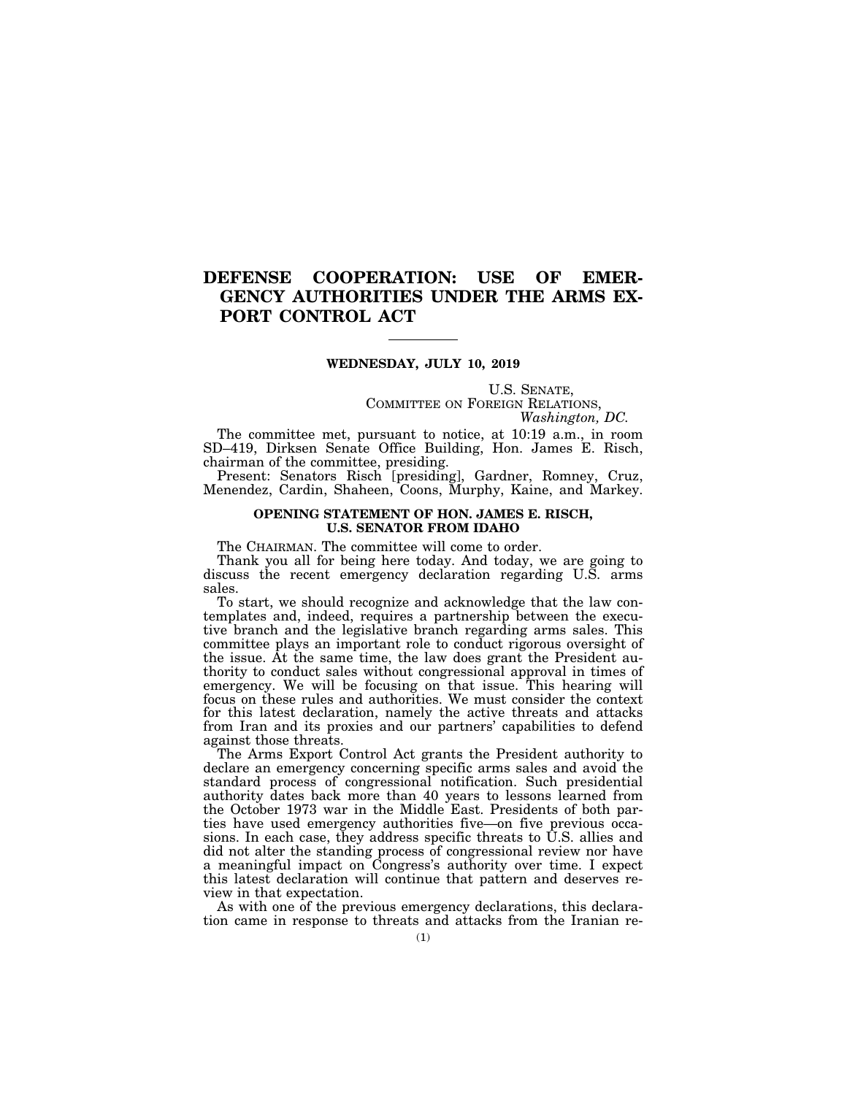# **DEFENSE COOPERATION: USE OF EMER-GENCY AUTHORITIES UNDER THE ARMS EX-PORT CONTROL ACT**

## **WEDNESDAY, JULY 10, 2019**

U.S. SENATE, COMMITTEE ON FOREIGN RELATIONS, *Washington, DC.* 

The committee met, pursuant to notice, at 10:19 a.m., in room SD–419, Dirksen Senate Office Building, Hon. James E. Risch, chairman of the committee, presiding.

Present: Senators Risch [presiding], Gardner, Romney, Cruz, Menendez, Cardin, Shaheen, Coons, Murphy, Kaine, and Markey.

### **OPENING STATEMENT OF HON. JAMES E. RISCH, U.S. SENATOR FROM IDAHO**

The CHAIRMAN. The committee will come to order.

Thank you all for being here today. And today, we are going to discuss the recent emergency declaration regarding U.S. arms sales.

To start, we should recognize and acknowledge that the law contemplates and, indeed, requires a partnership between the executive branch and the legislative branch regarding arms sales. This committee plays an important role to conduct rigorous oversight of the issue. At the same time, the law does grant the President authority to conduct sales without congressional approval in times of emergency. We will be focusing on that issue. This hearing will focus on these rules and authorities. We must consider the context for this latest declaration, namely the active threats and attacks from Iran and its proxies and our partners' capabilities to defend against those threats.

The Arms Export Control Act grants the President authority to declare an emergency concerning specific arms sales and avoid the standard process of congressional notification. Such presidential authority dates back more than 40 years to lessons learned from the October 1973 war in the Middle East. Presidents of both parties have used emergency authorities five—on five previous occasions. In each case, they address specific threats to U.S. allies and did not alter the standing process of congressional review nor have a meaningful impact on Congress's authority over time. I expect this latest declaration will continue that pattern and deserves review in that expectation.

As with one of the previous emergency declarations, this declaration came in response to threats and attacks from the Iranian re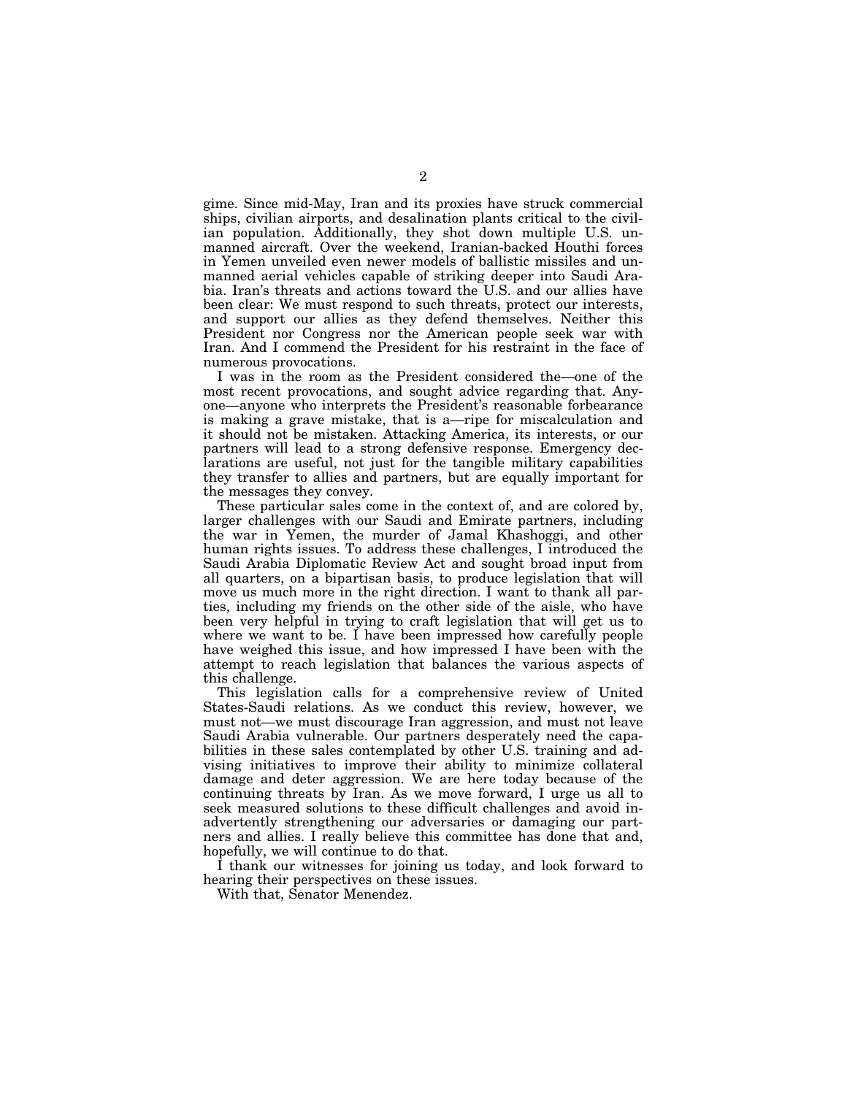gime. Since mid-May, Iran and its proxies have struck commercial ships, civilian airports, and desalination plants critical to the civilian population. Additionally, they shot down multiple U.S. unmanned aircraft. Over the weekend, Iranian-backed Houthi forces in Yemen unveiled even newer models of ballistic missiles and unmanned aerial vehicles capable of striking deeper into Saudi Arabia. Iran's threats and actions toward the U.S. and our allies have been clear: We must respond to such threats, protect our interests, and support our allies as they defend themselves. Neither this President nor Congress nor the American people seek war with Iran. And I commend the President for his restraint in the face of numerous provocations.

I was in the room as the President considered the—one of the most recent provocations, and sought advice regarding that. Anyone—anyone who interprets the President's reasonable forbearance is making a grave mistake, that is a—ripe for miscalculation and it should not be mistaken. Attacking America, its interests, or our partners will lead to a strong defensive response. Emergency declarations are useful, not just for the tangible military capabilities they transfer to allies and partners, but are equally important for the messages they convey.

These particular sales come in the context of, and are colored by, larger challenges with our Saudi and Emirate partners, including the war in Yemen, the murder of Jamal Khashoggi, and other human rights issues. To address these challenges, I introduced the Saudi Arabia Diplomatic Review Act and sought broad input from all quarters, on a bipartisan basis, to produce legislation that will move us much more in the right direction. I want to thank all parties, including my friends on the other side of the aisle, who have been very helpful in trying to craft legislation that will get us to where we want to be. I have been impressed how carefully people have weighed this issue, and how impressed I have been with the attempt to reach legislation that balances the various aspects of this challenge.

This legislation calls for a comprehensive review of United States-Saudi relations. As we conduct this review, however, we must not—we must discourage Iran aggression, and must not leave Saudi Arabia vulnerable. Our partners desperately need the capabilities in these sales contemplated by other U.S. training and advising initiatives to improve their ability to minimize collateral damage and deter aggression. We are here today because of the continuing threats by Iran. As we move forward, I urge us all to seek measured solutions to these difficult challenges and avoid inadvertently strengthening our adversaries or damaging our partners and allies. I really believe this committee has done that and, hopefully, we will continue to do that.

I thank our witnesses for joining us today, and look forward to hearing their perspectives on these issues.

With that, Senator Menendez.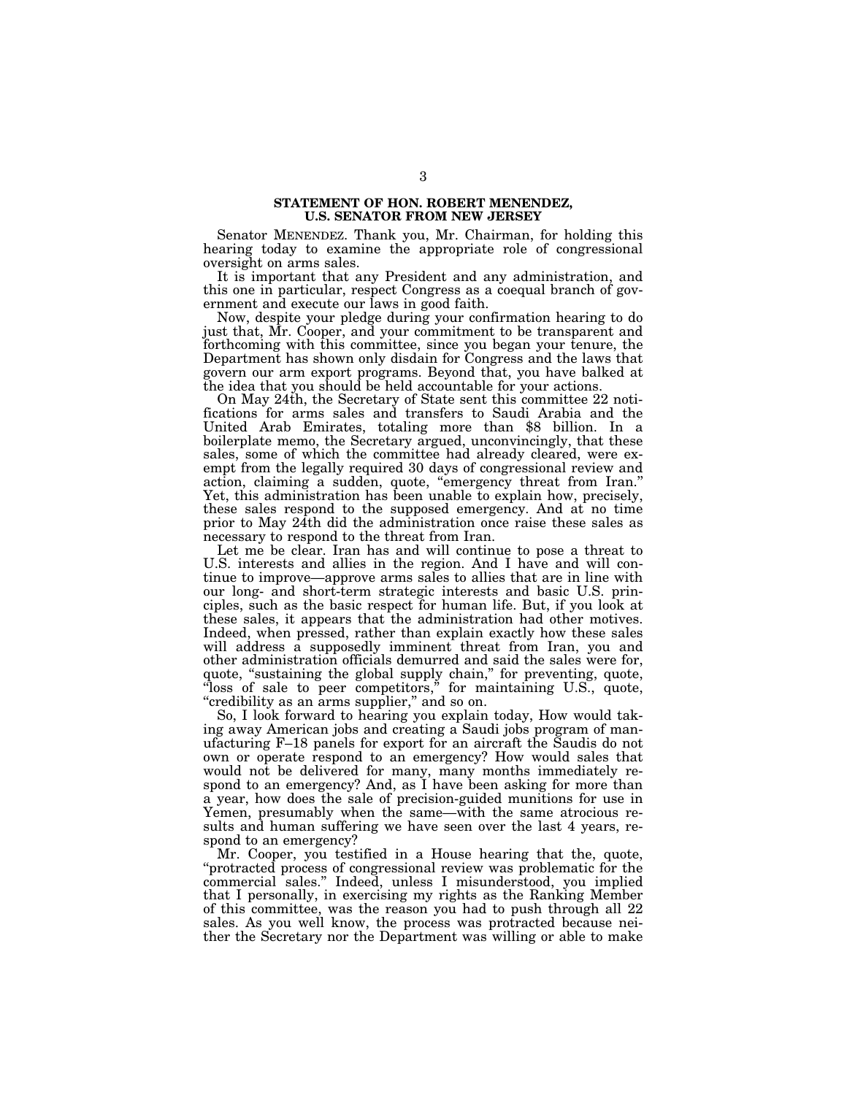### **STATEMENT OF HON. ROBERT MENENDEZ, U.S. SENATOR FROM NEW JERSEY**

Senator MENENDEZ. Thank you, Mr. Chairman, for holding this hearing today to examine the appropriate role of congressional oversight on arms sales.

It is important that any President and any administration, and this one in particular, respect Congress as a coequal branch of government and execute our laws in good faith.

Now, despite your pledge during your confirmation hearing to do just that, Mr. Cooper, and your commitment to be transparent and forthcoming with this committee, since you began your tenure, the Department has shown only disdain for Congress and the laws that govern our arm export programs. Beyond that, you have balked at the idea that you should be held accountable for your actions.

On May 24th, the Secretary of State sent this committee 22 notifications for arms sales and transfers to Saudi Arabia and the United Arab Emirates, totaling more than \$8 billion. In a boilerplate memo, the Secretary argued, unconvincingly, that these sales, some of which the committee had already cleared, were exempt from the legally required 30 days of congressional review and action, claiming a sudden, quote, ''emergency threat from Iran.'' Yet, this administration has been unable to explain how, precisely, these sales respond to the supposed emergency. And at no time prior to May 24th did the administration once raise these sales as necessary to respond to the threat from Iran.

Let me be clear. Iran has and will continue to pose a threat to U.S. interests and allies in the region. And I have and will continue to improve—approve arms sales to allies that are in line with our long- and short-term strategic interests and basic U.S. principles, such as the basic respect for human life. But, if you look at these sales, it appears that the administration had other motives. Indeed, when pressed, rather than explain exactly how these sales will address a supposedly imminent threat from Iran, you and other administration officials demurred and said the sales were for, quote, "sustaining the global supply chain," for preventing, quote, "loss of sale to peer competitors," for maintaining U.S., quote, "credibility as an arms supplier," and so on.

So, I look forward to hearing you explain today, How would taking away American jobs and creating a Saudi jobs program of manufacturing F–18 panels for export for an aircraft the Saudis do not own or operate respond to an emergency? How would sales that would not be delivered for many, many months immediately respond to an emergency? And, as I have been asking for more than a year, how does the sale of precision-guided munitions for use in Yemen, presumably when the same—with the same atrocious results and human suffering we have seen over the last 4 years, respond to an emergency?

Mr. Cooper, you testified in a House hearing that the, quote, ''protracted process of congressional review was problematic for the commercial sales." Indeed, unless I misunderstood, you implied that I personally, in exercising my rights as the Ranking Member of this committee, was the reason you had to push through all 22 sales. As you well know, the process was protracted because neither the Secretary nor the Department was willing or able to make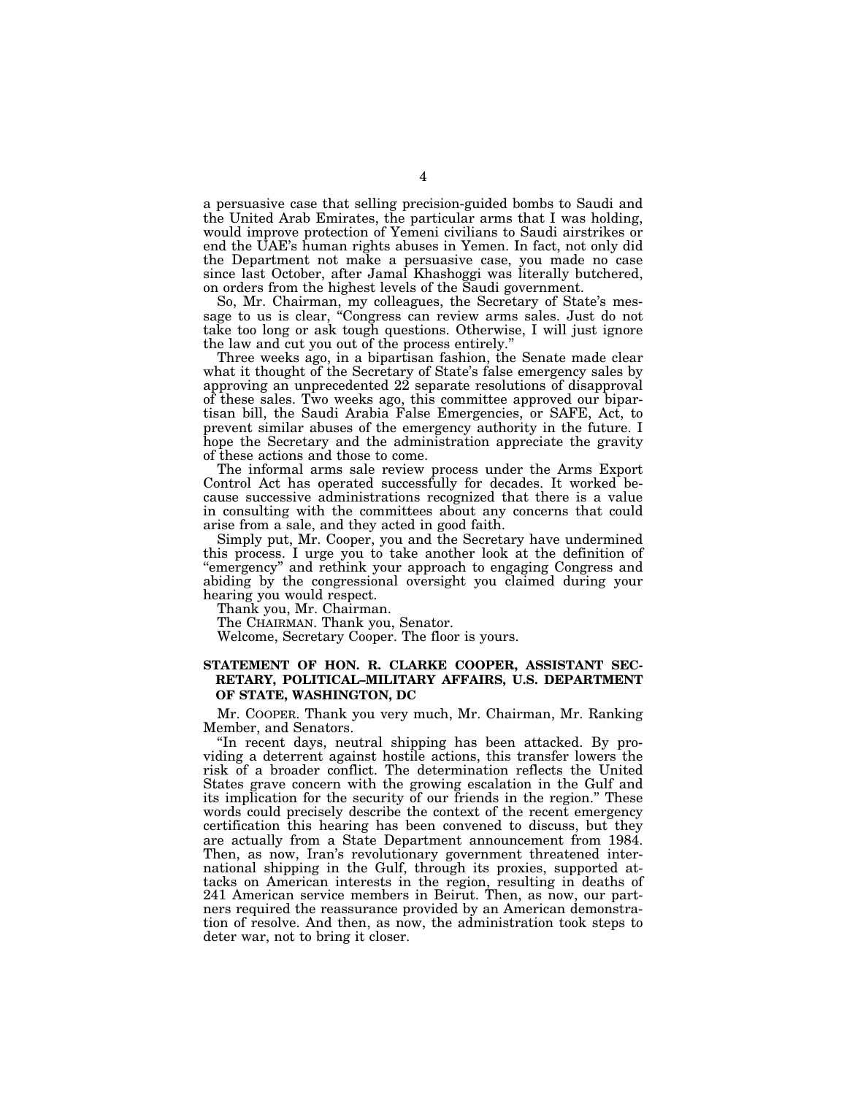a persuasive case that selling precision-guided bombs to Saudi and the United Arab Emirates, the particular arms that I was holding, would improve protection of Yemeni civilians to Saudi airstrikes or end the UAE's human rights abuses in Yemen. In fact, not only did the Department not make a persuasive case, you made no case since last October, after Jamal Khashoggi was literally butchered, on orders from the highest levels of the Saudi government.

So, Mr. Chairman, my colleagues, the Secretary of State's message to us is clear, ''Congress can review arms sales. Just do not take too long or ask tough questions. Otherwise, I will just ignore the law and cut you out of the process entirely.''

Three weeks ago, in a bipartisan fashion, the Senate made clear what it thought of the Secretary of State's false emergency sales by approving an unprecedented 22 separate resolutions of disapproval of these sales. Two weeks ago, this committee approved our bipartisan bill, the Saudi Arabia False Emergencies, or SAFE, Act, to prevent similar abuses of the emergency authority in the future. I hope the Secretary and the administration appreciate the gravity of these actions and those to come.

The informal arms sale review process under the Arms Export Control Act has operated successfully for decades. It worked because successive administrations recognized that there is a value in consulting with the committees about any concerns that could arise from a sale, and they acted in good faith.

Simply put, Mr. Cooper, you and the Secretary have undermined this process. I urge you to take another look at the definition of ''emergency'' and rethink your approach to engaging Congress and abiding by the congressional oversight you claimed during your hearing you would respect.

Thank you, Mr. Chairman.

The CHAIRMAN. Thank you, Senator.

Welcome, Secretary Cooper. The floor is yours.

# **STATEMENT OF HON. R. CLARKE COOPER, ASSISTANT SEC-RETARY, POLITICAL–MILITARY AFFAIRS, U.S. DEPARTMENT OF STATE, WASHINGTON, DC**

Mr. COOPER. Thank you very much, Mr. Chairman, Mr. Ranking Member, and Senators.

''In recent days, neutral shipping has been attacked. By providing a deterrent against hostile actions, this transfer lowers the risk of a broader conflict. The determination reflects the United States grave concern with the growing escalation in the Gulf and its implication for the security of our friends in the region.'' These words could precisely describe the context of the recent emergency certification this hearing has been convened to discuss, but they are actually from a State Department announcement from 1984. Then, as now, Iran's revolutionary government threatened international shipping in the Gulf, through its proxies, supported attacks on American interests in the region, resulting in deaths of 241 American service members in Beirut. Then, as now, our partners required the reassurance provided by an American demonstration of resolve. And then, as now, the administration took steps to deter war, not to bring it closer.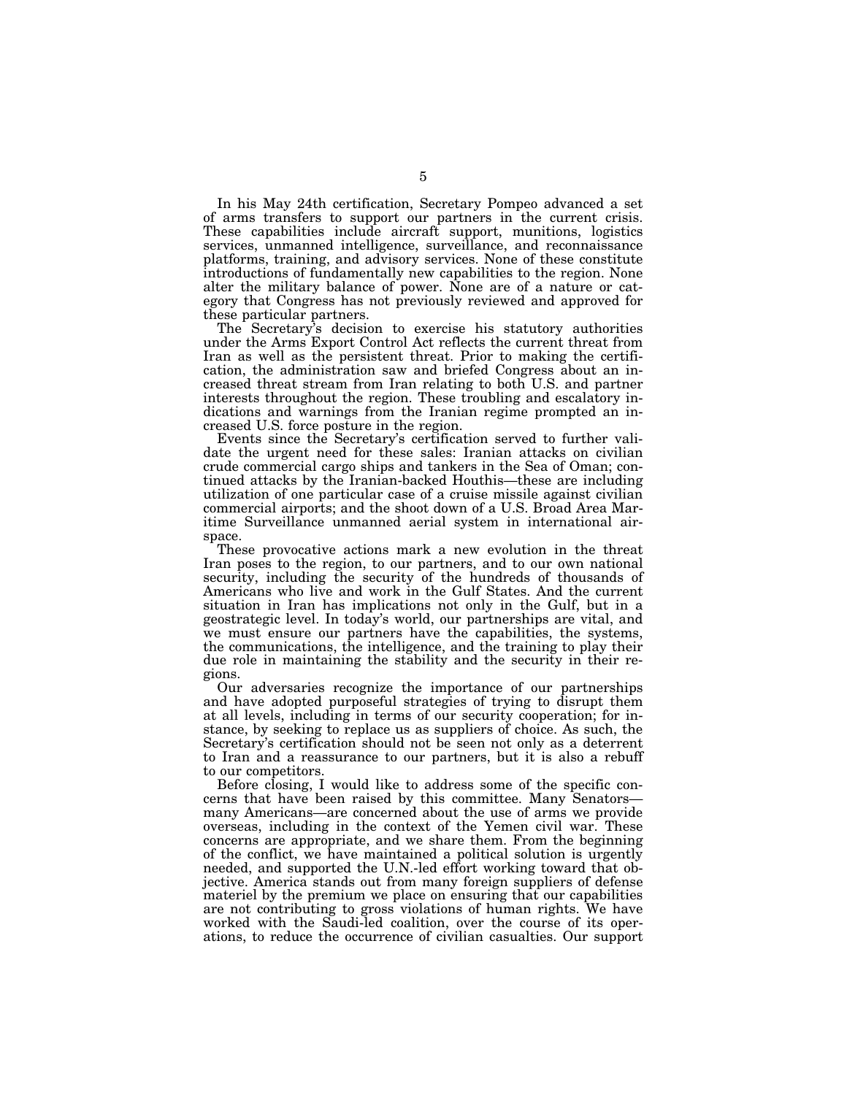In his May 24th certification, Secretary Pompeo advanced a set of arms transfers to support our partners in the current crisis. These capabilities include aircraft support, munitions, logistics services, unmanned intelligence, surveillance, and reconnaissance platforms, training, and advisory services. None of these constitute introductions of fundamentally new capabilities to the region. None alter the military balance of power. None are of a nature or category that Congress has not previously reviewed and approved for these particular partners.

The Secretary's decision to exercise his statutory authorities under the Arms Export Control Act reflects the current threat from Iran as well as the persistent threat. Prior to making the certification, the administration saw and briefed Congress about an increased threat stream from Iran relating to both U.S. and partner interests throughout the region. These troubling and escalatory indications and warnings from the Iranian regime prompted an increased U.S. force posture in the region.

Events since the Secretary's certification served to further validate the urgent need for these sales: Iranian attacks on civilian crude commercial cargo ships and tankers in the Sea of Oman; continued attacks by the Iranian-backed Houthis—these are including utilization of one particular case of a cruise missile against civilian commercial airports; and the shoot down of a U.S. Broad Area Maritime Surveillance unmanned aerial system in international airspace.

These provocative actions mark a new evolution in the threat Iran poses to the region, to our partners, and to our own national security, including the security of the hundreds of thousands of Americans who live and work in the Gulf States. And the current situation in Iran has implications not only in the Gulf, but in a geostrategic level. In today's world, our partnerships are vital, and we must ensure our partners have the capabilities, the systems, the communications, the intelligence, and the training to play their due role in maintaining the stability and the security in their regions.

Our adversaries recognize the importance of our partnerships and have adopted purposeful strategies of trying to disrupt them at all levels, including in terms of our security cooperation; for instance, by seeking to replace us as suppliers of choice. As such, the Secretary's certification should not be seen not only as a deterrent to Iran and a reassurance to our partners, but it is also a rebuff to our competitors.

Before closing, I would like to address some of the specific concerns that have been raised by this committee. Many Senators many Americans—are concerned about the use of arms we provide overseas, including in the context of the Yemen civil war. These concerns are appropriate, and we share them. From the beginning of the conflict, we have maintained a political solution is urgently needed, and supported the U.N.-led effort working toward that objective. America stands out from many foreign suppliers of defense materiel by the premium we place on ensuring that our capabilities are not contributing to gross violations of human rights. We have worked with the Saudi-led coalition, over the course of its operations, to reduce the occurrence of civilian casualties. Our support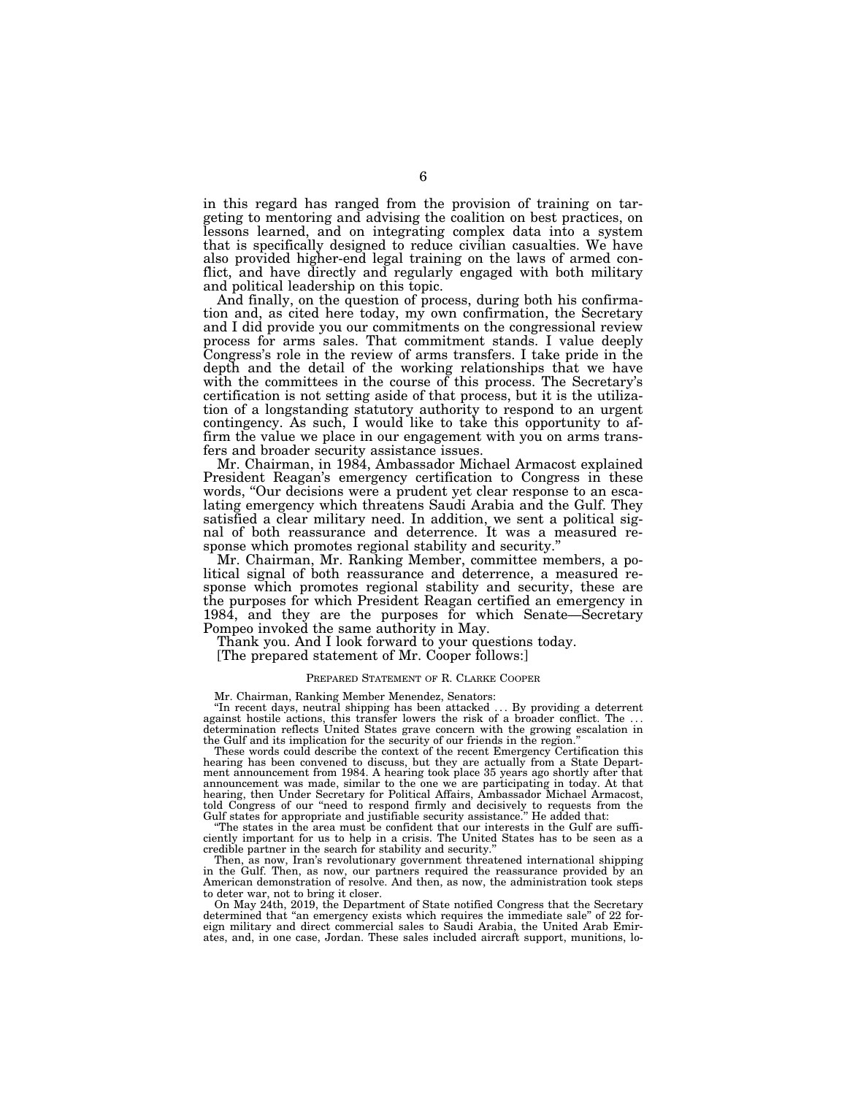in this regard has ranged from the provision of training on targeting to mentoring and advising the coalition on best practices, on lessons learned, and on integrating complex data into a system that is specifically designed to reduce civilian casualties. We have also provided higher-end legal training on the laws of armed conflict, and have directly and regularly engaged with both military and political leadership on this topic.

And finally, on the question of process, during both his confirmation and, as cited here today, my own confirmation, the Secretary and I did provide you our commitments on the congressional review process for arms sales. That commitment stands. I value deeply Congress's role in the review of arms transfers. I take pride in the depth and the detail of the working relationships that we have with the committees in the course of this process. The Secretary's certification is not setting aside of that process, but it is the utilization of a longstanding statutory authority to respond to an urgent contingency. As such, I would like to take this opportunity to affirm the value we place in our engagement with you on arms transfers and broader security assistance issues.

Mr. Chairman, in 1984, Ambassador Michael Armacost explained President Reagan's emergency certification to Congress in these words, "Our decisions were a prudent yet clear response to an escalating emergency which threatens Saudi Arabia and the Gulf. They satisfied a clear military need. In addition, we sent a political signal of both reassurance and deterrence. It was a measured response which promotes regional stability and security.''

Mr. Chairman, Mr. Ranking Member, committee members, a political signal of both reassurance and deterrence, a measured response which promotes regional stability and security, these are the purposes for which President Reagan certified an emergency in 1984, and they are the purposes for which Senate—Secretary Pompeo invoked the same authority in May.

Thank you. And I look forward to your questions today.

[The prepared statement of Mr. Cooper follows:]

#### PREPARED STATEMENT OF R. CLARKE COOPER

Mr. Chairman, Ranking Member Menendez, Senators:

"In recent days, neutral shipping has been attacked  $\ldots$  By providing a deterrent against hostile actions, this transfer lowers the risk of a broader conflict. The  $\ldots$ determination reflects United States grave concern with the growing escalation in the Gulf and its implication for the security of our friends in the region.''

These words could describe the context of the recent Emergency Certification this hearing has been convened to discuss, but they are actually from a State Department announcement from 1984. A hearing took place 35 years ago shortly after that announcement was made, similar to the one we are participating in today. At that hearing, then Under Secretary for Political Affairs, Ambassador Michael Armacost, told Congress of our ''need to respond firmly and decisively to requests from the Gulf states for appropriate and justifiable security assistance.'' He added that:

''The states in the area must be confident that our interests in the Gulf are sufficiently important for us to help in a crisis. The United States has to be seen as a credible partner in the search for stability and security.''

Then, as now, Iran's revolutionary government threatened international shipping in the Gulf. Then, as now, our partners required the reassurance provided by an American demonstration of resolve. And then, as now, the administration took steps to deter war, not to bring it closer.

On May 24th, 2019, the Department of State notified Congress that the Secretary determined that "an emergency exists which requires the immediate sale" of 22 foreign military and direct commercial sales to Saudi Arabia, the United Arab Emirates, and, in one case, Jordan. These sales included aircraft support, munitions, lo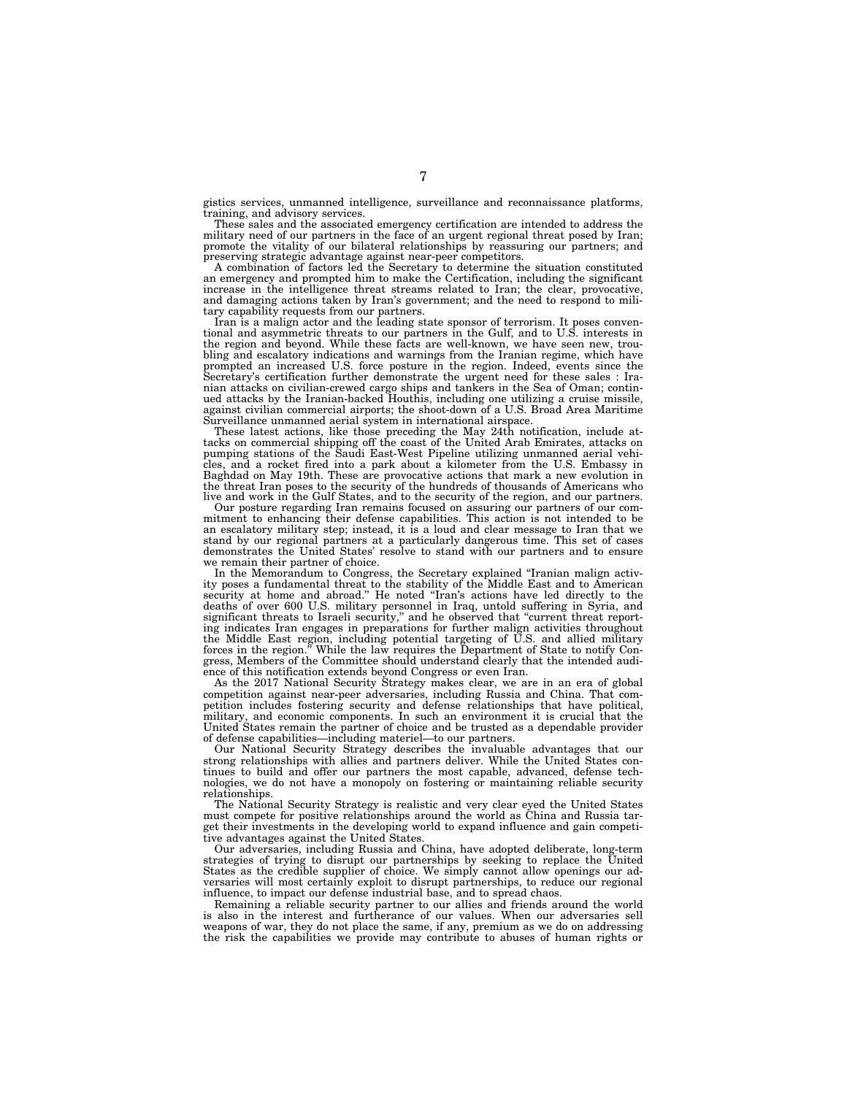gistics services, unmanned intelligence, surveillance and reconnaissance platforms, training, and advisory services.

These sales and the associated emergency certification are intended to address the military need of our partners in the face of an urgent regional threat posed by Iran; promote the vitality of our bilateral relationships by reassuring our partners; and preserving strategic advantage against near-peer competitors.

A combination of factors led the Secretary to determine the situation constituted an emergency and prompted him to make the Certification, including the significant increase in the intelligence threat streams related to Iran; the clear, provocative, and damaging actions taken by Iran's government; and the need to respond to military capability requests from our partners.

Iran is a malign actor and the leading state sponsor of terrorism. It poses conventional and asymmetric threats to our partners in the Gulf, and to U.S. interests in the region and beyond. While these facts are well-known, we have seen new, trou-bling and escalatory indications and warnings from the Iranian regime, which have prompted an increased U.S. force posture in the region. Indeed, events since the Secretary's certification further demonstrate the urgent need for these sales : Iranian attacks on civilian-crewed cargo ships and tankers in the Sea of Oman; contin-ued attacks by the Iranian-backed Houthis, including one utilizing a cruise missile, against civilian commercial airports; the shoot-down of a U.S. Broad Area Maritime Surveillance unmanned aerial system in international airspace.

These latest actions, like those preceding the May 24th notification, include at-tacks on commercial shipping off the coast of the United Arab Emirates, attacks on pumping stations of the Saudi East-West Pipeline utilizing unmanned aerial vehi-cles, and a rocket fired into a park about a kilometer from the U.S. Embassy in Baghdad on May 19th. These are provocative actions that mark a new evolution in the threat Iran poses to the security of the hundreds of thousands of Americans who live and work in the Gulf States, and to the security of the region, and our partners.

Our posture regarding Iran remains focused on assuring our partners of our commitment to enhancing their defense capabilities. This action is not intended to be an escalatory military step; instead, it is a loud and clear message to Iran that we stand by our regional partners at a particularly dangerous time. This set of cases demonstrates the United States' resolve to stand with our partners and to ensure we remain their partner of choice.

In the Memorandum to Congress, the Secretary explained "Iranian malign activity poses a fundamental threat to the stability of the Middle East and to American security at home and abroad." He noted "Iran's actions have led deaths of over 600 U.S. military personnel in Iraq, untold suffering in Syria, and significant threats to Israeli security,'' and he observed that ''current threat reporting indicates Iran engages in preparations for further malign activities throughout the Middle East region, including potential targeting of U.S. and allied military forces in the region.'' While the law requires the Department of State to notify Congress, Members of the Committee should understand clearly that the intended audience of this notification extends beyond Congress or even Iran.

As the 2017 National Security Strategy makes clear, we are in an era of global competition against near-peer adversaries, including Russia and China. That competition includes fostering security and defense relationships that have political, military, and economic components. In such an environment it is crucial that the United States remain the partner of choice and be trusted as a dependable provider of defense capabilities—including materiel—to our partners.

Our National Security Strategy describes the invaluable advantages that our strong relationships with allies and partners deliver. While the United States continues to build and offer our partners the most capable, advanced, defense technologies, we do not have a monopoly on fostering or maintaining reliable security relationships.

The National Security Strategy is realistic and very clear eyed the United States must compete for positive relationships around the world as China and Russia target their investments in the developing world to expand influence and gain competitive advantages against the United States.

Our adversaries, including Russia and China, have adopted deliberate, long-term strategies of trying to disrupt our partnerships by seeking to replace the United States as the credible supplier of choice. We simply cannot allow openings our adversaries will most certainly exploit to disrupt partnerships, to reduce our regional influence, to impact our defense industrial base, and to spread chaos.

Remaining a reliable security partner to our allies and friends around the world is also in the interest and furtherance of our values. When our adversaries sell weapons of war, they do not place the same, if any, premium as we do on addressing the risk the capabilities we provide may contribute to abuses of human rights or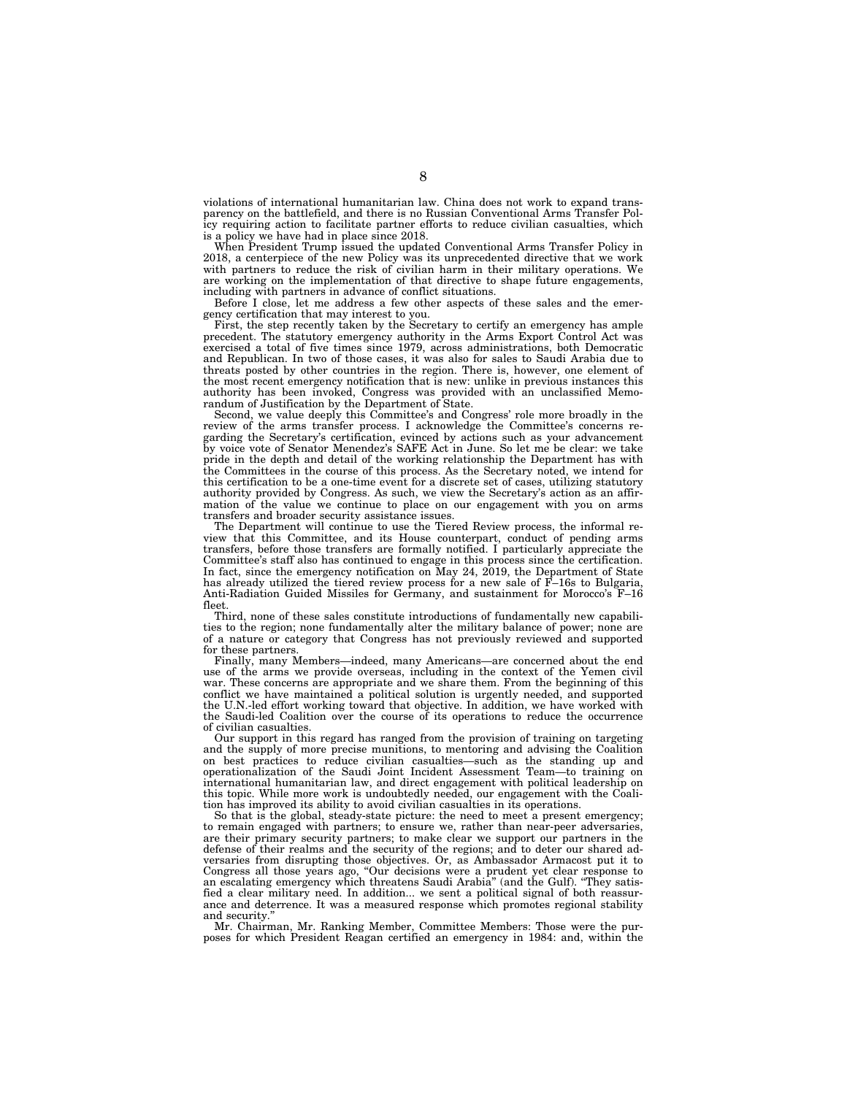violations of international humanitarian law. China does not work to expand transparency on the battlefield, and there is no Russian Conventional Arms Transfer Policy requiring action to facilitate partner efforts to reduce civilian casualties, which is a policy we have had in place since 2018.

When President Trump issued the updated Conventional Arms Transfer Policy in 2018, a centerpiece of the new Policy was its unprecedented directive that we work with partners to reduce the risk of civilian harm in their military operations. We are working on the implementation of that directive to shape future engagements, including with partners in advance of conflict situations.

Before I close, let me address a few other aspects of these sales and the emergency certification that may interest to you.

First, the step recently taken by the Secretary to certify an emergency has ample precedent. The statutory emergency authority in the Arms Export Control Act was exercised a total of five times since 1979, across administrations, both Democratic and Republican. In two of those cases, it was also for sales to Saudi Arabia due to threats posted by other countries in the region. There is, however, one element of the most recent emergency notification that is new: unlike in previous instances this authority has been invoked, Congress was provided with an unclassified Memorandum of Justification by the Department of State.

Second, we value deeply this Committee's and Congress' role more broadly in the review of the arms transfer process. I acknowledge the Committee's concerns regarding the Secretary's certification, evinced by actions such as your advancement by voice vote of Senator Menendez's SAFE Act in June. So let me be clear: we take pride in the depth and detail of the working relationship the Department has with the Committees in the course of this process. As the Secretary noted, we intend for this certification to be a one-time event for a discrete set of cases, utilizing statutory authority provided by Congress. As such, we view the Secretary's action as an affirmation of the value we continue to place on our engagement with you on arms transfers and broader security assistance issues.

The Department will continue to use the Tiered Review process, the informal review that this Committee, and its House counterpart, conduct of pending arms transfers, before those transfers are formally notified. I particularly appreciate the Committee's staff also has continued to engage in this process since the certification. In fact, since the emergency notification on May 24, 2019, the Department of State has already utilized the tiered review process for a new sale of F–16s to Bulgaria, Anti-Radiation Guided Missiles for Germany, and sustainment for Morocco's F–16 fleet.

Third, none of these sales constitute introductions of fundamentally new capabilities to the region; none fundamentally alter the military balance of power; none are of a nature or category that Congress has not previously reviewed and supported for these partners.

Finally, many Members—indeed, many Americans—are concerned about the end use of the arms we provide overseas, including in the context of the Yemen civil war. These concerns are appropriate and we share them. From the beginning of this conflict we have maintained a political solution is urgently needed, and supported the U.N.-led effort working toward that objective. In addition, we have worked with the Saudi-led Coalition over the course of its operations to reduce the occurrence of civilian casualties.

Our support in this regard has ranged from the provision of training on targeting and the supply of more precise munitions, to mentoring and advising the Coalition on best practices to reduce civilian casualties—such as the standing up and operationalization of the Saudi Joint Incident Assessment Team—to training on international humanitarian law, and direct engagement with political leadership on this topic. While more work is undoubtedly needed, our engagement with the Coalition has improved its ability to avoid civilian casualties in its operations.

So that is the global, steady-state picture: the need to meet a present emergency; to remain engaged with partners; to ensure we, rather than near-peer adversaries, are their primary security partners; to make clear we support our partners in the defense of their realms and the security of the regions; and to deter our shared adversaries from disrupting those objectives. Or, as Ambassador Armacost put it to Congress all those years ago, ''Our decisions were a prudent yet clear response to an escalating emergency which threatens Saudi Arabia'' (and the Gulf). ''They satisfied a clear military need. In addition... we sent a political signal of both reassurance and deterrence. It was a measured response which promotes regional stability and security.

Mr. Chairman, Mr. Ranking Member, Committee Members: Those were the purposes for which President Reagan certified an emergency in 1984: and, within the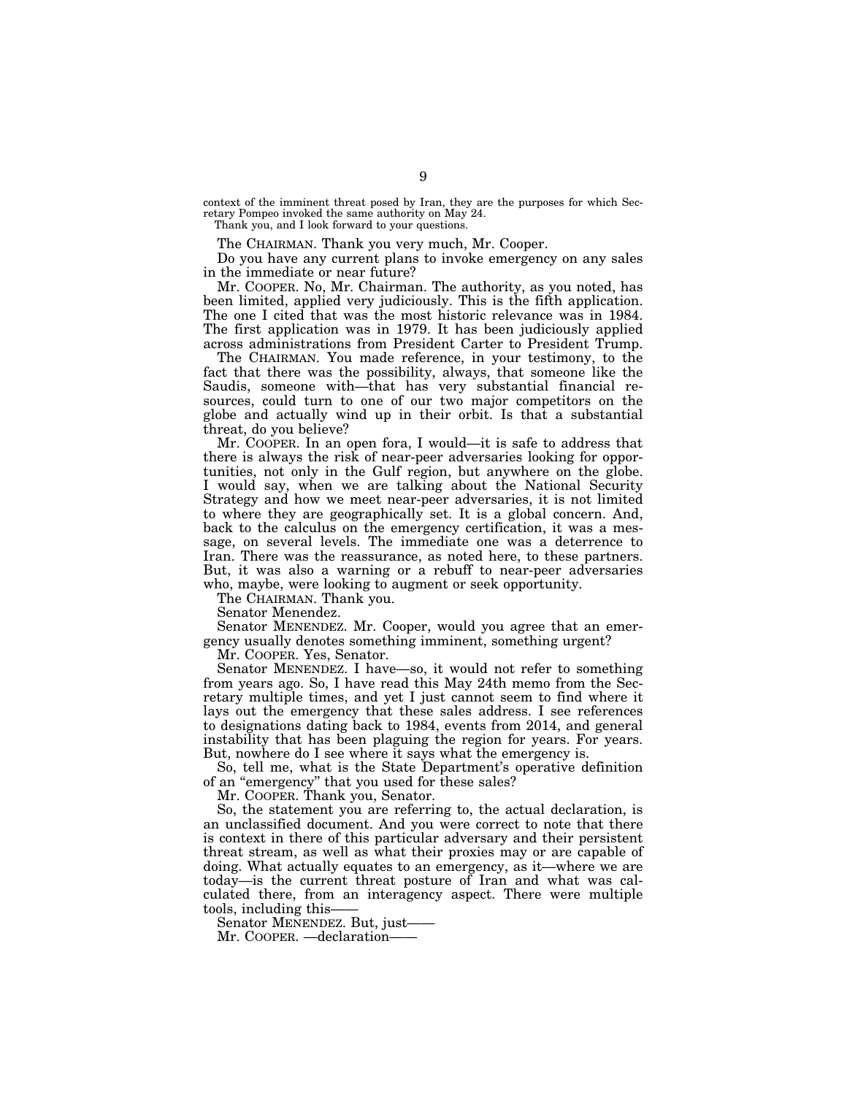context of the imminent threat posed by Iran, they are the purposes for which Secretary Pompeo invoked the same authority on May 24.

Thank you, and I look forward to your questions.

The CHAIRMAN. Thank you very much, Mr. Cooper.

Do you have any current plans to invoke emergency on any sales in the immediate or near future?

Mr. COOPER. No, Mr. Chairman. The authority, as you noted, has been limited, applied very judiciously. This is the fifth application. The one I cited that was the most historic relevance was in 1984. The first application was in 1979. It has been judiciously applied across administrations from President Carter to President Trump.

The CHAIRMAN. You made reference, in your testimony, to the fact that there was the possibility, always, that someone like the Saudis, someone with—that has very substantial financial resources, could turn to one of our two major competitors on the globe and actually wind up in their orbit. Is that a substantial threat, do you believe?

Mr. COOPER. In an open fora, I would—it is safe to address that there is always the risk of near-peer adversaries looking for opportunities, not only in the Gulf region, but anywhere on the globe. I would say, when we are talking about the National Security Strategy and how we meet near-peer adversaries, it is not limited to where they are geographically set. It is a global concern. And, back to the calculus on the emergency certification, it was a message, on several levels. The immediate one was a deterrence to Iran. There was the reassurance, as noted here, to these partners. But, it was also a warning or a rebuff to near-peer adversaries who, maybe, were looking to augment or seek opportunity.

The CHAIRMAN. Thank you.

Senator Menendez.

Senator MENENDEZ. Mr. Cooper, would you agree that an emergency usually denotes something imminent, something urgent?

Mr. COOPER. Yes, Senator.

Senator MENENDEZ. I have—so, it would not refer to something from years ago. So, I have read this May 24th memo from the Secretary multiple times, and yet I just cannot seem to find where it lays out the emergency that these sales address. I see references to designations dating back to 1984, events from 2014, and general instability that has been plaguing the region for years. For years. But, nowhere do I see where it says what the emergency is.

So, tell me, what is the State Department's operative definition of an ''emergency'' that you used for these sales?

Mr. COOPER. Thank you, Senator.

So, the statement you are referring to, the actual declaration, is an unclassified document. And you were correct to note that there is context in there of this particular adversary and their persistent threat stream, as well as what their proxies may or are capable of doing. What actually equates to an emergency, as it—where we are today—is the current threat posture of Iran and what was calculated there, from an interagency aspect. There were multiple tools, including this-

Senator MENENDEZ. But, just——

Mr. COOPER. —declaration-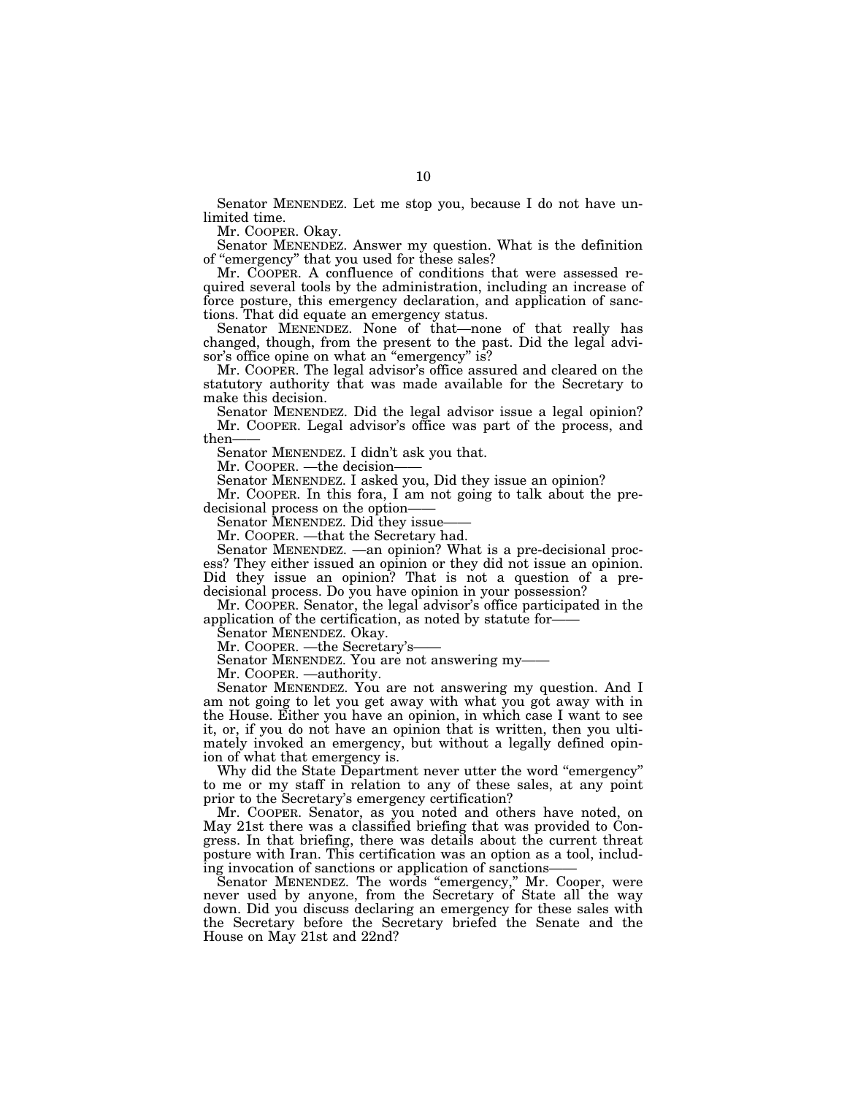Senator MENENDEZ. Let me stop you, because I do not have unlimited time.

Mr. COOPER. Okay.

Senator MENENDEZ. Answer my question. What is the definition of ''emergency'' that you used for these sales?

Mr. COOPER. A confluence of conditions that were assessed required several tools by the administration, including an increase of force posture, this emergency declaration, and application of sanctions. That did equate an emergency status.

Senator MENENDEZ. None of that—none of that really has changed, though, from the present to the past. Did the legal advisor's office opine on what an "emergency" is?

Mr. COOPER. The legal advisor's office assured and cleared on the statutory authority that was made available for the Secretary to make this decision.

Senator MENENDEZ. Did the legal advisor issue a legal opinion? Mr. COOPER. Legal advisor's office was part of the process, and then-

Senator MENENDEZ. I didn't ask you that.

Mr. COOPER. —the decision-

Senator MENENDEZ. I asked you, Did they issue an opinion?

Mr. COOPER. In this fora, I am not going to talk about the predecisional process on the option-

Senator MENENDEZ. Did they issue-

Mr. COOPER. —that the Secretary had.

Senator MENENDEZ. —an opinion? What is a pre-decisional process? They either issued an opinion or they did not issue an opinion. Did they issue an opinion? That is not a question of a predecisional process. Do you have opinion in your possession?

Mr. COOPER. Senator, the legal advisor's office participated in the application of the certification, as noted by statute for——

Senator MENENDEZ. Okay.

Mr. COOPER. - the Secretary's-

Senator MENENDEZ. You are not answering my——

Mr. COOPER. —authority.

Senator MENENDEZ. You are not answering my question. And I am not going to let you get away with what you got away with in the House. Either you have an opinion, in which case I want to see it, or, if you do not have an opinion that is written, then you ultimately invoked an emergency, but without a legally defined opinion of what that emergency is.

Why did the State Department never utter the word "emergency" to me or my staff in relation to any of these sales, at any point prior to the Secretary's emergency certification?

Mr. COOPER. Senator, as you noted and others have noted, on May 21st there was a classified briefing that was provided to Congress. In that briefing, there was details about the current threat posture with Iran. This certification was an option as a tool, including invocation of sanctions or application of sanctions—

Senator MENENDEZ. The words "emergency," Mr. Cooper, were never used by anyone, from the Secretary of State all the way down. Did you discuss declaring an emergency for these sales with the Secretary before the Secretary briefed the Senate and the House on May 21st and 22nd?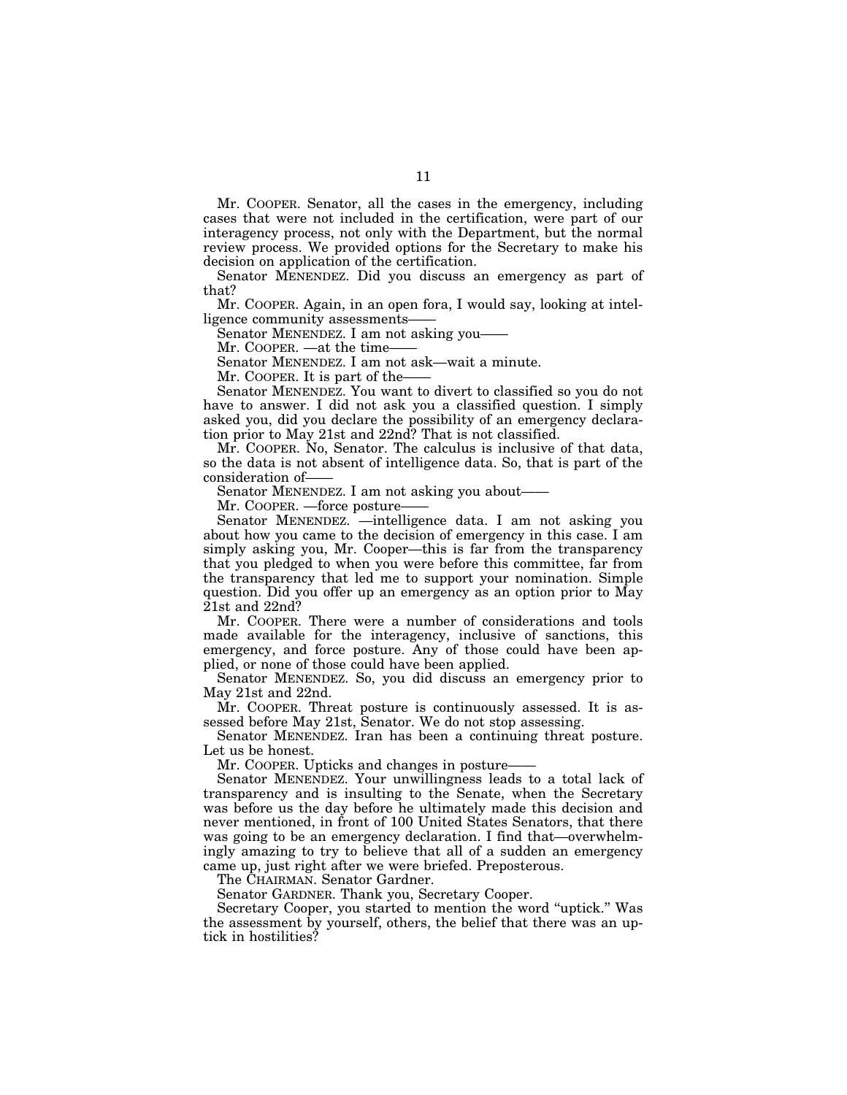Mr. COOPER. Senator, all the cases in the emergency, including cases that were not included in the certification, were part of our interagency process, not only with the Department, but the normal review process. We provided options for the Secretary to make his decision on application of the certification.

Senator MENENDEZ. Did you discuss an emergency as part of that?

Mr. COOPER. Again, in an open fora, I would say, looking at intelligence community assessments-

Senator MENENDEZ. I am not asking you-

Mr. COOPER. —at the time-

Senator MENENDEZ. I am not ask—wait a minute.

Mr. COOPER. It is part of the-

Senator MENENDEZ. You want to divert to classified so you do not have to answer. I did not ask you a classified question. I simply asked you, did you declare the possibility of an emergency declaration prior to May 21st and 22nd? That is not classified.

Mr. COOPER. No, Senator. The calculus is inclusive of that data, so the data is not absent of intelligence data. So, that is part of the consideration of-

Senator MENENDEZ. I am not asking you about——

Mr. COOPER. —force posture—

Senator MENENDEZ. —intelligence data. I am not asking you about how you came to the decision of emergency in this case. I am simply asking you, Mr. Cooper—this is far from the transparency that you pledged to when you were before this committee, far from the transparency that led me to support your nomination. Simple question. Did you offer up an emergency as an option prior to May  $21$ st and  $22$ nd?

Mr. COOPER. There were a number of considerations and tools made available for the interagency, inclusive of sanctions, this emergency, and force posture. Any of those could have been applied, or none of those could have been applied.

Senator MENENDEZ. So, you did discuss an emergency prior to May 21st and 22nd.

Mr. COOPER. Threat posture is continuously assessed. It is assessed before May 21st, Senator. We do not stop assessing.

Senator MENENDEZ. Iran has been a continuing threat posture. Let us be honest.

Mr. COOPER. Upticks and changes in posture–

Senator MENENDEZ. Your unwillingness leads to a total lack of transparency and is insulting to the Senate, when the Secretary was before us the day before he ultimately made this decision and never mentioned, in front of 100 United States Senators, that there was going to be an emergency declaration. I find that—overwhelmingly amazing to try to believe that all of a sudden an emergency came up, just right after we were briefed. Preposterous.

The CHAIRMAN. Senator Gardner.

Senator GARDNER. Thank you, Secretary Cooper.

Secretary Cooper, you started to mention the word ''uptick.'' Was the assessment by yourself, others, the belief that there was an uptick in hostilities?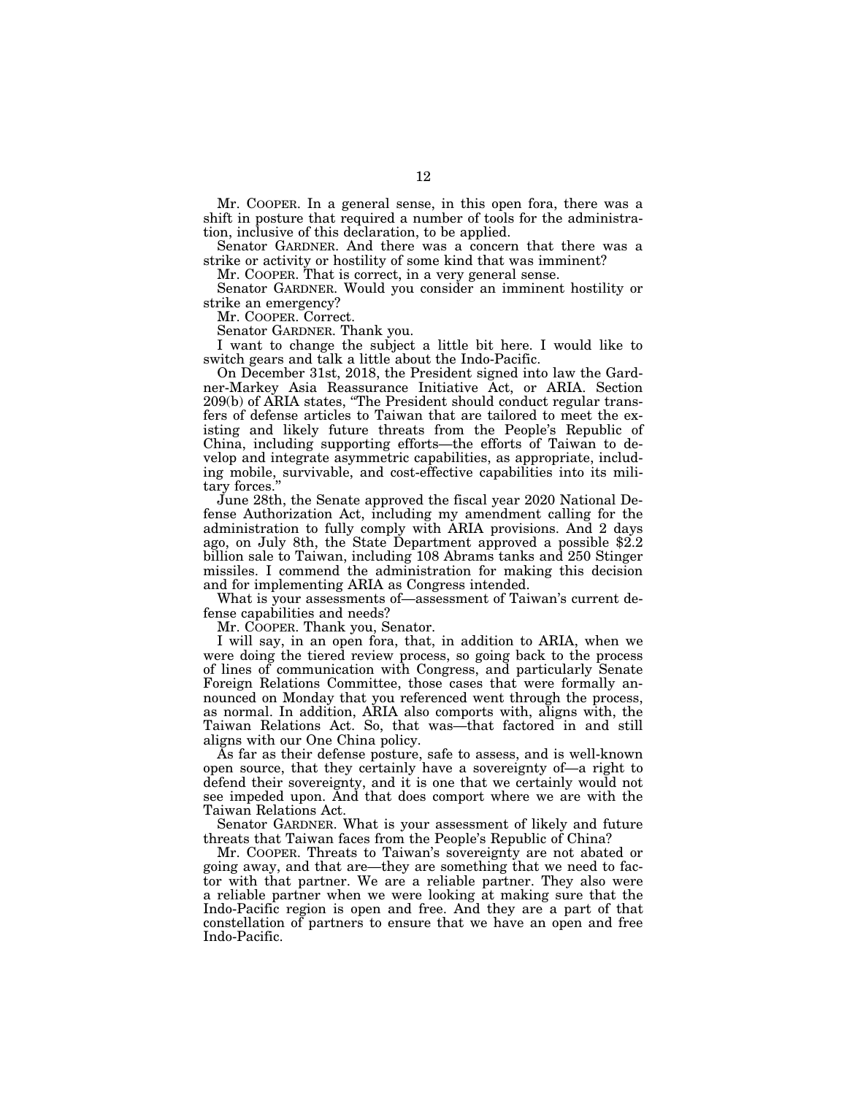Mr. COOPER. In a general sense, in this open fora, there was a shift in posture that required a number of tools for the administration, inclusive of this declaration, to be applied.

Senator GARDNER. And there was a concern that there was a strike or activity or hostility of some kind that was imminent?

Mr. COOPER. That is correct, in a very general sense.

Senator GARDNER. Would you consider an imminent hostility or strike an emergency?

Mr. COOPER. Correct.

Senator GARDNER. Thank you.

I want to change the subject a little bit here. I would like to switch gears and talk a little about the Indo-Pacific.

On December 31st, 2018, the President signed into law the Gardner-Markey Asia Reassurance Initiative Act, or ARIA. Section 209(b) of ARIA states, ''The President should conduct regular transfers of defense articles to Taiwan that are tailored to meet the existing and likely future threats from the People's Republic of China, including supporting efforts—the efforts of Taiwan to develop and integrate asymmetric capabilities, as appropriate, including mobile, survivable, and cost-effective capabilities into its military forces.

June 28th, the Senate approved the fiscal year 2020 National Defense Authorization Act, including my amendment calling for the administration to fully comply with ARIA provisions. And 2 days ago, on July 8th, the State Department approved a possible \$2.2 billion sale to Taiwan, including 108 Abrams tanks and 250 Stinger missiles. I commend the administration for making this decision and for implementing ARIA as Congress intended.

What is your assessments of—assessment of Taiwan's current defense capabilities and needs?

Mr. COOPER. Thank you, Senator.

I will say, in an open fora, that, in addition to ARIA, when we were doing the tiered review process, so going back to the process of lines of communication with Congress, and particularly Senate Foreign Relations Committee, those cases that were formally announced on Monday that you referenced went through the process, as normal. In addition, ARIA also comports with, aligns with, the Taiwan Relations Act. So, that was—that factored in and still aligns with our One China policy.

As far as their defense posture, safe to assess, and is well-known open source, that they certainly have a sovereignty of—a right to defend their sovereignty, and it is one that we certainly would not see impeded upon. And that does comport where we are with the Taiwan Relations Act.

Senator GARDNER. What is your assessment of likely and future threats that Taiwan faces from the People's Republic of China?

Mr. COOPER. Threats to Taiwan's sovereignty are not abated or going away, and that are—they are something that we need to factor with that partner. We are a reliable partner. They also were a reliable partner when we were looking at making sure that the Indo-Pacific region is open and free. And they are a part of that constellation of partners to ensure that we have an open and free Indo-Pacific.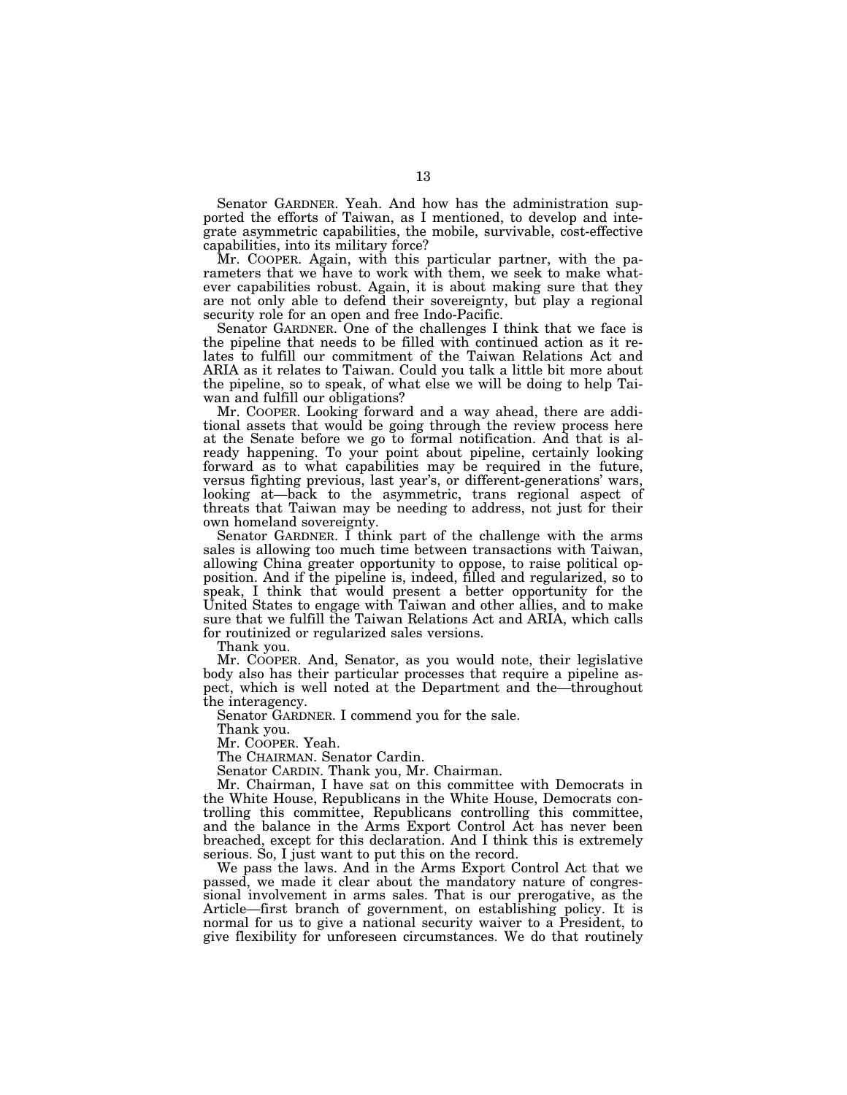Senator GARDNER. Yeah. And how has the administration supported the efforts of Taiwan, as I mentioned, to develop and integrate asymmetric capabilities, the mobile, survivable, cost-effective capabilities, into its military force?

Mr. COOPER. Again, with this particular partner, with the parameters that we have to work with them, we seek to make whatever capabilities robust. Again, it is about making sure that they are not only able to defend their sovereignty, but play a regional security role for an open and free Indo-Pacific.

Senator GARDNER. One of the challenges I think that we face is the pipeline that needs to be filled with continued action as it relates to fulfill our commitment of the Taiwan Relations Act and ARIA as it relates to Taiwan. Could you talk a little bit more about the pipeline, so to speak, of what else we will be doing to help Taiwan and fulfill our obligations?

Mr. COOPER. Looking forward and a way ahead, there are additional assets that would be going through the review process here at the Senate before we go to formal notification. And that is already happening. To your point about pipeline, certainly looking forward as to what capabilities may be required in the future, versus fighting previous, last year's, or different-generations' wars, looking at—back to the asymmetric, trans regional aspect of threats that Taiwan may be needing to address, not just for their own homeland sovereignty.

Senator GARDNER. I think part of the challenge with the arms sales is allowing too much time between transactions with Taiwan, allowing China greater opportunity to oppose, to raise political opposition. And if the pipeline is, indeed, filled and regularized, so to speak, I think that would present a better opportunity for the United States to engage with Taiwan and other allies, and to make sure that we fulfill the Taiwan Relations Act and ARIA, which calls for routinized or regularized sales versions.

Thank you.

Mr. COOPER. And, Senator, as you would note, their legislative body also has their particular processes that require a pipeline aspect, which is well noted at the Department and the—throughout the interagency.

Senator GARDNER. I commend you for the sale.

Thank you.

Mr. COOPER. Yeah.

The CHAIRMAN. Senator Cardin.

Senator CARDIN. Thank you, Mr. Chairman.

Mr. Chairman, I have sat on this committee with Democrats in the White House, Republicans in the White House, Democrats controlling this committee, Republicans controlling this committee, and the balance in the Arms Export Control Act has never been breached, except for this declaration. And I think this is extremely serious. So, I just want to put this on the record.

We pass the laws. And in the Arms Export Control Act that we passed, we made it clear about the mandatory nature of congressional involvement in arms sales. That is our prerogative, as the Article—first branch of government, on establishing policy. It is normal for us to give a national security waiver to a President, to give flexibility for unforeseen circumstances. We do that routinely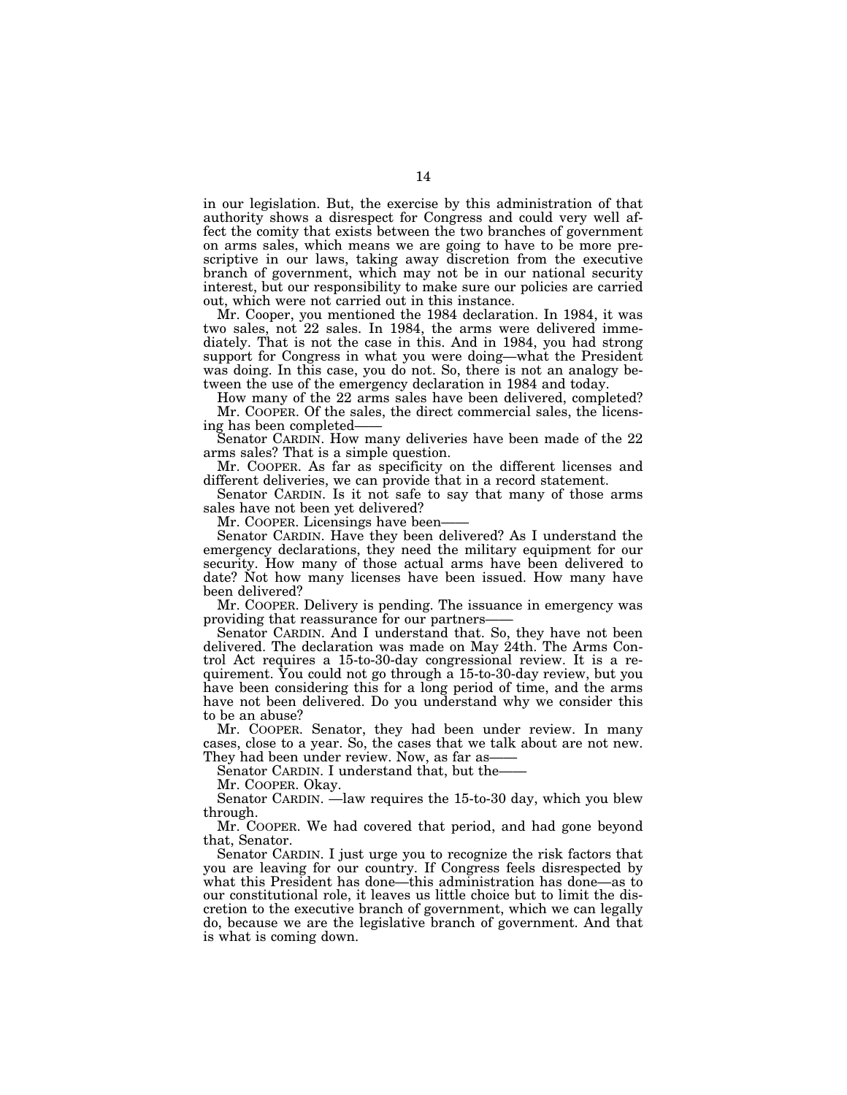in our legislation. But, the exercise by this administration of that authority shows a disrespect for Congress and could very well affect the comity that exists between the two branches of government on arms sales, which means we are going to have to be more prescriptive in our laws, taking away discretion from the executive branch of government, which may not be in our national security interest, but our responsibility to make sure our policies are carried out, which were not carried out in this instance.

Mr. Cooper, you mentioned the 1984 declaration. In 1984, it was two sales, not 22 sales. In 1984, the arms were delivered immediately. That is not the case in this. And in 1984, you had strong support for Congress in what you were doing—what the President was doing. In this case, you do not. So, there is not an analogy between the use of the emergency declaration in 1984 and today.

How many of the 22 arms sales have been delivered, completed? Mr. COOPER. Of the sales, the direct commercial sales, the licensing has been completed——

Senator CARDIN. How many deliveries have been made of the 22 arms sales? That is a simple question.

Mr. COOPER. As far as specificity on the different licenses and different deliveries, we can provide that in a record statement.

Senator CARDIN. Is it not safe to say that many of those arms sales have not been yet delivered?

Mr. COOPER. Licensings have been-

Senator CARDIN. Have they been delivered? As I understand the emergency declarations, they need the military equipment for our security. How many of those actual arms have been delivered to date? Not how many licenses have been issued. How many have been delivered?

Mr. COOPER. Delivery is pending. The issuance in emergency was providing that reassurance for our partners——

Senator CARDIN. And I understand that. So, they have not been delivered. The declaration was made on May 24th. The Arms Control Act requires a 15-to-30-day congressional review. It is a requirement. You could not go through a 15-to-30-day review, but you have been considering this for a long period of time, and the arms have not been delivered. Do you understand why we consider this to be an abuse?

Mr. COOPER. Senator, they had been under review. In many cases, close to a year. So, the cases that we talk about are not new. They had been under review. Now, as far as-

Senator CARDIN. I understand that, but the-

Mr. COOPER. Okay.

Senator CARDIN. —law requires the 15-to-30 day, which you blew through.

Mr. COOPER. We had covered that period, and had gone beyond that, Senator.

Senator CARDIN. I just urge you to recognize the risk factors that you are leaving for our country. If Congress feels disrespected by what this President has done—this administration has done—as to our constitutional role, it leaves us little choice but to limit the discretion to the executive branch of government, which we can legally do, because we are the legislative branch of government. And that is what is coming down.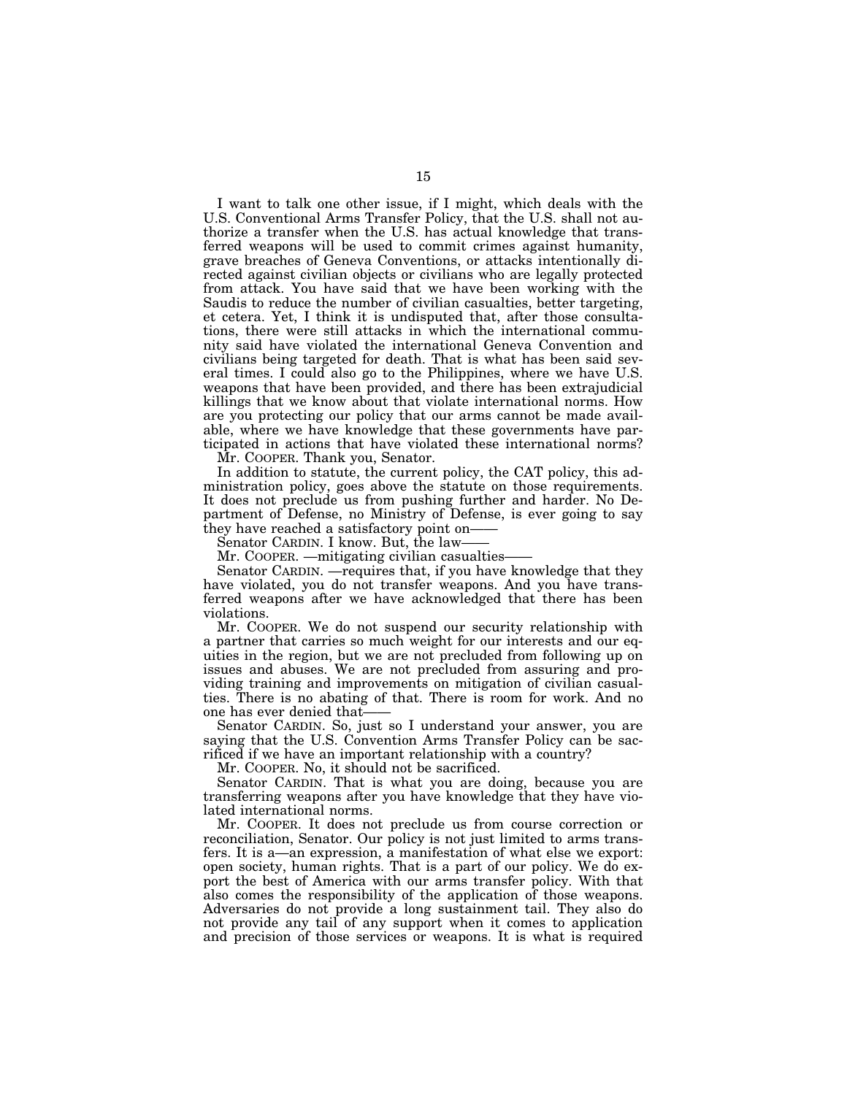I want to talk one other issue, if I might, which deals with the U.S. Conventional Arms Transfer Policy, that the U.S. shall not authorize a transfer when the U.S. has actual knowledge that transferred weapons will be used to commit crimes against humanity, grave breaches of Geneva Conventions, or attacks intentionally directed against civilian objects or civilians who are legally protected from attack. You have said that we have been working with the Saudis to reduce the number of civilian casualties, better targeting, et cetera. Yet, I think it is undisputed that, after those consultations, there were still attacks in which the international community said have violated the international Geneva Convention and civilians being targeted for death. That is what has been said several times. I could also go to the Philippines, where we have U.S. weapons that have been provided, and there has been extrajudicial killings that we know about that violate international norms. How are you protecting our policy that our arms cannot be made available, where we have knowledge that these governments have participated in actions that have violated these international norms?

Mr. COOPER. Thank you, Senator.

In addition to statute, the current policy, the CAT policy, this administration policy, goes above the statute on those requirements. It does not preclude us from pushing further and harder. No Department of Defense, no Ministry of Defense, is ever going to say they have reached a satisfactory point on——

Senator CARDIN. I know. But, the law-

Mr. COOPER. —mitigating civilian casualties—

Senator CARDIN. —requires that, if you have knowledge that they have violated, you do not transfer weapons. And you have transferred weapons after we have acknowledged that there has been violations.

Mr. COOPER. We do not suspend our security relationship with a partner that carries so much weight for our interests and our equities in the region, but we are not precluded from following up on issues and abuses. We are not precluded from assuring and providing training and improvements on mitigation of civilian casualties. There is no abating of that. There is room for work. And no one has ever denied that-

Senator CARDIN. So, just so I understand your answer, you are saying that the U.S. Convention Arms Transfer Policy can be sacrificed if we have an important relationship with a country?

Mr. COOPER. No, it should not be sacrificed.

Senator CARDIN. That is what you are doing, because you are transferring weapons after you have knowledge that they have violated international norms.

Mr. COOPER. It does not preclude us from course correction or reconciliation, Senator. Our policy is not just limited to arms transfers. It is a—an expression, a manifestation of what else we export: open society, human rights. That is a part of our policy. We do export the best of America with our arms transfer policy. With that also comes the responsibility of the application of those weapons. Adversaries do not provide a long sustainment tail. They also do not provide any tail of any support when it comes to application and precision of those services or weapons. It is what is required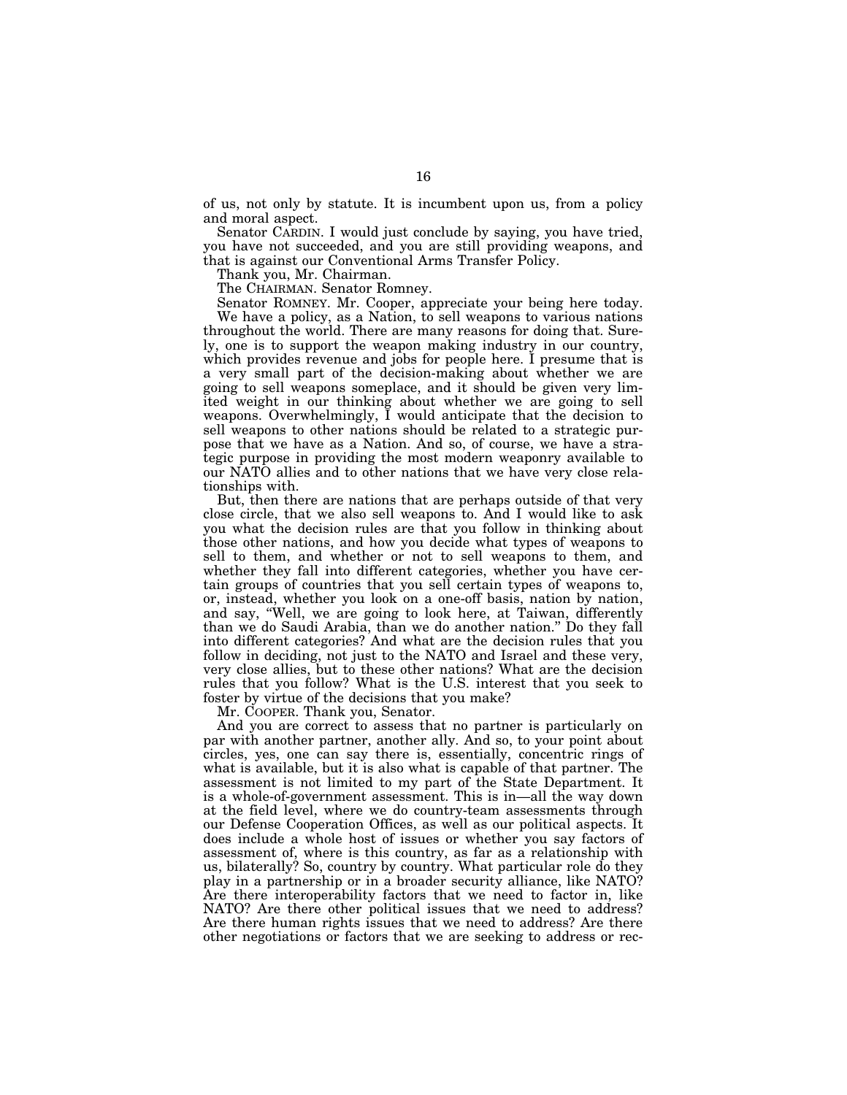of us, not only by statute. It is incumbent upon us, from a policy and moral aspect.

Senator CARDIN. I would just conclude by saying, you have tried, you have not succeeded, and you are still providing weapons, and that is against our Conventional Arms Transfer Policy.

Thank you, Mr. Chairman.

The CHAIRMAN. Senator Romney.

Senator ROMNEY. Mr. Cooper, appreciate your being here today. We have a policy, as a Nation, to sell weapons to various nations throughout the world. There are many reasons for doing that. Surely, one is to support the weapon making industry in our country, which provides revenue and jobs for people here. I presume that is a very small part of the decision-making about whether we are going to sell weapons someplace, and it should be given very limited weight in our thinking about whether we are going to sell weapons. Overwhelmingly, I would anticipate that the decision to sell weapons to other nations should be related to a strategic purpose that we have as a Nation. And so, of course, we have a strategic purpose in providing the most modern weaponry available to our NATO allies and to other nations that we have very close relationships with.

But, then there are nations that are perhaps outside of that very close circle, that we also sell weapons to. And I would like to ask you what the decision rules are that you follow in thinking about those other nations, and how you decide what types of weapons to sell to them, and whether or not to sell weapons to them, and whether they fall into different categories, whether you have certain groups of countries that you sell certain types of weapons to, or, instead, whether you look on a one-off basis, nation by nation, and say, ''Well, we are going to look here, at Taiwan, differently than we do Saudi Arabia, than we do another nation.'' Do they fall into different categories? And what are the decision rules that you follow in deciding, not just to the NATO and Israel and these very, very close allies, but to these other nations? What are the decision rules that you follow? What is the U.S. interest that you seek to foster by virtue of the decisions that you make?

Mr. COOPER. Thank you, Senator.

And you are correct to assess that no partner is particularly on par with another partner, another ally. And so, to your point about circles, yes, one can say there is, essentially, concentric rings of what is available, but it is also what is capable of that partner. The assessment is not limited to my part of the State Department. It is a whole-of-government assessment. This is in—all the way down at the field level, where we do country-team assessments through our Defense Cooperation Offices, as well as our political aspects. It does include a whole host of issues or whether you say factors of assessment of, where is this country, as far as a relationship with us, bilaterally? So, country by country. What particular role do they play in a partnership or in a broader security alliance, like NATO? Are there interoperability factors that we need to factor in, like NATO? Are there other political issues that we need to address? Are there human rights issues that we need to address? Are there other negotiations or factors that we are seeking to address or rec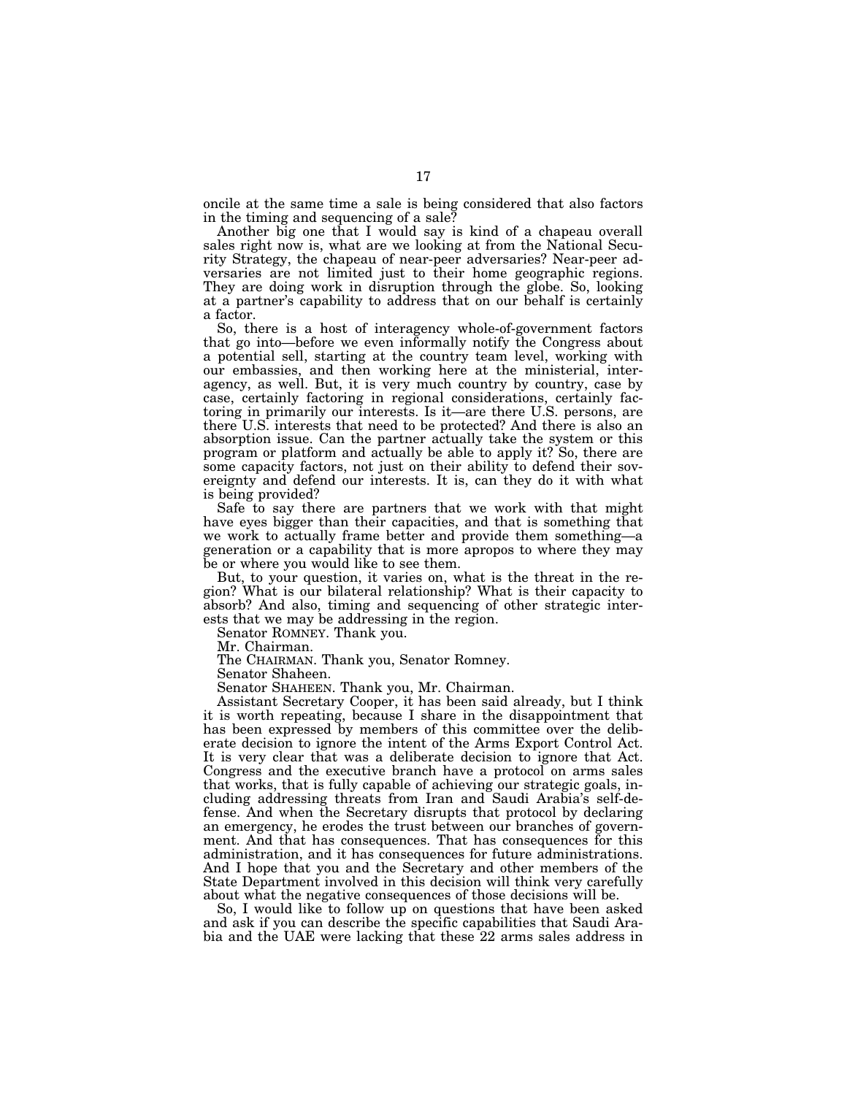oncile at the same time a sale is being considered that also factors in the timing and sequencing of a sale?

Another big one that I would say is kind of a chapeau overall sales right now is, what are we looking at from the National Security Strategy, the chapeau of near-peer adversaries? Near-peer adversaries are not limited just to their home geographic regions. They are doing work in disruption through the globe. So, looking at a partner's capability to address that on our behalf is certainly a factor.

So, there is a host of interagency whole-of-government factors that go into—before we even informally notify the Congress about a potential sell, starting at the country team level, working with our embassies, and then working here at the ministerial, interagency, as well. But, it is very much country by country, case by case, certainly factoring in regional considerations, certainly factoring in primarily our interests. Is it—are there U.S. persons, are there U.S. interests that need to be protected? And there is also an absorption issue. Can the partner actually take the system or this program or platform and actually be able to apply it? So, there are some capacity factors, not just on their ability to defend their sovereignty and defend our interests. It is, can they do it with what is being provided?

Safe to say there are partners that we work with that might have eyes bigger than their capacities, and that is something that we work to actually frame better and provide them something—a generation or a capability that is more apropos to where they may be or where you would like to see them.

But, to your question, it varies on, what is the threat in the region? What is our bilateral relationship? What is their capacity to absorb? And also, timing and sequencing of other strategic interests that we may be addressing in the region.

Senator ROMNEY. Thank you.

Mr. Chairman.

The CHAIRMAN. Thank you, Senator Romney.

Senator Shaheen.

Senator SHAHEEN. Thank you, Mr. Chairman.

Assistant Secretary Cooper, it has been said already, but I think it is worth repeating, because I share in the disappointment that has been expressed by members of this committee over the deliberate decision to ignore the intent of the Arms Export Control Act. It is very clear that was a deliberate decision to ignore that Act. Congress and the executive branch have a protocol on arms sales that works, that is fully capable of achieving our strategic goals, including addressing threats from Iran and Saudi Arabia's self-defense. And when the Secretary disrupts that protocol by declaring an emergency, he erodes the trust between our branches of government. And that has consequences. That has consequences for this administration, and it has consequences for future administrations. And I hope that you and the Secretary and other members of the State Department involved in this decision will think very carefully about what the negative consequences of those decisions will be.

So, I would like to follow up on questions that have been asked and ask if you can describe the specific capabilities that Saudi Arabia and the UAE were lacking that these 22 arms sales address in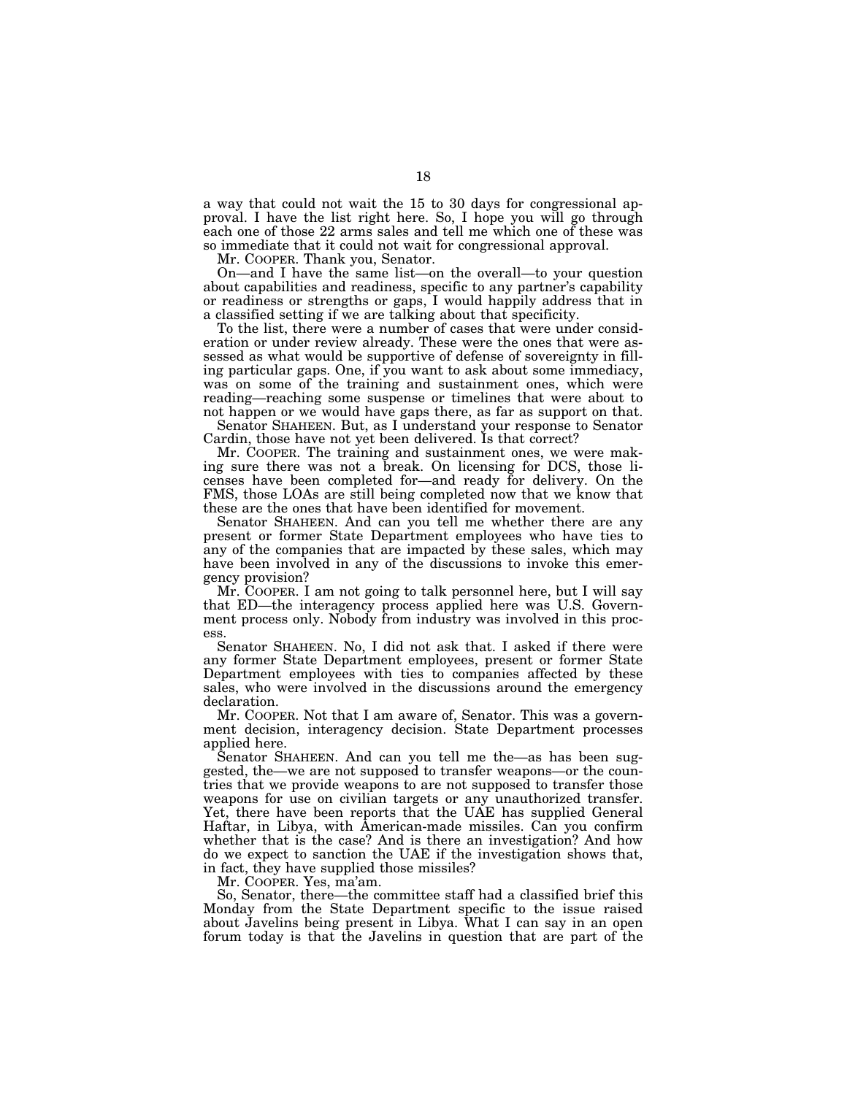a way that could not wait the 15 to 30 days for congressional approval. I have the list right here. So, I hope you will go through each one of those 22 arms sales and tell me which one of these was so immediate that it could not wait for congressional approval.

Mr. COOPER. Thank you, Senator.

On—and I have the same list—on the overall—to your question about capabilities and readiness, specific to any partner's capability or readiness or strengths or gaps, I would happily address that in a classified setting if we are talking about that specificity.

To the list, there were a number of cases that were under consideration or under review already. These were the ones that were assessed as what would be supportive of defense of sovereignty in filling particular gaps. One, if you want to ask about some immediacy, was on some of the training and sustainment ones, which were reading—reaching some suspense or timelines that were about to not happen or we would have gaps there, as far as support on that.

Senator SHAHEEN. But, as I understand your response to Senator Cardin, those have not yet been delivered. Is that correct?

Mr. COOPER. The training and sustainment ones, we were making sure there was not a break. On licensing for DCS, those licenses have been completed for—and ready for delivery. On the FMS, those LOAs are still being completed now that we know that these are the ones that have been identified for movement.

Senator SHAHEEN. And can you tell me whether there are any present or former State Department employees who have ties to any of the companies that are impacted by these sales, which may have been involved in any of the discussions to invoke this emergency provision?

Mr. COOPER. I am not going to talk personnel here, but I will say that ED—the interagency process applied here was U.S. Government process only. Nobody from industry was involved in this process.

Senator SHAHEEN. No, I did not ask that. I asked if there were any former State Department employees, present or former State Department employees with ties to companies affected by these sales, who were involved in the discussions around the emergency declaration.

Mr. COOPER. Not that I am aware of, Senator. This was a government decision, interagency decision. State Department processes applied here.

Senator SHAHEEN. And can you tell me the—as has been suggested, the—we are not supposed to transfer weapons—or the countries that we provide weapons to are not supposed to transfer those weapons for use on civilian targets or any unauthorized transfer. Yet, there have been reports that the UAE has supplied General Haftar, in Libya, with American-made missiles. Can you confirm whether that is the case? And is there an investigation? And how do we expect to sanction the UAE if the investigation shows that, in fact, they have supplied those missiles?

Mr. COOPER. Yes, ma'am.

So, Senator, there—the committee staff had a classified brief this Monday from the State Department specific to the issue raised about Javelins being present in Libya. What I can say in an open forum today is that the Javelins in question that are part of the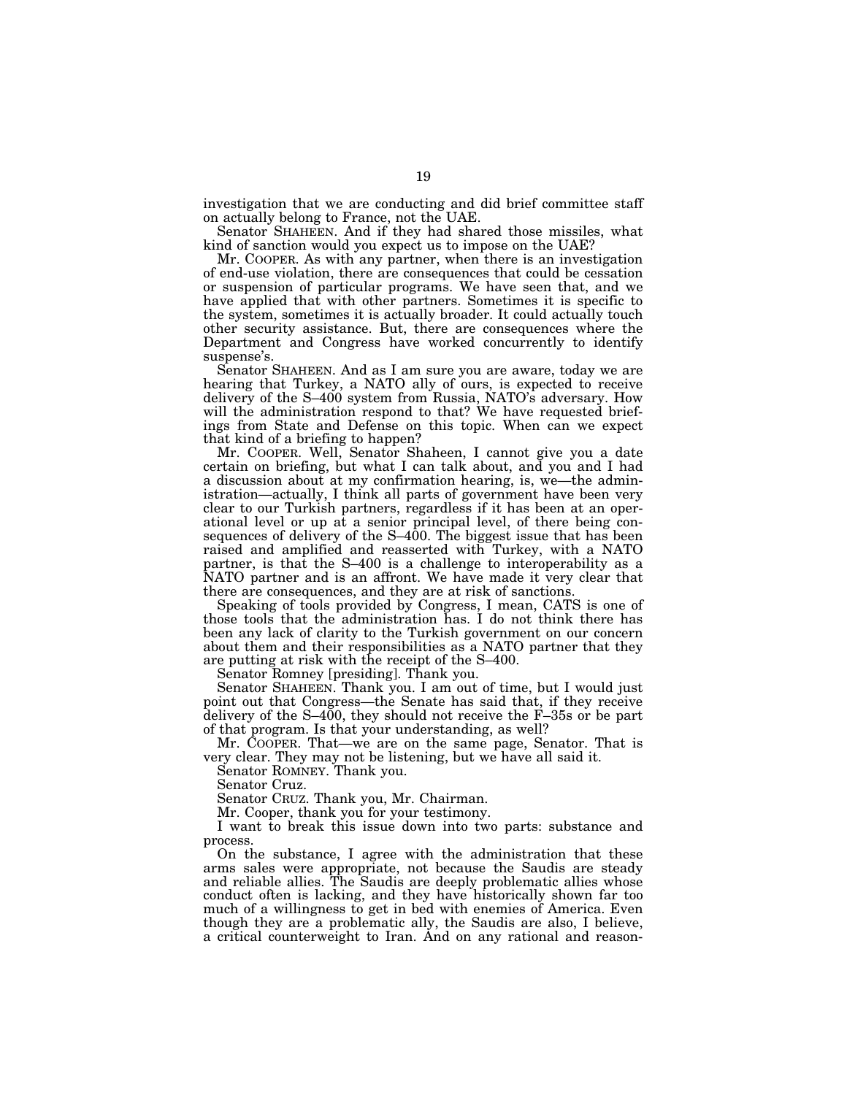investigation that we are conducting and did brief committee staff on actually belong to France, not the UAE.

Senator SHAHEEN. And if they had shared those missiles, what kind of sanction would you expect us to impose on the UAE?

Mr. COOPER. As with any partner, when there is an investigation of end-use violation, there are consequences that could be cessation or suspension of particular programs. We have seen that, and we have applied that with other partners. Sometimes it is specific to the system, sometimes it is actually broader. It could actually touch other security assistance. But, there are consequences where the Department and Congress have worked concurrently to identify suspense's.

Senator SHAHEEN. And as I am sure you are aware, today we are hearing that Turkey, a NATO ally of ours, is expected to receive delivery of the S–400 system from Russia, NATO's adversary. How will the administration respond to that? We have requested briefings from State and Defense on this topic. When can we expect that kind of a briefing to happen?

Mr. COOPER. Well, Senator Shaheen, I cannot give you a date certain on briefing, but what I can talk about, and you and I had a discussion about at my confirmation hearing, is, we—the administration—actually, I think all parts of government have been very clear to our Turkish partners, regardless if it has been at an operational level or up at a senior principal level, of there being consequences of delivery of the S-400. The biggest issue that has been raised and amplified and reasserted with Turkey, with a NATO partner, is that the S–400 is a challenge to interoperability as a NATO partner and is an affront. We have made it very clear that there are consequences, and they are at risk of sanctions.

Speaking of tools provided by Congress, I mean, CATS is one of those tools that the administration has. I do not think there has been any lack of clarity to the Turkish government on our concern about them and their responsibilities as a NATO partner that they are putting at risk with the receipt of the S–400.

Senator Romney [presiding]. Thank you.

Senator SHAHEEN. Thank you. I am out of time, but I would just point out that Congress—the Senate has said that, if they receive delivery of the  $S-400$ , they should not receive the  $F-35s$  or be part of that program. Is that your understanding, as well?

Mr. COOPER. That—we are on the same page, Senator. That is very clear. They may not be listening, but we have all said it.

Senator ROMNEY. Thank you.

Senator Cruz.

Senator CRUZ. Thank you, Mr. Chairman.

Mr. Cooper, thank you for your testimony.

I want to break this issue down into two parts: substance and process.

On the substance, I agree with the administration that these arms sales were appropriate, not because the Saudis are steady and reliable allies. The Saudis are deeply problematic allies whose conduct often is lacking, and they have historically shown far too much of a willingness to get in bed with enemies of America. Even though they are a problematic ally, the Saudis are also, I believe, a critical counterweight to Iran. And on any rational and reason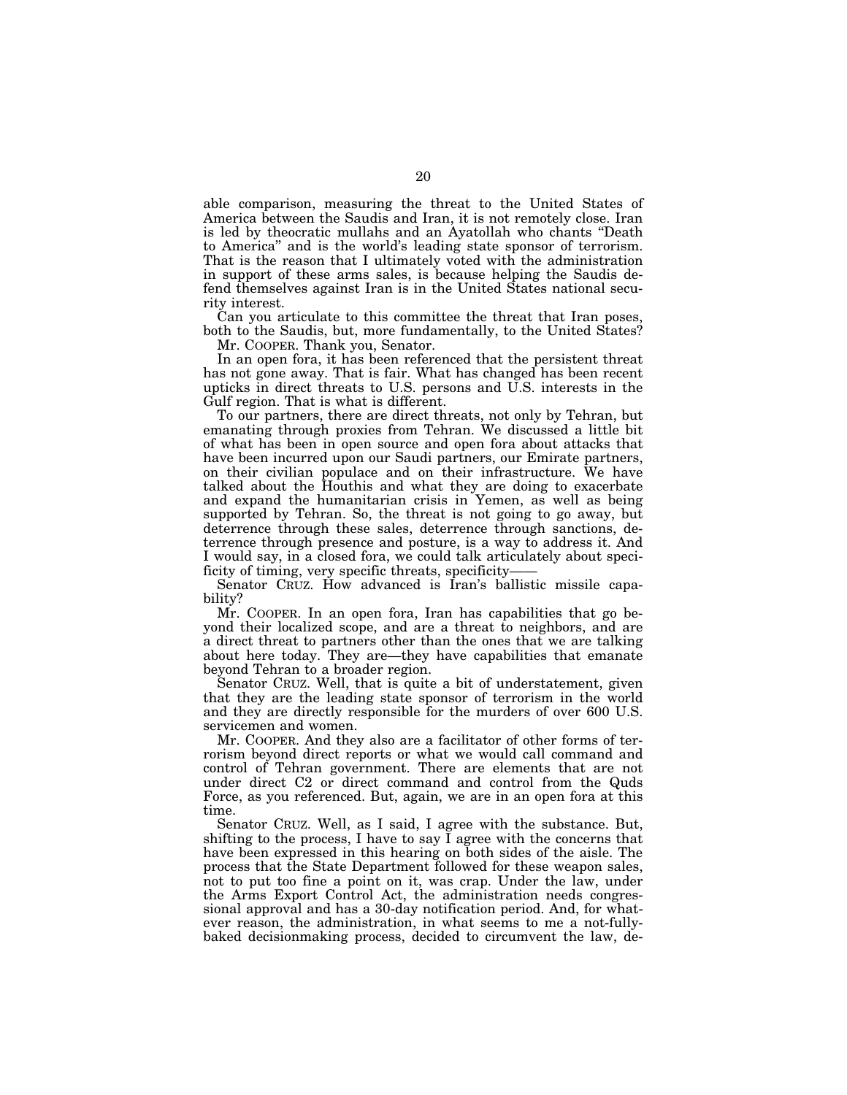able comparison, measuring the threat to the United States of America between the Saudis and Iran, it is not remotely close. Iran is led by theocratic mullahs and an Ayatollah who chants ''Death to America'' and is the world's leading state sponsor of terrorism. That is the reason that I ultimately voted with the administration in support of these arms sales, is because helping the Saudis defend themselves against Iran is in the United States national security interest.

Can you articulate to this committee the threat that Iran poses, both to the Saudis, but, more fundamentally, to the United States? Mr. COOPER. Thank you, Senator.

In an open fora, it has been referenced that the persistent threat has not gone away. That is fair. What has changed has been recent upticks in direct threats to U.S. persons and U.S. interests in the

Gulf region. That is what is different. To our partners, there are direct threats, not only by Tehran, but emanating through proxies from Tehran. We discussed a little bit of what has been in open source and open fora about attacks that have been incurred upon our Saudi partners, our Emirate partners, on their civilian populace and on their infrastructure. We have talked about the Houthis and what they are doing to exacerbate and expand the humanitarian crisis in Yemen, as well as being supported by Tehran. So, the threat is not going to go away, but deterrence through these sales, deterrence through sanctions, deterrence through presence and posture, is a way to address it. And I would say, in a closed fora, we could talk articulately about specificity of timing, very specific threats, specificity——

Senator CRUZ. How advanced is Iran's ballistic missile capability?

Mr. COOPER. In an open fora, Iran has capabilities that go beyond their localized scope, and are a threat to neighbors, and are a direct threat to partners other than the ones that we are talking about here today. They are—they have capabilities that emanate beyond Tehran to a broader region.

Senator CRUZ. Well, that is quite a bit of understatement, given that they are the leading state sponsor of terrorism in the world and they are directly responsible for the murders of over 600 U.S. servicemen and women.

Mr. COOPER. And they also are a facilitator of other forms of terrorism beyond direct reports or what we would call command and control of Tehran government. There are elements that are not under direct C2 or direct command and control from the Quds Force, as you referenced. But, again, we are in an open fora at this time.

Senator CRUZ. Well, as I said, I agree with the substance. But, shifting to the process, I have to say I agree with the concerns that have been expressed in this hearing on both sides of the aisle. The process that the State Department followed for these weapon sales, not to put too fine a point on it, was crap. Under the law, under the Arms Export Control Act, the administration needs congressional approval and has a 30-day notification period. And, for whatever reason, the administration, in what seems to me a not-fullybaked decisionmaking process, decided to circumvent the law, de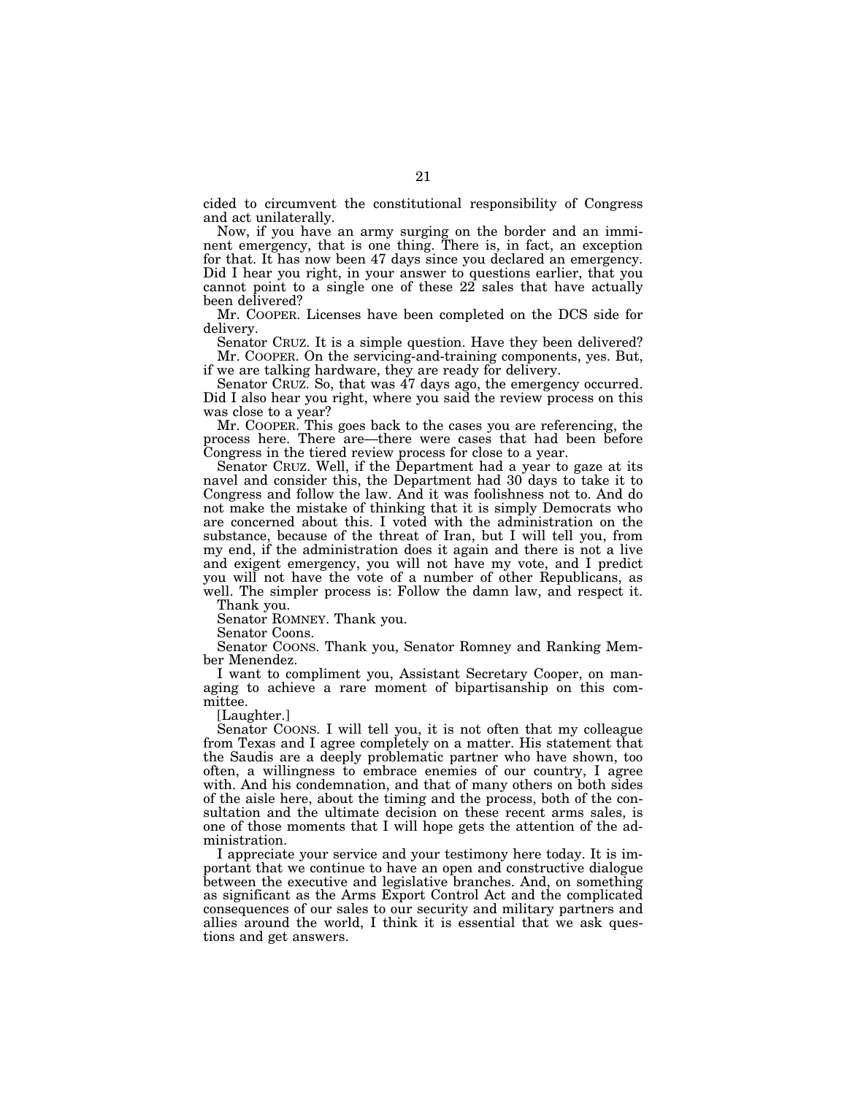cided to circumvent the constitutional responsibility of Congress and act unilaterally.

Now, if you have an army surging on the border and an imminent emergency, that is one thing. There is, in fact, an exception for that. It has now been 47 days since you declared an emergency. Did I hear you right, in your answer to questions earlier, that you cannot point to a single one of these  $22$  sales that have actually been delivered?

Mr. COOPER. Licenses have been completed on the DCS side for delivery.

Senator CRUZ. It is a simple question. Have they been delivered? Mr. COOPER. On the servicing-and-training components, yes. But, if we are talking hardware, they are ready for delivery.

Senator CRUZ. So, that was  $47$  days ago, the emergency occurred. Did I also hear you right, where you said the review process on this was close to a year?

Mr. COOPER. This goes back to the cases you are referencing, the process here. There are—there were cases that had been before Congress in the tiered review process for close to a year.

Senator CRUZ. Well, if the Department had a year to gaze at its navel and consider this, the Department had 30 days to take it to Congress and follow the law. And it was foolishness not to. And do not make the mistake of thinking that it is simply Democrats who are concerned about this. I voted with the administration on the substance, because of the threat of Iran, but I will tell you, from my end, if the administration does it again and there is not a live and exigent emergency, you will not have my vote, and I predict you will not have the vote of a number of other Republicans, as well. The simpler process is: Follow the damn law, and respect it.

Thank you.

Senator ROMNEY. Thank you.

Senator Coons.

Senator COONS. Thank you, Senator Romney and Ranking Member Menendez.

I want to compliment you, Assistant Secretary Cooper, on managing to achieve a rare moment of bipartisanship on this committee.

[Laughter.]

Senator COONS. I will tell you, it is not often that my colleague from Texas and I agree completely on a matter. His statement that the Saudis are a deeply problematic partner who have shown, too often, a willingness to embrace enemies of our country, I agree with. And his condemnation, and that of many others on both sides of the aisle here, about the timing and the process, both of the consultation and the ultimate decision on these recent arms sales, is one of those moments that I will hope gets the attention of the administration.

I appreciate your service and your testimony here today. It is important that we continue to have an open and constructive dialogue between the executive and legislative branches. And, on something as significant as the Arms Export Control Act and the complicated consequences of our sales to our security and military partners and allies around the world, I think it is essential that we ask questions and get answers.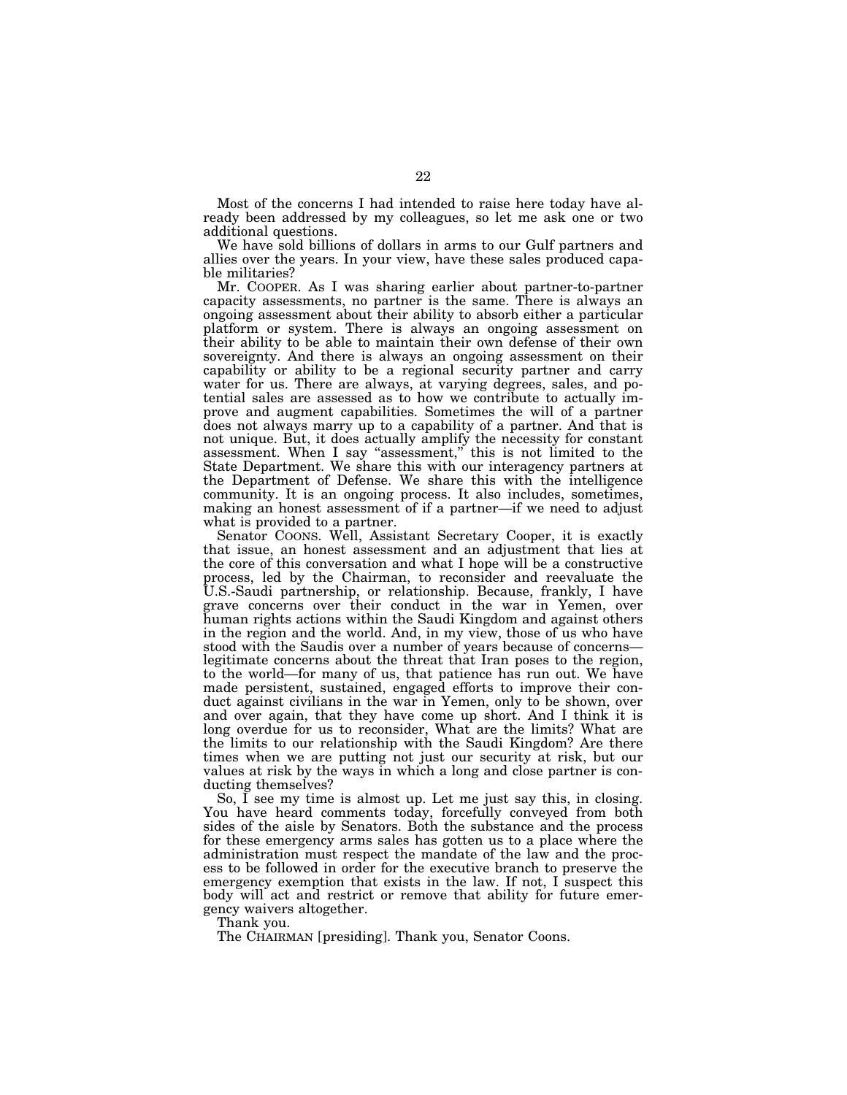Most of the concerns I had intended to raise here today have already been addressed by my colleagues, so let me ask one or two additional questions.

We have sold billions of dollars in arms to our Gulf partners and allies over the years. In your view, have these sales produced capable militaries?

Mr. COOPER. As I was sharing earlier about partner-to-partner capacity assessments, no partner is the same. There is always an ongoing assessment about their ability to absorb either a particular platform or system. There is always an ongoing assessment on their ability to be able to maintain their own defense of their own sovereignty. And there is always an ongoing assessment on their capability or ability to be a regional security partner and carry water for us. There are always, at varying degrees, sales, and potential sales are assessed as to how we contribute to actually improve and augment capabilities. Sometimes the will of a partner does not always marry up to a capability of a partner. And that is not unique. But, it does actually amplify the necessity for constant assessment. When I say ''assessment,'' this is not limited to the State Department. We share this with our interagency partners at the Department of Defense. We share this with the intelligence community. It is an ongoing process. It also includes, sometimes, making an honest assessment of if a partner—if we need to adjust what is provided to a partner.

Senator COONS. Well, Assistant Secretary Cooper, it is exactly that issue, an honest assessment and an adjustment that lies at the core of this conversation and what I hope will be a constructive process, led by the Chairman, to reconsider and reevaluate the U.S.-Saudi partnership, or relationship. Because, frankly, I have grave concerns over their conduct in the war in Yemen, over human rights actions within the Saudi Kingdom and against others in the region and the world. And, in my view, those of us who have stood with the Saudis over a number of years because of concerns legitimate concerns about the threat that Iran poses to the region, to the world—for many of us, that patience has run out. We have made persistent, sustained, engaged efforts to improve their conduct against civilians in the war in Yemen, only to be shown, over and over again, that they have come up short. And I think it is long overdue for us to reconsider, What are the limits? What are the limits to our relationship with the Saudi Kingdom? Are there times when we are putting not just our security at risk, but our values at risk by the ways in which a long and close partner is conducting themselves?

So, I see my time is almost up. Let me just say this, in closing. You have heard comments today, forcefully conveyed from both sides of the aisle by Senators. Both the substance and the process for these emergency arms sales has gotten us to a place where the administration must respect the mandate of the law and the process to be followed in order for the executive branch to preserve the emergency exemption that exists in the law. If not, I suspect this body will act and restrict or remove that ability for future emergency waivers altogether.

Thank you.

The CHAIRMAN [presiding]. Thank you, Senator Coons.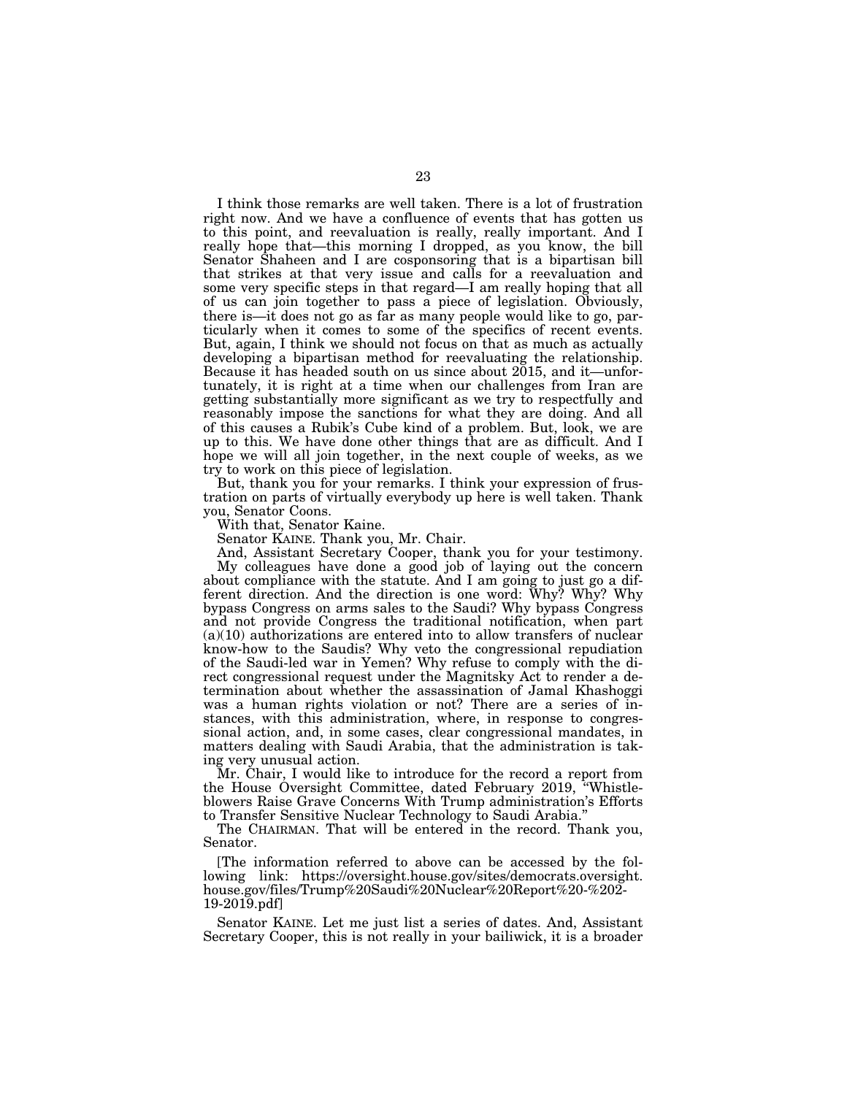I think those remarks are well taken. There is a lot of frustration right now. And we have a confluence of events that has gotten us to this point, and reevaluation is really, really important. And I really hope that—this morning I dropped, as you know, the bill Senator Shaheen and I are cosponsoring that is a bipartisan bill that strikes at that very issue and calls for a reevaluation and some very specific steps in that regard—I am really hoping that all of us can join together to pass a piece of legislation. Obviously, there is—it does not go as far as many people would like to go, particularly when it comes to some of the specifics of recent events. But, again, I think we should not focus on that as much as actually developing a bipartisan method for reevaluating the relationship. Because it has headed south on us since about 2015, and it—unfortunately, it is right at a time when our challenges from Iran are getting substantially more significant as we try to respectfully and reasonably impose the sanctions for what they are doing. And all of this causes a Rubik's Cube kind of a problem. But, look, we are up to this. We have done other things that are as difficult. And I hope we will all join together, in the next couple of weeks, as we try to work on this piece of legislation.

But, thank you for your remarks. I think your expression of frustration on parts of virtually everybody up here is well taken. Thank you, Senator Coons.

With that, Senator Kaine.

Senator KAINE. Thank you, Mr. Chair.

And, Assistant Secretary Cooper, thank you for your testimony. My colleagues have done a good job of laying out the concern about compliance with the statute. And I am going to just go a different direction. And the direction is one word: Why? Why? Why bypass Congress on arms sales to the Saudi? Why bypass Congress and not provide Congress the traditional notification, when part  $(a)(10)$  authorizations are entered into to allow transfers of nuclear know-how to the Saudis? Why veto the congressional repudiation of the Saudi-led war in Yemen? Why refuse to comply with the direct congressional request under the Magnitsky Act to render a determination about whether the assassination of Jamal Khashoggi was a human rights violation or not? There are a series of instances, with this administration, where, in response to congressional action, and, in some cases, clear congressional mandates, in matters dealing with Saudi Arabia, that the administration is taking very unusual action.

Mr. Chair, I would like to introduce for the record a report from the House Oversight Committee, dated February 2019, ''Whistleblowers Raise Grave Concerns With Trump administration's Efforts to Transfer Sensitive Nuclear Technology to Saudi Arabia.''

The CHAIRMAN. That will be entered in the record. Thank you, Senator.

[The information referred to above can be accessed by the following link: https://oversight.house.gov/sites/democrats.oversight. house.gov/files/Trump%20Saudi%20Nuclear%20Report%20-%202- 19-2019.pdf]

Senator KAINE. Let me just list a series of dates. And, Assistant Secretary Cooper, this is not really in your bailiwick, it is a broader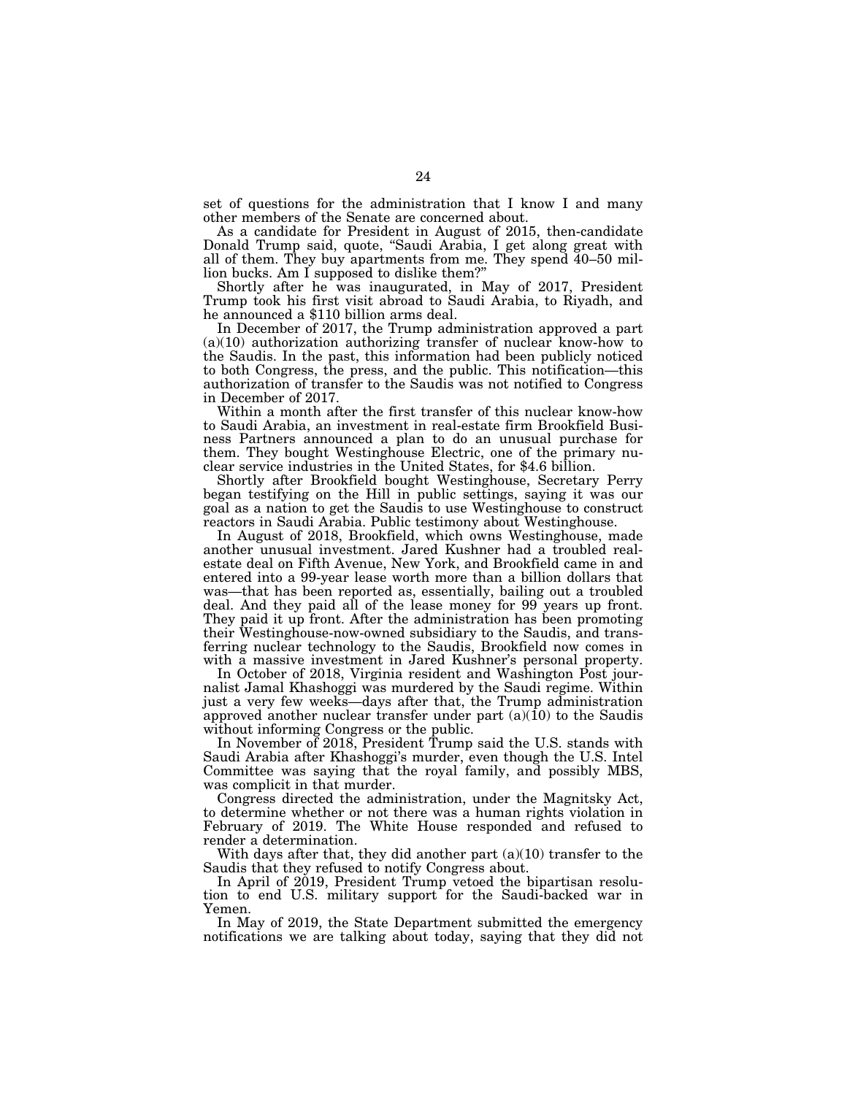set of questions for the administration that I know I and many other members of the Senate are concerned about.

As a candidate for President in August of 2015, then-candidate Donald Trump said, quote, ''Saudi Arabia, I get along great with all of them. They buy apartments from me. They spend  $40-50$  million bucks. Am I supposed to dislike them?''

Shortly after he was inaugurated, in May of 2017, President Trump took his first visit abroad to Saudi Arabia, to Riyadh, and he announced a \$110 billion arms deal.

In December of 2017, the Trump administration approved a part  $(a)(10)$  authorization authorizing transfer of nuclear know-how to the Saudis. In the past, this information had been publicly noticed to both Congress, the press, and the public. This notification—this authorization of transfer to the Saudis was not notified to Congress in December of 2017.

Within a month after the first transfer of this nuclear know-how to Saudi Arabia, an investment in real-estate firm Brookfield Business Partners announced a plan to do an unusual purchase for them. They bought Westinghouse Electric, one of the primary nuclear service industries in the United States, for \$4.6 billion.

Shortly after Brookfield bought Westinghouse, Secretary Perry began testifying on the Hill in public settings, saying it was our goal as a nation to get the Saudis to use Westinghouse to construct reactors in Saudi Arabia. Public testimony about Westinghouse.

In August of 2018, Brookfield, which owns Westinghouse, made another unusual investment. Jared Kushner had a troubled realestate deal on Fifth Avenue, New York, and Brookfield came in and entered into a 99-year lease worth more than a billion dollars that was—that has been reported as, essentially, bailing out a troubled deal. And they paid all of the lease money for 99 years up front. They paid it up front. After the administration has been promoting their Westinghouse-now-owned subsidiary to the Saudis, and transferring nuclear technology to the Saudis, Brookfield now comes in with a massive investment in Jared Kushner's personal property.

In October of 2018, Virginia resident and Washington Post journalist Jamal Khashoggi was murdered by the Saudi regime. Within just a very few weeks—days after that, the Trump administration approved another nuclear transfer under part  $(a)(10)$  to the Saudis without informing Congress or the public.

In November of 2018, President Trump said the U.S. stands with Saudi Arabia after Khashoggi's murder, even though the U.S. Intel Committee was saying that the royal family, and possibly MBS, was complicit in that murder.

Congress directed the administration, under the Magnitsky Act, to determine whether or not there was a human rights violation in February of 2019. The White House responded and refused to render a determination.

With days after that, they did another part (a)(10) transfer to the Saudis that they refused to notify Congress about.

In April of 2019, President Trump vetoed the bipartisan resolution to end U.S. military support for the Saudi-backed war in Yemen.

In May of 2019, the State Department submitted the emergency notifications we are talking about today, saying that they did not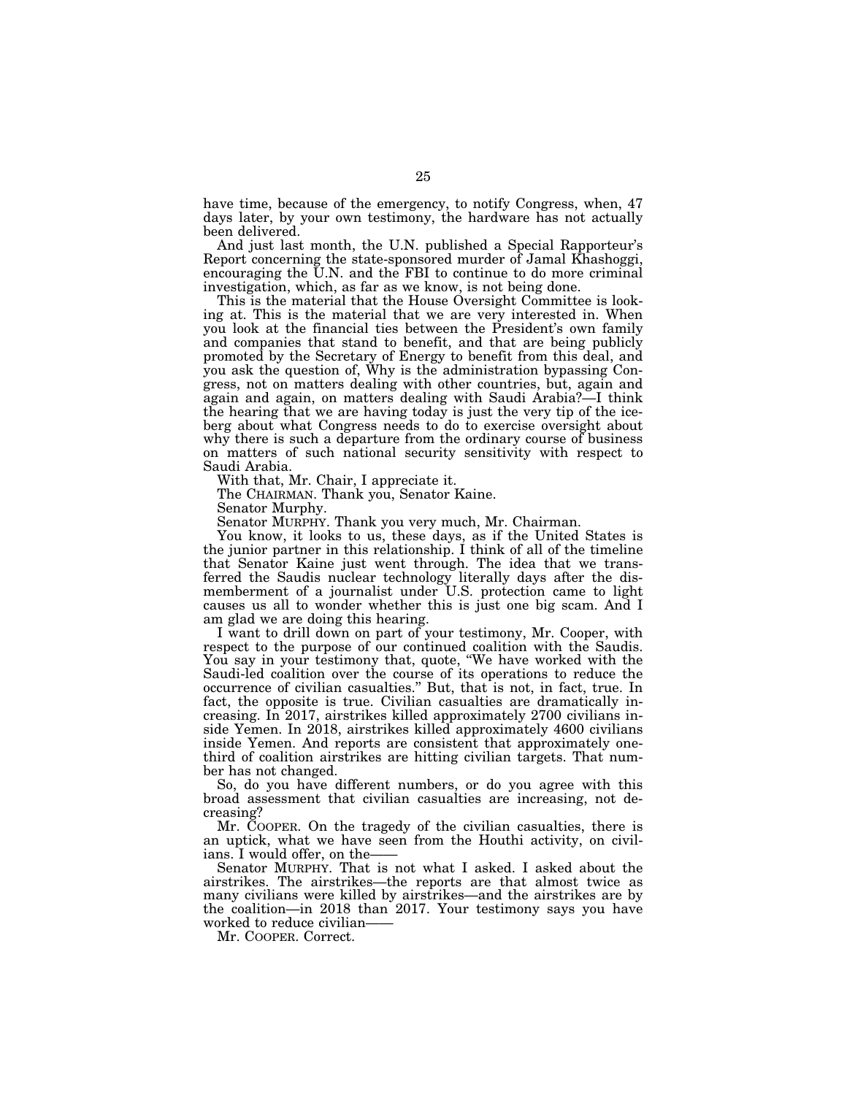have time, because of the emergency, to notify Congress, when, 47 days later, by your own testimony, the hardware has not actually been delivered.

And just last month, the U.N. published a Special Rapporteur's Report concerning the state-sponsored murder of Jamal Khashoggi, encouraging the U.N. and the FBI to continue to do more criminal investigation, which, as far as we know, is not being done.

This is the material that the House Oversight Committee is looking at. This is the material that we are very interested in. When you look at the financial ties between the President's own family and companies that stand to benefit, and that are being publicly promoted by the Secretary of Energy to benefit from this deal, and you ask the question of, Why is the administration bypassing Congress, not on matters dealing with other countries, but, again and again and again, on matters dealing with Saudi Arabia?—I think the hearing that we are having today is just the very tip of the iceberg about what Congress needs to do to exercise oversight about why there is such a departure from the ordinary course of business on matters of such national security sensitivity with respect to Saudi Arabia.

With that, Mr. Chair, I appreciate it.

The CHAIRMAN. Thank you, Senator Kaine.

Senator Murphy.

Senator MURPHY. Thank you very much, Mr. Chairman.

You know, it looks to us, these days, as if the United States is the junior partner in this relationship. I think of all of the timeline that Senator Kaine just went through. The idea that we transferred the Saudis nuclear technology literally days after the dismemberment of a journalist under U.S. protection came to light causes us all to wonder whether this is just one big scam. And I am glad we are doing this hearing.

I want to drill down on part of your testimony, Mr. Cooper, with respect to the purpose of our continued coalition with the Saudis. You say in your testimony that, quote, "We have worked with the Saudi-led coalition over the course of its operations to reduce the occurrence of civilian casualties.'' But, that is not, in fact, true. In fact, the opposite is true. Civilian casualties are dramatically increasing. In 2017, airstrikes killed approximately 2700 civilians inside Yemen. In 2018, airstrikes killed approximately 4600 civilians inside Yemen. And reports are consistent that approximately onethird of coalition airstrikes are hitting civilian targets. That number has not changed.

So, do you have different numbers, or do you agree with this broad assessment that civilian casualties are increasing, not decreasing?

Mr. COOPER. On the tragedy of the civilian casualties, there is an uptick, what we have seen from the Houthi activity, on civilians. I would offer, on the-

Senator MURPHY. That is not what I asked. I asked about the airstrikes. The airstrikes—the reports are that almost twice as many civilians were killed by airstrikes—and the airstrikes are by the coalition—in 2018 than 2017. Your testimony says you have worked to reduce civilian-

Mr. COOPER. Correct.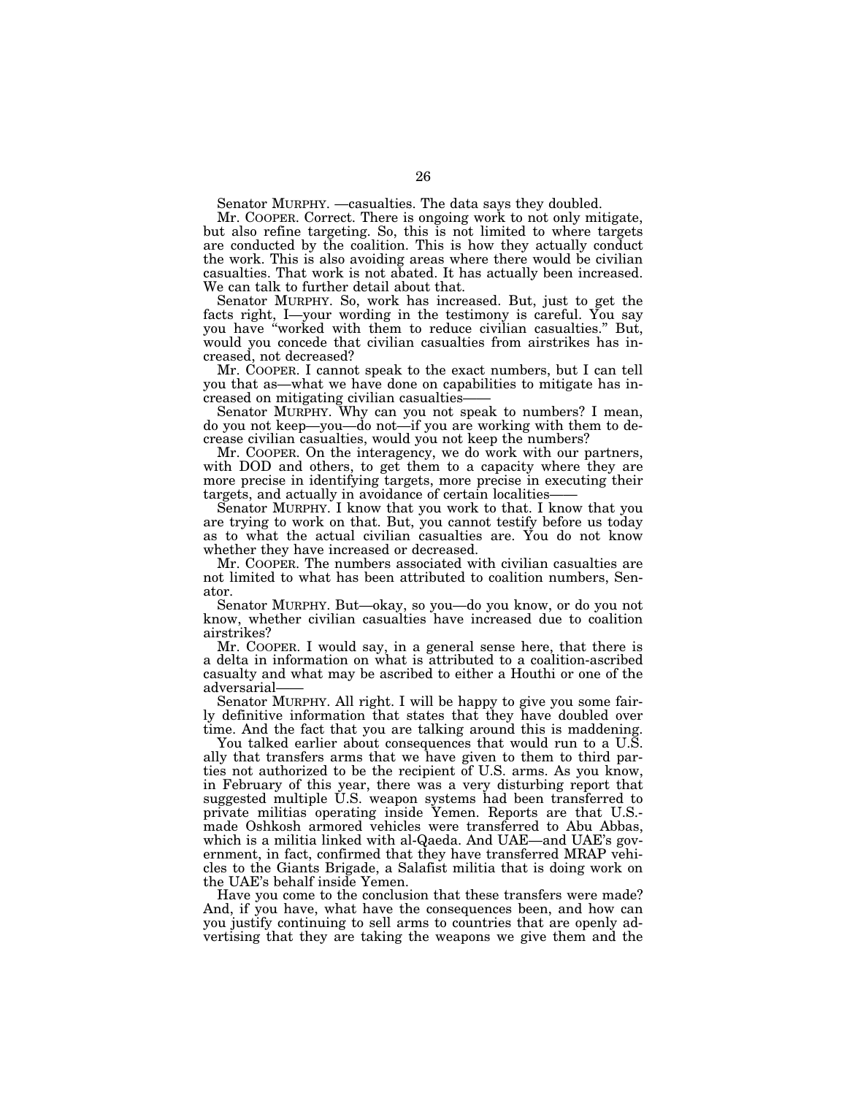Senator MURPHY. —casualties. The data says they doubled.

Mr. COOPER. Correct. There is ongoing work to not only mitigate, but also refine targeting. So, this is not limited to where targets are conducted by the coalition. This is how they actually conduct the work. This is also avoiding areas where there would be civilian casualties. That work is not abated. It has actually been increased. We can talk to further detail about that.

Senator MURPHY. So, work has increased. But, just to get the facts right, I—your wording in the testimony is careful. You say you have ''worked with them to reduce civilian casualties.'' But, would you concede that civilian casualties from airstrikes has increased, not decreased?

Mr. COOPER. I cannot speak to the exact numbers, but I can tell you that as—what we have done on capabilities to mitigate has increased on mitigating civilian casualties——

Senator MURPHY. Why can you not speak to numbers? I mean, do you not keep—you—do not—if you are working with them to decrease civilian casualties, would you not keep the numbers?

Mr. COOPER. On the interagency, we do work with our partners, with DOD and others, to get them to a capacity where they are more precise in identifying targets, more precise in executing their targets, and actually in avoidance of certain localities-

Senator MURPHY. I know that you work to that. I know that you are trying to work on that. But, you cannot testify before us today as to what the actual civilian casualties are. You do not know whether they have increased or decreased.

Mr. COOPER. The numbers associated with civilian casualties are not limited to what has been attributed to coalition numbers, Senator.

Senator MURPHY. But—okay, so you—do you know, or do you not know, whether civilian casualties have increased due to coalition airstrikes?

Mr. COOPER. I would say, in a general sense here, that there is a delta in information on what is attributed to a coalition-ascribed casualty and what may be ascribed to either a Houthi or one of the adversarial——

Senator MURPHY. All right. I will be happy to give you some fairly definitive information that states that they have doubled over time. And the fact that you are talking around this is maddening.

You talked earlier about consequences that would run to a U.S. ally that transfers arms that we have given to them to third parties not authorized to be the recipient of U.S. arms. As you know, in February of this year, there was a very disturbing report that suggested multiple U.S. weapon systems had been transferred to private militias operating inside Yemen. Reports are that U.S. made Oshkosh armored vehicles were transferred to Abu Abbas, which is a militia linked with al-Qaeda. And UAE—and UAE's government, in fact, confirmed that they have transferred MRAP vehicles to the Giants Brigade, a Salafist militia that is doing work on the UAE's behalf inside Yemen.

Have you come to the conclusion that these transfers were made? And, if you have, what have the consequences been, and how can you justify continuing to sell arms to countries that are openly advertising that they are taking the weapons we give them and the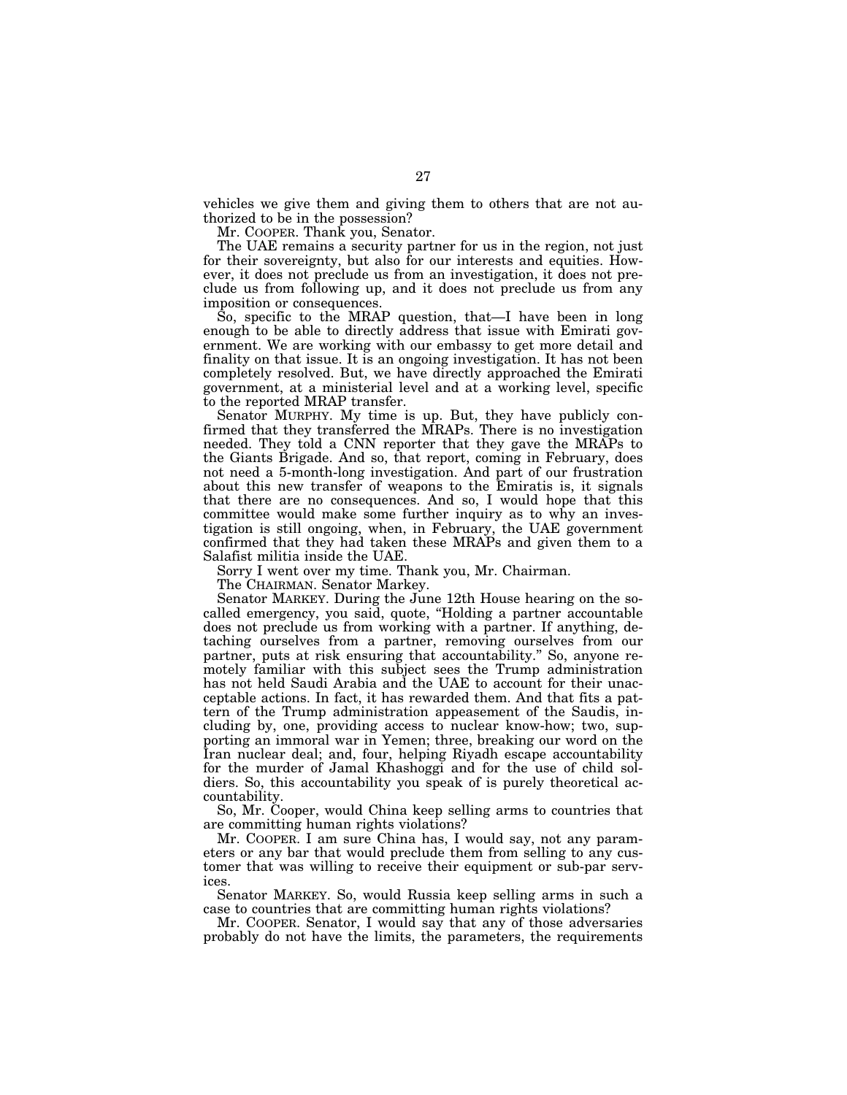vehicles we give them and giving them to others that are not authorized to be in the possession?

Mr. COOPER. Thank you, Senator.

The UAE remains a security partner for us in the region, not just for their sovereignty, but also for our interests and equities. However, it does not preclude us from an investigation, it does not preclude us from following up, and it does not preclude us from any imposition or consequences.

So, specific to the MRAP question, that—I have been in long enough to be able to directly address that issue with Emirati government. We are working with our embassy to get more detail and finality on that issue. It is an ongoing investigation. It has not been completely resolved. But, we have directly approached the Emirati government, at a ministerial level and at a working level, specific to the reported MRAP transfer.

Senator MURPHY. My time is up. But, they have publicly confirmed that they transferred the MRAPs. There is no investigation needed. They told a CNN reporter that they gave the MRAPs to the Giants Brigade. And so, that report, coming in February, does not need a 5-month-long investigation. And part of our frustration about this new transfer of weapons to the Emiratis is, it signals that there are no consequences. And so, I would hope that this committee would make some further inquiry as to why an investigation is still ongoing, when, in February, the UAE government confirmed that they had taken these MRAPs and given them to a Salafist militia inside the UAE.

Sorry I went over my time. Thank you, Mr. Chairman.

The CHAIRMAN. Senator Markey.

Senator MARKEY. During the June 12th House hearing on the socalled emergency, you said, quote, ''Holding a partner accountable does not preclude us from working with a partner. If anything, detaching ourselves from a partner, removing ourselves from our partner, puts at risk ensuring that accountability.'' So, anyone remotely familiar with this subject sees the Trump administration has not held Saudi Arabia and the UAE to account for their unacceptable actions. In fact, it has rewarded them. And that fits a pattern of the Trump administration appeasement of the Saudis, including by, one, providing access to nuclear know-how; two, supporting an immoral war in Yemen; three, breaking our word on the Iran nuclear deal; and, four, helping Riyadh escape accountability for the murder of Jamal Khashoggi and for the use of child soldiers. So, this accountability you speak of is purely theoretical accountability.

So, Mr. Cooper, would China keep selling arms to countries that are committing human rights violations?

Mr. COOPER. I am sure China has, I would say, not any parameters or any bar that would preclude them from selling to any customer that was willing to receive their equipment or sub-par services.

Senator MARKEY. So, would Russia keep selling arms in such a case to countries that are committing human rights violations?

Mr. COOPER. Senator, I would say that any of those adversaries probably do not have the limits, the parameters, the requirements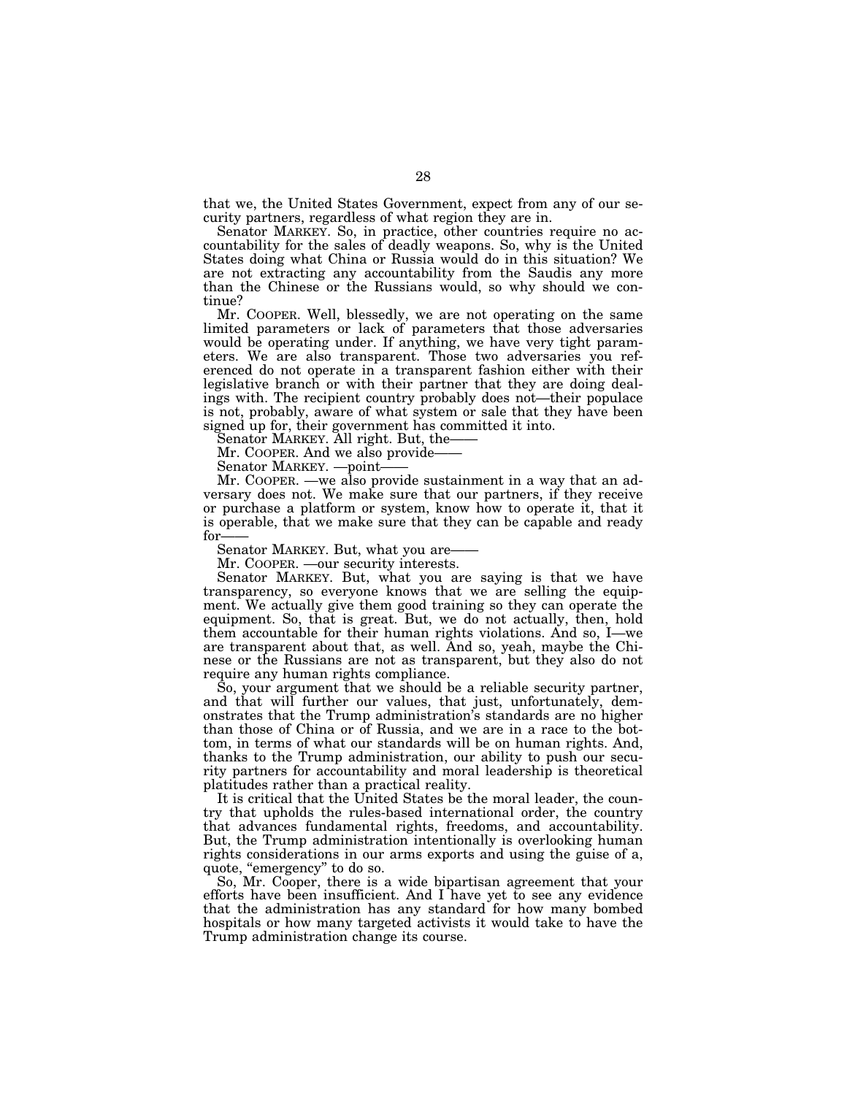that we, the United States Government, expect from any of our security partners, regardless of what region they are in.

Senator MARKEY. So, in practice, other countries require no accountability for the sales of deadly weapons. So, why is the United States doing what China or Russia would do in this situation? We are not extracting any accountability from the Saudis any more than the Chinese or the Russians would, so why should we continue?

Mr. COOPER. Well, blessedly, we are not operating on the same limited parameters or lack of parameters that those adversaries would be operating under. If anything, we have very tight parameters. We are also transparent. Those two adversaries you referenced do not operate in a transparent fashion either with their legislative branch or with their partner that they are doing dealings with. The recipient country probably does not—their populace is not, probably, aware of what system or sale that they have been signed up for, their government has committed it into.

Senator MARKEY. All right. But, the——

Mr. COOPER. And we also provide

Senator MARKEY. —point——

Mr. COOPER. —we also provide sustainment in a way that an adversary does not. We make sure that our partners, if they receive or purchase a platform or system, know how to operate it, that it is operable, that we make sure that they can be capable and ready for-

Senator MARKEY. But, what you are

Mr. COOPER. —our security interests.

Senator MARKEY. But, what you are saying is that we have transparency, so everyone knows that we are selling the equipment. We actually give them good training so they can operate the equipment. So, that is great. But, we do not actually, then, hold them accountable for their human rights violations. And so, I—we are transparent about that, as well. And so, yeah, maybe the Chinese or the Russians are not as transparent, but they also do not require any human rights compliance.

So, your argument that we should be a reliable security partner, and that will further our values, that just, unfortunately, demonstrates that the Trump administration's standards are no higher than those of China or of Russia, and we are in a race to the bottom, in terms of what our standards will be on human rights. And, thanks to the Trump administration, our ability to push our security partners for accountability and moral leadership is theoretical platitudes rather than a practical reality.

It is critical that the United States be the moral leader, the country that upholds the rules-based international order, the country that advances fundamental rights, freedoms, and accountability. But, the Trump administration intentionally is overlooking human rights considerations in our arms exports and using the guise of a, quote, "emergency" to do so.

So, Mr. Cooper, there is a wide bipartisan agreement that your efforts have been insufficient. And I have yet to see any evidence that the administration has any standard for how many bombed hospitals or how many targeted activists it would take to have the Trump administration change its course.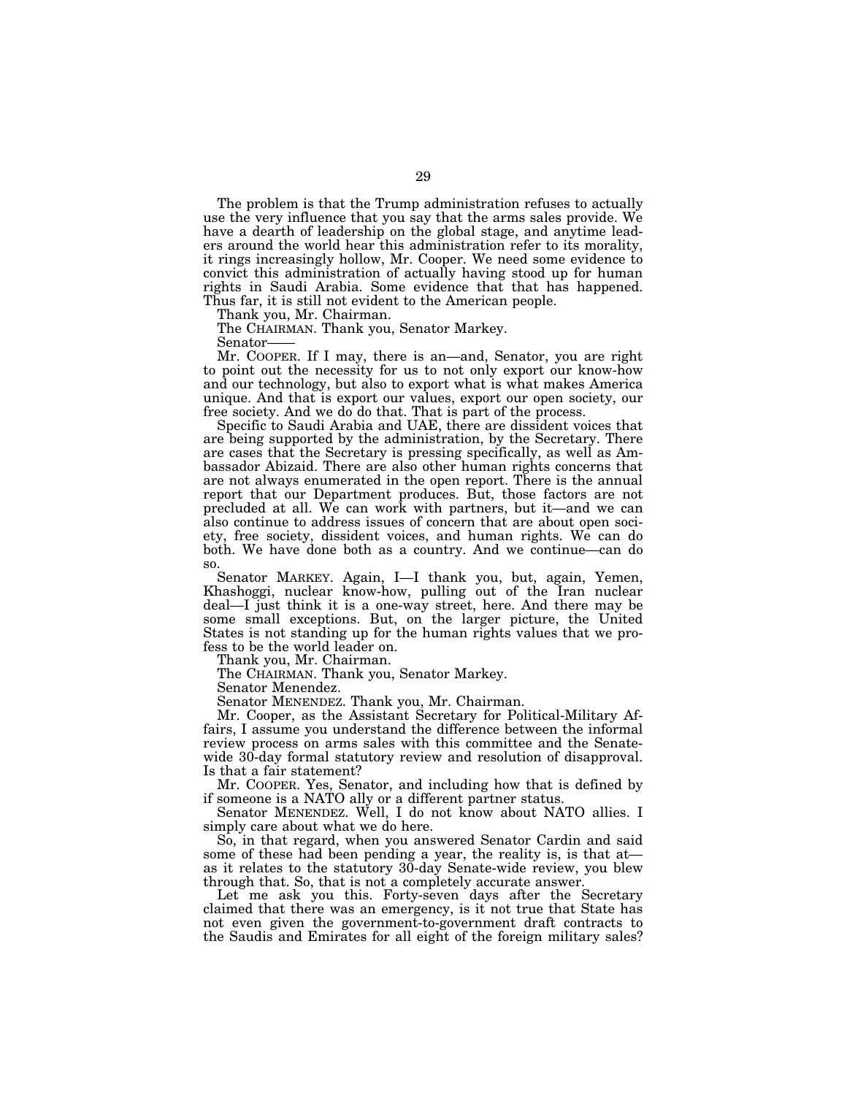The problem is that the Trump administration refuses to actually use the very influence that you say that the arms sales provide. We have a dearth of leadership on the global stage, and anytime leaders around the world hear this administration refer to its morality, it rings increasingly hollow, Mr. Cooper. We need some evidence to convict this administration of actually having stood up for human rights in Saudi Arabia. Some evidence that that has happened. Thus far, it is still not evident to the American people.

Thank you, Mr. Chairman.

The CHAIRMAN. Thank you, Senator Markey.

Senator——

Mr. COOPER. If I may, there is an—and, Senator, you are right to point out the necessity for us to not only export our know-how and our technology, but also to export what is what makes America unique. And that is export our values, export our open society, our free society. And we do do that. That is part of the process.

Specific to Saudi Arabia and UAE, there are dissident voices that are being supported by the administration, by the Secretary. There are cases that the Secretary is pressing specifically, as well as Ambassador Abizaid. There are also other human rights concerns that are not always enumerated in the open report. There is the annual report that our Department produces. But, those factors are not precluded at all. We can work with partners, but it—and we can also continue to address issues of concern that are about open society, free society, dissident voices, and human rights. We can do both. We have done both as a country. And we continue—can do so.

Senator MARKEY. Again, I—I thank you, but, again, Yemen, Khashoggi, nuclear know-how, pulling out of the Iran nuclear deal—I just think it is a one-way street, here. And there may be some small exceptions. But, on the larger picture, the United States is not standing up for the human rights values that we profess to be the world leader on.

Thank you, Mr. Chairman.

The CHAIRMAN. Thank you, Senator Markey.

Senator Menendez.

Senator MENENDEZ. Thank you, Mr. Chairman.

Mr. Cooper, as the Assistant Secretary for Political-Military Affairs, I assume you understand the difference between the informal review process on arms sales with this committee and the Senatewide 30-day formal statutory review and resolution of disapproval. Is that a fair statement?

Mr. COOPER. Yes, Senator, and including how that is defined by if someone is a NATO ally or a different partner status.

Senator MENENDEZ. Well, I do not know about NATO allies. I simply care about what we do here.

So, in that regard, when you answered Senator Cardin and said some of these had been pending a year, the reality is, is that at as it relates to the statutory 30-day Senate-wide review, you blew through that. So, that is not a completely accurate answer.

Let me ask you this. Forty-seven days after the Secretary claimed that there was an emergency, is it not true that State has not even given the government-to-government draft contracts to the Saudis and Emirates for all eight of the foreign military sales?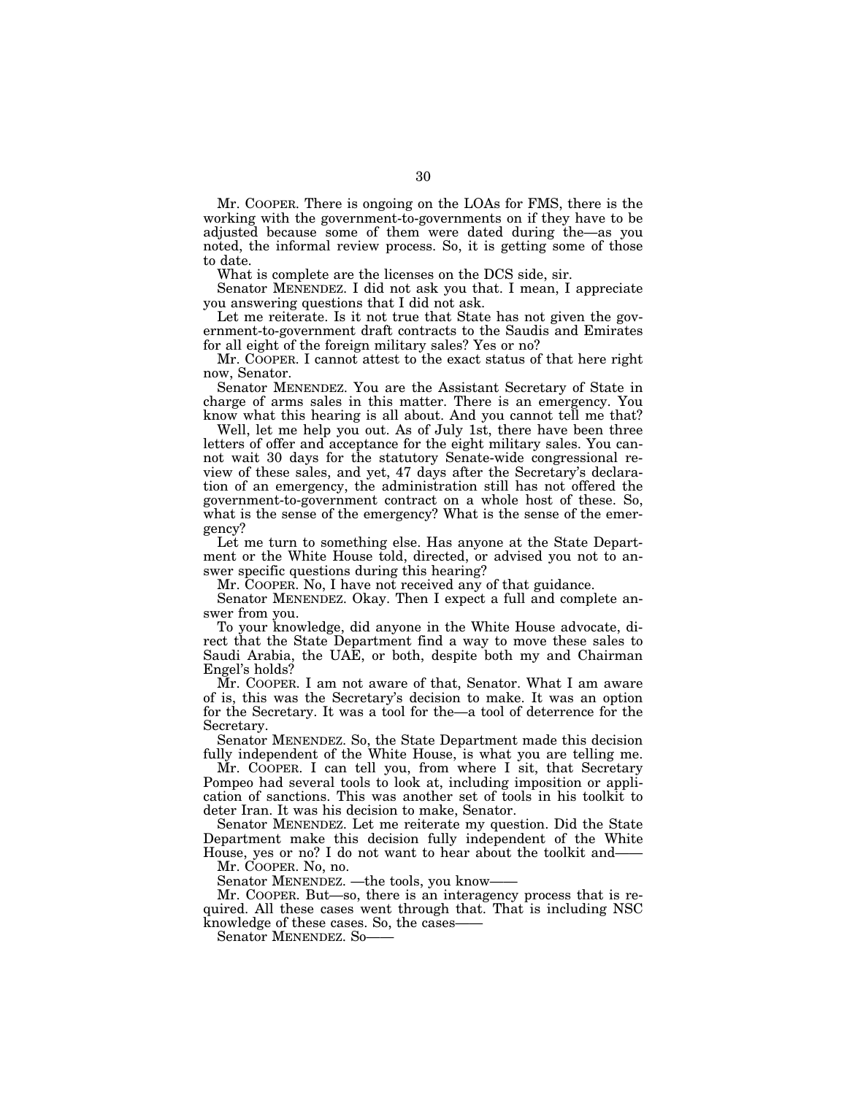Mr. COOPER. There is ongoing on the LOAs for FMS, there is the working with the government-to-governments on if they have to be adjusted because some of them were dated during the—as you noted, the informal review process. So, it is getting some of those to date.

What is complete are the licenses on the DCS side, sir.

Senator MENENDEZ. I did not ask you that. I mean, I appreciate you answering questions that I did not ask.

Let me reiterate. Is it not true that State has not given the government-to-government draft contracts to the Saudis and Emirates for all eight of the foreign military sales? Yes or no?

Mr. COOPER. I cannot attest to the exact status of that here right now, Senator.

Senator MENENDEZ. You are the Assistant Secretary of State in charge of arms sales in this matter. There is an emergency. You know what this hearing is all about. And you cannot tell me that?

Well, let me help you out. As of July 1st, there have been three letters of offer and acceptance for the eight military sales. You cannot wait 30 days for the statutory Senate-wide congressional review of these sales, and yet, 47 days after the Secretary's declaration of an emergency, the administration still has not offered the government-to-government contract on a whole host of these. So, what is the sense of the emergency? What is the sense of the emergency?

Let me turn to something else. Has anyone at the State Department or the White House told, directed, or advised you not to answer specific questions during this hearing?

Mr. COOPER. No, I have not received any of that guidance.

Senator MENENDEZ. Okay. Then I expect a full and complete answer from you.

To your knowledge, did anyone in the White House advocate, direct that the State Department find a way to move these sales to Saudi Arabia, the UAE, or both, despite both my and Chairman Engel's holds?

Mr. COOPER. I am not aware of that, Senator. What I am aware of is, this was the Secretary's decision to make. It was an option for the Secretary. It was a tool for the—a tool of deterrence for the Secretary.

Senator MENENDEZ. So, the State Department made this decision fully independent of the White House, is what you are telling me.

Mr. COOPER. I can tell you, from where I sit, that Secretary Pompeo had several tools to look at, including imposition or application of sanctions. This was another set of tools in his toolkit to deter Iran. It was his decision to make, Senator.

Senator MENENDEZ. Let me reiterate my question. Did the State Department make this decision fully independent of the White House, yes or no? I do not want to hear about the toolkit and——

Mr. COOPER. No, no.

Senator MENENDEZ. —the tools, you know-

Mr. COOPER. But—so, there is an interagency process that is required. All these cases went through that. That is including NSC knowledge of these cases. So, the cases——

Senator MENENDEZ. So-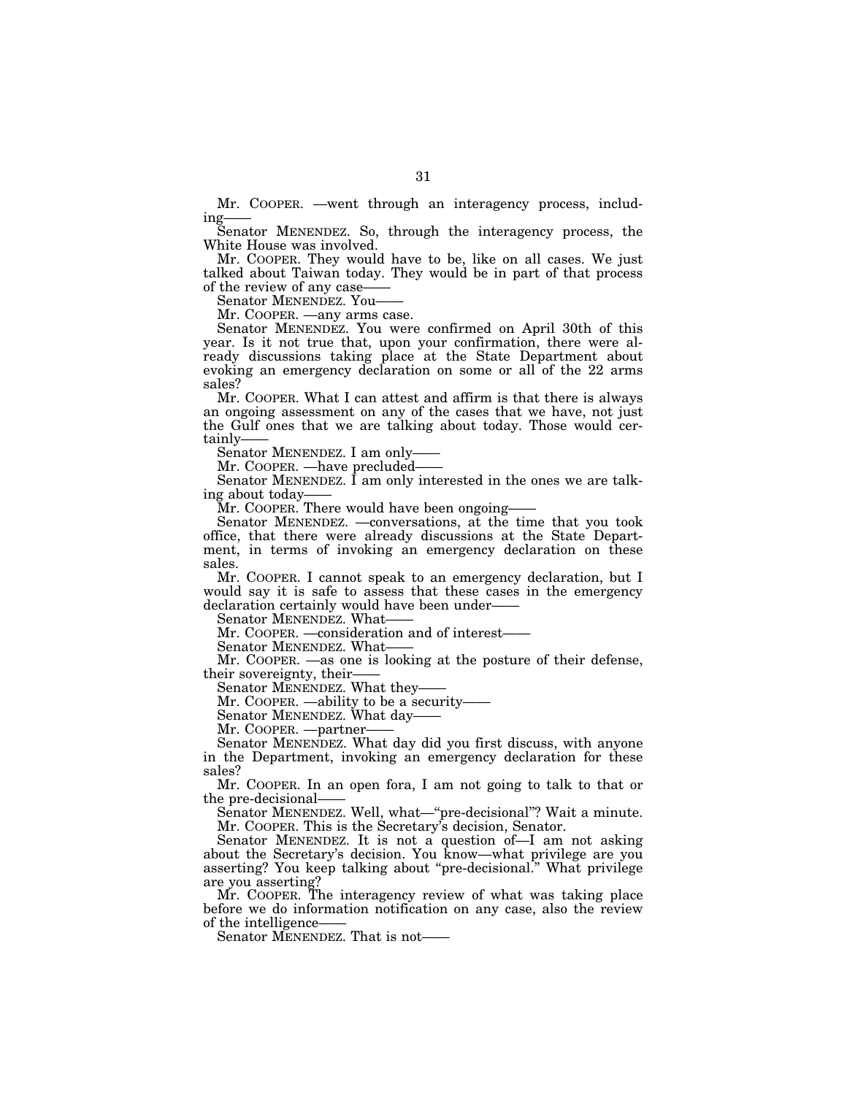Mr. COOPER. —went through an interagency process, including

Senator MENENDEZ. So, through the interagency process, the White House was involved.

Mr. COOPER. They would have to be, like on all cases. We just talked about Taiwan today. They would be in part of that process of the review of any case-

Senator MENENDEZ. You——

Mr. COOPER. —any arms case.

Senator MENENDEZ. You were confirmed on April 30th of this year. Is it not true that, upon your confirmation, there were already discussions taking place at the State Department about evoking an emergency declaration on some or all of the 22 arms sales?

Mr. COOPER. What I can attest and affirm is that there is always an ongoing assessment on any of the cases that we have, not just the Gulf ones that we are talking about today. Those would certainly-

Senator MENENDEZ. I am only-

Mr. COOPER. —have precluded-

Senator MENENDEZ. I am only interested in the ones we are talking about today——

Mr. COOPER. There would have been ongoing-

Senator MENENDEZ. —conversations, at the time that you took office, that there were already discussions at the State Department, in terms of invoking an emergency declaration on these sales.

Mr. COOPER. I cannot speak to an emergency declaration, but I would say it is safe to assess that these cases in the emergency declaration certainly would have been under——

Senator MENENDEZ. What-

Mr. COOPER. —consideration and of interest——

Senator MENENDEZ. What——

Mr. COOPER. —as one is looking at the posture of their defense, their sovereignty, their——

Senator MENENDEZ. What they——

Mr. COOPER. —ability to be a security-

Senator MENENDEZ. What day-

Mr. COOPER. — partner-

Senator MENENDEZ. What day did you first discuss, with anyone in the Department, invoking an emergency declaration for these sales?

Mr. COOPER. In an open fora, I am not going to talk to that or the pre-decisional——

Senator MENENDEZ. Well, what—''pre-decisional''? Wait a minute. Mr. COOPER. This is the Secretary's decision, Senator.

Senator MENENDEZ. It is not a question of—I am not asking about the Secretary's decision. You know—what privilege are you asserting? You keep talking about ''pre-decisional.'' What privilege are you asserting?

Mr. COOPER. The interagency review of what was taking place before we do information notification on any case, also the review of the intelligence——

Senator MENENDEZ. That is not——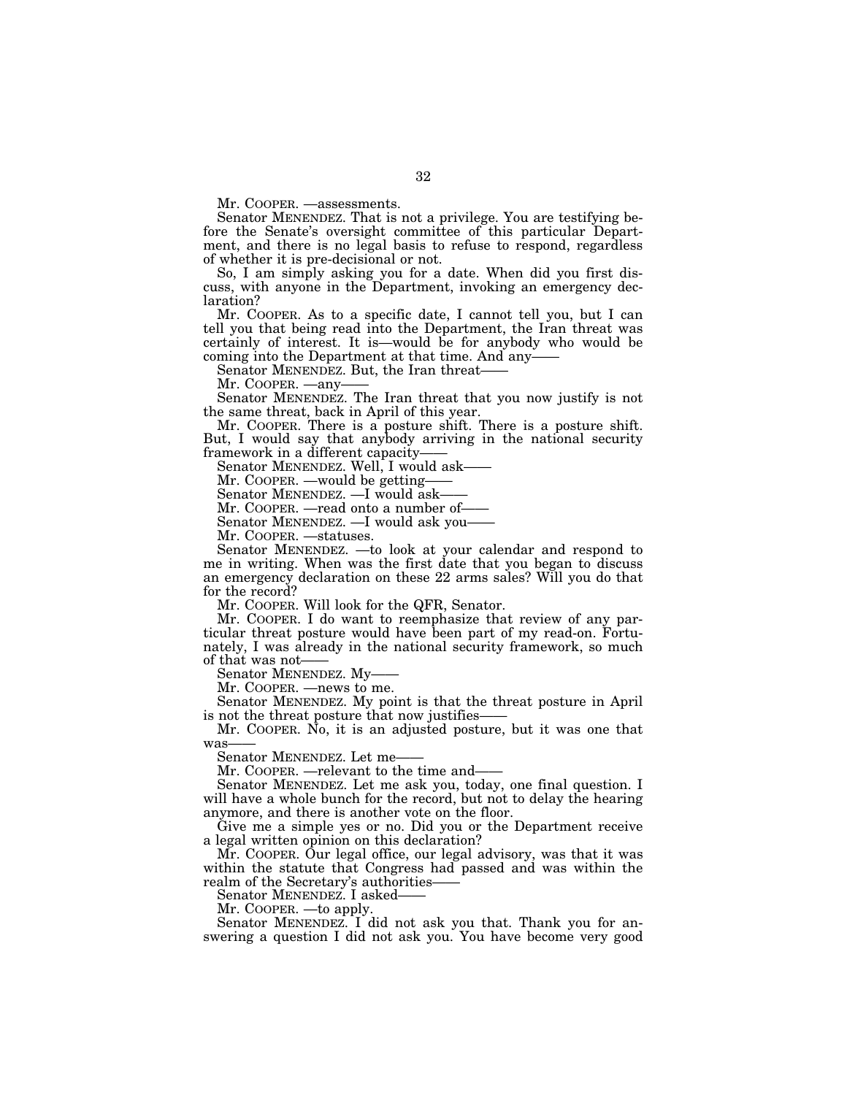Mr. COOPER. —assessments.

Senator MENENDEZ. That is not a privilege. You are testifying before the Senate's oversight committee of this particular Department, and there is no legal basis to refuse to respond, regardless of whether it is pre-decisional or not.

So, I am simply asking you for a date. When did you first discuss, with anyone in the Department, invoking an emergency declaration?

Mr. COOPER. As to a specific date, I cannot tell you, but I can tell you that being read into the Department, the Iran threat was certainly of interest. It is—would be for anybody who would be coming into the Department at that time. And any-

Senator MENENDEZ. But, the Iran threat-

Mr. COOPER. —any-

Senator MENENDEZ. The Iran threat that you now justify is not the same threat, back in April of this year.

Mr. COOPER. There is a posture shift. There is a posture shift. But, I would say that anybody arriving in the national security framework in a different capacity-

Senator MENENDEZ. Well, I would ask-

Mr. COOPER. —would be getting—

Senator MENENDEZ. - I would ask-

Mr. COOPER. - read onto a number of-

Senator MENENDEZ. —I would ask you——

Mr. COOPER. —statuses.

Senator MENENDEZ. —to look at your calendar and respond to me in writing. When was the first date that you began to discuss an emergency declaration on these 22 arms sales? Will you do that for the record?

Mr. COOPER. Will look for the QFR, Senator.

Mr. COOPER. I do want to reemphasize that review of any particular threat posture would have been part of my read-on. Fortunately, I was already in the national security framework, so much of that was not——

Senator MENENDEZ. My-

Mr. COOPER. —news to me.

Senator MENENDEZ. My point is that the threat posture in April is not the threat posture that now justifies-

Mr. COOPER. No, it is an adjusted posture, but it was one that was

Senator MENENDEZ. Let me–

Mr. COOPER. —relevant to the time and–

Senator MENENDEZ. Let me ask you, today, one final question. I will have a whole bunch for the record, but not to delay the hearing anymore, and there is another vote on the floor.

Give me a simple yes or no. Did you or the Department receive a legal written opinion on this declaration?

Mr. COOPER. Our legal office, our legal advisory, was that it was within the statute that Congress had passed and was within the realm of the Secretary's authorities

Senator MENENDEZ. I asked-

Mr. COOPER. —to apply.

Senator MENENDEZ. I did not ask you that. Thank you for answering a question I did not ask you. You have become very good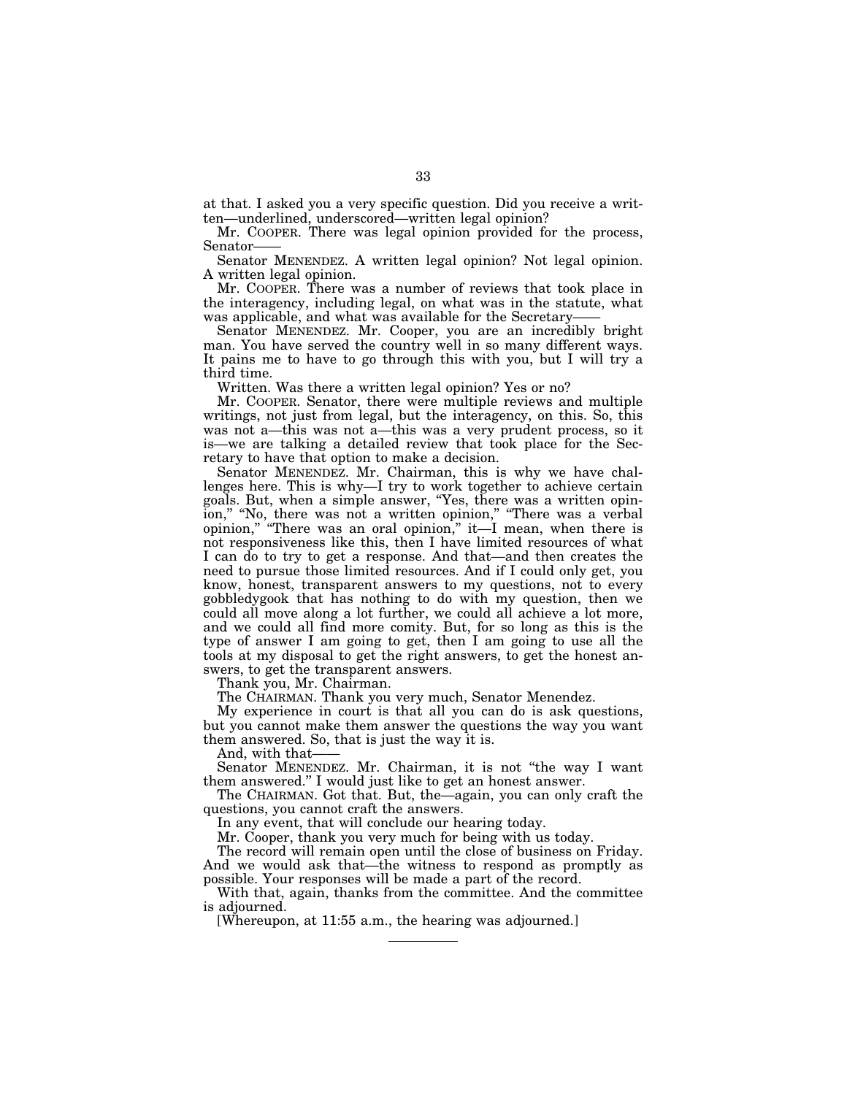at that. I asked you a very specific question. Did you receive a written—underlined, underscored—written legal opinion?

Mr. COOPER. There was legal opinion provided for the process, Senator-

Senator MENENDEZ. A written legal opinion? Not legal opinion. A written legal opinion.

Mr. COOPER. There was a number of reviews that took place in the interagency, including legal, on what was in the statute, what was applicable, and what was available for the Secretary-

Senator MENENDEZ. Mr. Cooper, you are an incredibly bright man. You have served the country well in so many different ways. It pains me to have to go through this with you, but I will try a third time.

Written. Was there a written legal opinion? Yes or no?

Mr. COOPER. Senator, there were multiple reviews and multiple writings, not just from legal, but the interagency, on this. So, this was not a—this was not a—this was a very prudent process, so it is—we are talking a detailed review that took place for the Secretary to have that option to make a decision.

Senator MENENDEZ. Mr. Chairman, this is why we have challenges here. This is why—I try to work together to achieve certain goals. But, when a simple answer, ''Yes, there was a written opinion," "No, there was not a written opinion," "There was a verbal opinion,'' ''There was an oral opinion,'' it—I mean, when there is not responsiveness like this, then I have limited resources of what I can do to try to get a response. And that—and then creates the need to pursue those limited resources. And if I could only get, you know, honest, transparent answers to my questions, not to every gobbledygook that has nothing to do with my question, then we could all move along a lot further, we could all achieve a lot more, and we could all find more comity. But, for so long as this is the type of answer I am going to get, then I am going to use all the tools at my disposal to get the right answers, to get the honest answers, to get the transparent answers.

Thank you, Mr. Chairman.

The CHAIRMAN. Thank you very much, Senator Menendez.

My experience in court is that all you can do is ask questions, but you cannot make them answer the questions the way you want them answered. So, that is just the way it is.

And, with that-

Senator MENENDEZ. Mr. Chairman, it is not "the way I want them answered.'' I would just like to get an honest answer.

The CHAIRMAN. Got that. But, the—again, you can only craft the questions, you cannot craft the answers.

In any event, that will conclude our hearing today.

Mr. Cooper, thank you very much for being with us today.

The record will remain open until the close of business on Friday. And we would ask that—the witness to respond as promptly as possible. Your responses will be made a part of the record.

With that, again, thanks from the committee. And the committee is adjourned.

[Whereupon, at 11:55 a.m., the hearing was adjourned.]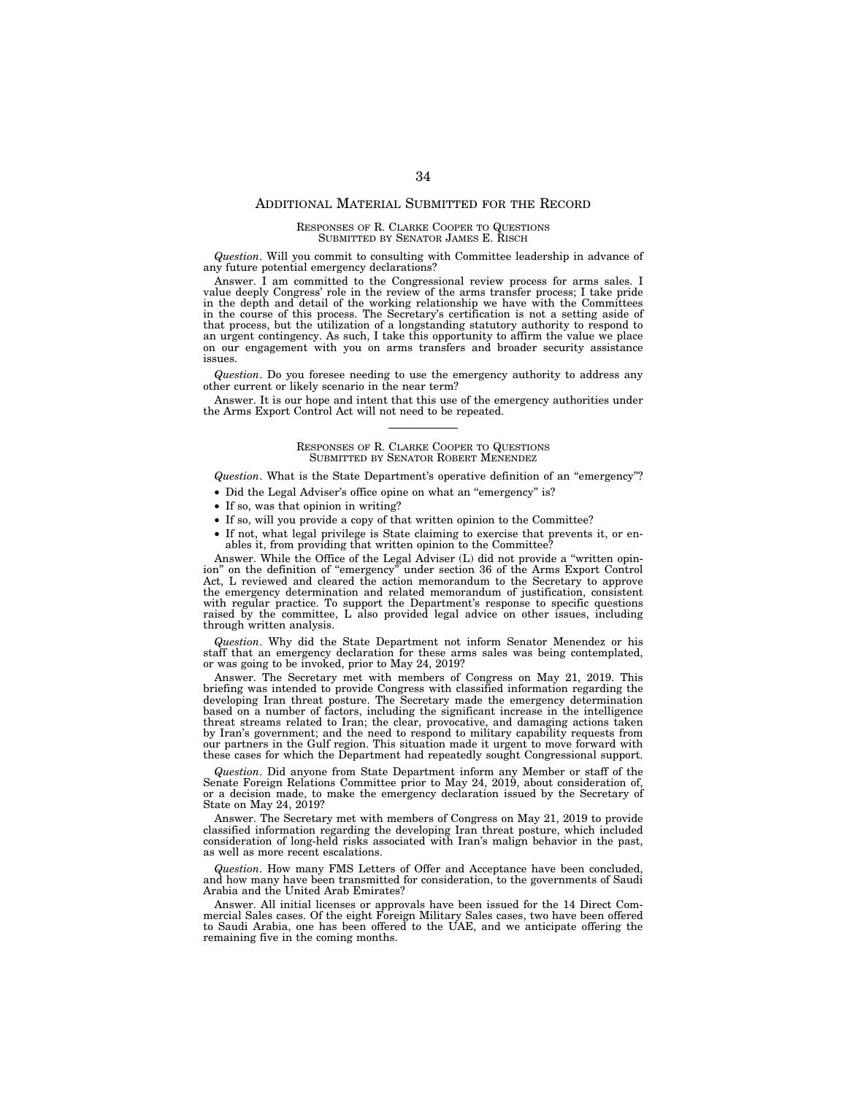#### ADDITIONAL MATERIAL SUBMITTED FOR THE RECORD

#### RESPONSES OF R. CLARKE COOPER TO QUESTIONS SUBMITTED BY SENATOR JAMES E. RISCH

*Question*. Will you commit to consulting with Committee leadership in advance of any future potential emergency declarations?

Answer. I am committed to the Congressional review process for arms sales. I value deeply Congress' role in the review of the arms transfer process; I take pride in the depth and detail of the working relationship we have with the Committees in the course of this process. The Secretary's certification is not a setting aside of that process, but the utilization of a longstanding statutory authority to respond to an urgent contingency. As such, I take this opportunity to affirm the value we place on our engagement with you on arms transfers and broader security assistance issues.

*Question*. Do you foresee needing to use the emergency authority to address any other current or likely scenario in the near term?

Answer. It is our hope and intent that this use of the emergency authorities under the Arms Export Control Act will not need to be repeated.

### RESPONSES OF R. CLARKE COOPER TO QUESTIONS SUBMITTED BY SENATOR ROBERT MENENDEZ

*Question*. What is the State Department's operative definition of an ''emergency''?

- Did the Legal Adviser's office opine on what an "emergency" is?
- If so, was that opinion in writing?
- If so, will you provide a copy of that written opinion to the Committee?
- If not, what legal privilege is State claiming to exercise that prevents it, or en-ables it, from providing that written opinion to the Committee?

Answer. While the Office of the Legal Adviser (L) did not provide a ''written opinion'' on the definition of ''emergency'' under section 36 of the Arms Export Control Act, L reviewed and cleared the action memorandum to the Secretary to approve the emergency determination and related memorandum of justification, consistent with regular practice. To support the Department's response to specific questions raised by the committee, L also provided legal advice on other issues, including through written analysis.

*Question*. Why did the State Department not inform Senator Menendez or his staff that an emergency declaration for these arms sales was being contemplated, or was going to be invoked, prior to May 24, 2019?

Answer. The Secretary met with members of Congress on May 21, 2019. This briefing was intended to provide Congress with classified information regarding the developing Iran threat posture. The Secretary made the emergency determination based on a number of factors, including the significant increase in the intelligence threat streams related to Iran; the clear, provocative, and damaging actions taken by Iran's government; and the need to respond to military capability requests from our partners in the Gulf region. This situation made it urgent to move forward with these cases for which the Department had repeatedly sought Congressional support.

*Question*. Did anyone from State Department inform any Member or staff of the Senate Foreign Relations Committee prior to May 24, 2019, about consideration of, or a decision made, to make the emergency declaration issued by the Secretary of State on May 24, 2019?

Answer. The Secretary met with members of Congress on May 21, 2019 to provide classified information regarding the developing Iran threat posture, which included consideration of long-held risks associated with Iran's malign behavior in the past, as well as more recent escalations.

*Question*. How many FMS Letters of Offer and Acceptance have been concluded, and how many have been transmitted for consideration, to the governments of Saudi Arabia and the United Arab Emirates?

Answer. All initial licenses or approvals have been issued for the 14 Direct Commercial Sales cases. Of the eight Foreign Military Sales cases, two have been offered to Saudi Arabia, one has been offered to the UAE, and we anticipate offering the remaining five in the coming months.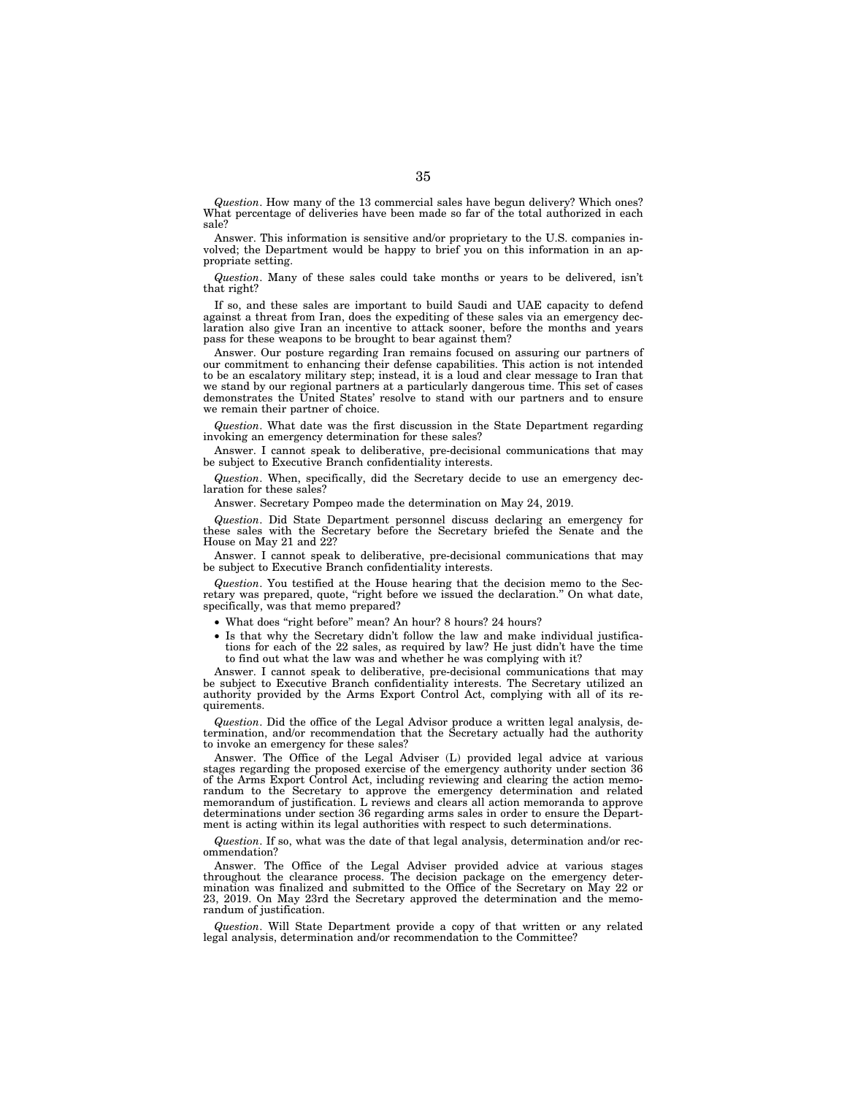*Question*. How many of the 13 commercial sales have begun delivery? Which ones? What percentage of deliveries have been made so far of the total authorized in each sale?

Answer. This information is sensitive and/or proprietary to the U.S. companies involved; the Department would be happy to brief you on this information in an appropriate setting.

*Question*. Many of these sales could take months or years to be delivered, isn't that right?

If so, and these sales are important to build Saudi and UAE capacity to defend against a threat from Iran, does the expediting of these sales via an emergency declaration also give Iran an incentive to attack sooner, before the months and years pass for these weapons to be brought to bear against them?

Answer. Our posture regarding Iran remains focused on assuring our partners of our commitment to enhancing their defense capabilities. This action is not intended to be an escalatory military step; instead, it is a loud and clear message to Iran that we stand by our regional partners at a particularly dangerous time. This set of cases demonstrates the United States' resolve to stand with our partners and to ensure we remain their partner of choice.

*Question*. What date was the first discussion in the State Department regarding invoking an emergency determination for these sales?

Answer. I cannot speak to deliberative, pre-decisional communications that may be subject to Executive Branch confidentiality interests.

*Question*. When, specifically, did the Secretary decide to use an emergency declaration for these sales?

Answer. Secretary Pompeo made the determination on May 24, 2019.

*Question*. Did State Department personnel discuss declaring an emergency for these sales with the Secretary before the Secretary briefed the Senate and the House on May 21 and 22?

Answer. I cannot speak to deliberative, pre-decisional communications that may be subject to Executive Branch confidentiality interests.

*Question*. You testified at the House hearing that the decision memo to the Secretary was prepared, quote, "right before we issued the declaration." On what date, specifically, was that memo prepared?

- What does "right before" mean? An hour? 8 hours? 24 hours?
- Is that why the Secretary didn't follow the law and make individual justifications for each of the 22 sales, as required by law? He just didn't have the time to find out what the law was and whether he was complying with it?

Answer. I cannot speak to deliberative, pre-decisional communications that may be subject to Executive Branch confidentiality interests. The Secretary utilized an authority provided by the Arms Export Control Act, complying with all of its requirements.

*Question*. Did the office of the Legal Advisor produce a written legal analysis, determination, and/or recommendation that the Secretary actually had the authority to invoke an emergency for these sales?

Answer. The Office of the Legal Adviser (L) provided legal advice at various stages regarding the proposed exercise of the emergency authority under section 36 of the Arms Export Control Act, including reviewing and clearing the action memorandum to the Secretary to approve the emergency determination and related memorandum of justification. L reviews and clears all action memoranda to approve determinations under section 36 regarding arms sales in order to ensure the Department is acting within its legal authorities with respect to such determinations.

*Question*. If so, what was the date of that legal analysis, determination and/or recommendation?

Answer. The Office of the Legal Adviser provided advice at various stages throughout the clearance process. The decision package on the emergency determination was finalized and submitted to the Office of the Secretary on May 22 or 23, 2019. On May 23rd the Secretary approved the determination and the memorandum of justification.

*Question*. Will State Department provide a copy of that written or any related legal analysis, determination and/or recommendation to the Committee?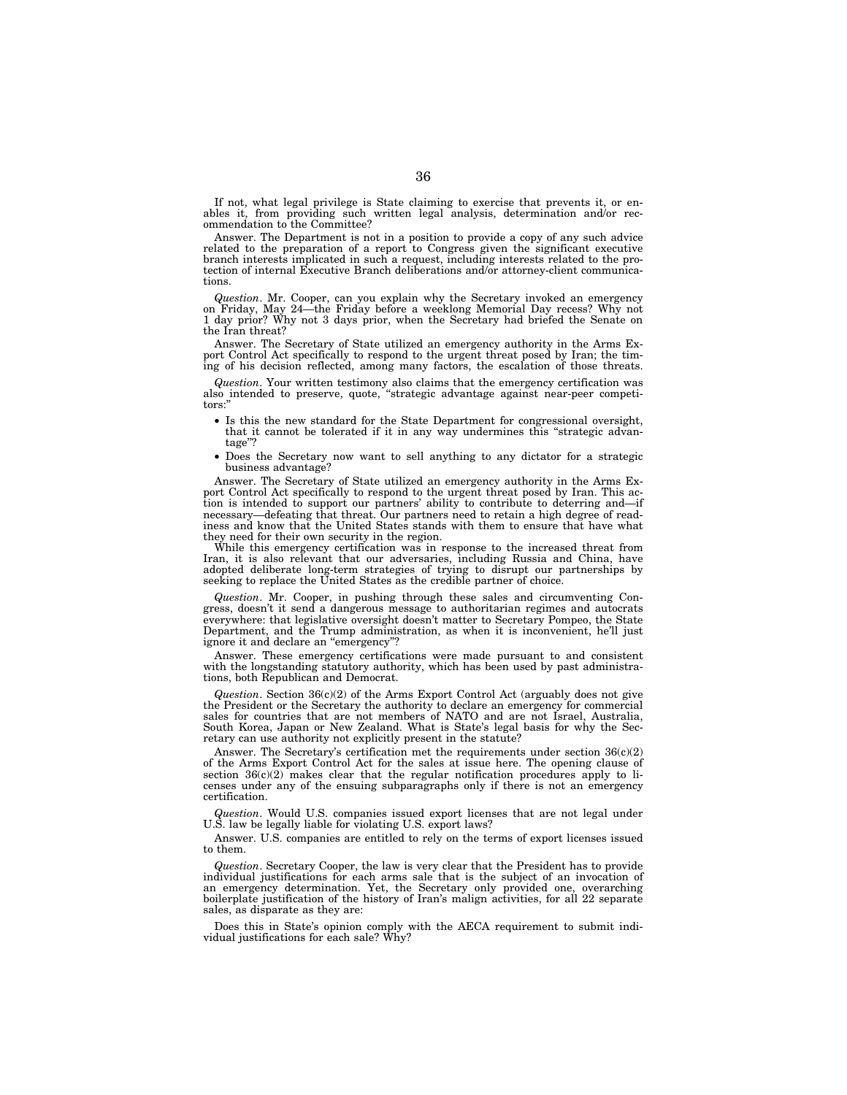If not, what legal privilege is State claiming to exercise that prevents it, or enables it, from providing such written legal analysis, determination and/or recommendation to the Committee?

Answer. The Department is not in a position to provide a copy of any such advice related to the preparation of a report to Congress given the significant executive branch interests implicated in such a request, including interests related to the protection of internal Executive Branch deliberations and/or attorney-client communications.

*Question*. Mr. Cooper, can you explain why the Secretary invoked an emergency on Friday, May 24—the Friday before a weeklong Memorial Day recess? Why not 1 day prior? Why not 3 days prior, when the Secretary had briefed the Senate on the Iran threat?

Answer. The Secretary of State utilized an emergency authority in the Arms Export Control Act specifically to respond to the urgent threat posed by Iran; the timing of his decision reflected, among many factors, the escalation of those threats.

*Question*. Your written testimony also claims that the emergency certification was also intended to preserve, quote, "strategic advantage against near-peer competitors:''

- Is this the new standard for the State Department for congressional oversight, that it cannot be tolerated if it in any way undermines this ''strategic advantage''?
- Does the Secretary now want to sell anything to any dictator for a strategic business advantage?

Answer. The Secretary of State utilized an emergency authority in the Arms Export Control Act specifically to respond to the urgent threat posed by Iran. This action is intended to support our partners' ability to contribute to deterring and—if necessary—defeating that threat. Our partners need to retain a high degree of readiness and know that the United States stands with them to ensure that have what they need for their own security in the region.

While this emergency certification was in response to the increased threat from Iran, it is also relevant that our adversaries, including Russia and China, have adopted deliberate long-term strategies of trying to disrupt our partnerships by seeking to replace the United States as the credible partner of choice.

*Question*. Mr. Cooper, in pushing through these sales and circumventing Congress, doesn't it send a dangerous message to authoritarian regimes and autocrats everywhere: that legislative oversight doesn't matter to Secretary Pompeo, the State Department, and the Trump administration, as when it is inconvenient, he'll just ignore it and declare an "emergency"?

Answer. These emergency certifications were made pursuant to and consistent with the longstanding statutory authority, which has been used by past administrations, both Republican and Democrat.

*Question*. Section  $36(c)(2)$  of the Arms Export Control Act (arguably does not give the President or the Secretary the authority to declare an emergency for commercial sales for countries that are not members of NATO and are not Israel, Australia, South Korea, Japan or New Zealand. What is State's legal basis for why the Secretary can use authority not explicitly present in the statute?

Answer. The Secretary's certification met the requirements under section  $36(c)(2)$ of the Arms Export Control Act for the sales at issue here. The opening clause of section  $36(c)(2)$  makes clear that the regular notification procedures apply to licenses under any of the ensuing subparagraphs only if there is not an emergency certification.

*Question*. Would U.S. companies issued export licenses that are not legal under U.S. law be legally liable for violating U.S. export laws?

Answer. U.S. companies are entitled to rely on the terms of export licenses issued to them.

*Question*. Secretary Cooper, the law is very clear that the President has to provide individual justifications for each arms sale that is the subject of an invocation of an emergency determination. Yet, the Secretary only provided one, overarching boilerplate justification of the history of Iran's malign activities, for all 22 separate sales, as disparate as they are:

Does this in State's opinion comply with the AECA requirement to submit individual justifications for each sale? Why?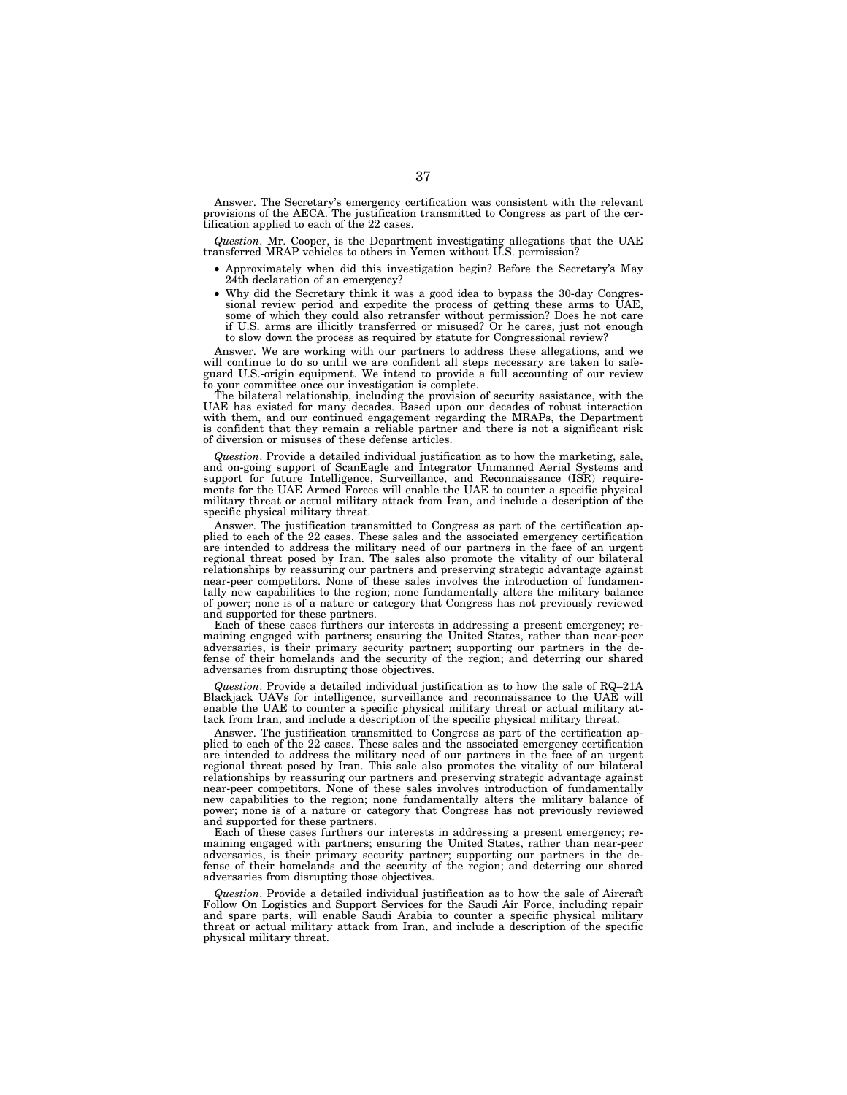Answer. The Secretary's emergency certification was consistent with the relevant provisions of the AECA. The justification transmitted to Congress as part of the certification applied to each of the 22 cases.

*Question*. Mr. Cooper, is the Department investigating allegations that the UAE transferred MRAP vehicles to others in Yemen without U.S. permission?

- Approximately when did this investigation begin? Before the Secretary's May 24th declaration of an emergency?
- Why did the Secretary think it was a good idea to bypass the 30-day Congres-sional review period and expedite the process of getting these arms to UAE, some of which they could also retransfer without permission? Does he not care if U.S. arms are illicitly transferred or misused? Or he cares, just not enough to slow down the process as required by statute for Congressional review?

Answer. We are working with our partners to address these allegations, and we will continue to do so until we are confident all steps necessary are taken to safeguard U.S.-origin equipment. We intend to provide a full accounting of our review to your committee once our investigation is complete.

The bilateral relationship, including the provision of security assistance, with the UAE has existed for many decades. Based upon our decades of robust interaction with them, and our continued engagement regarding the MRAPs, the Department is confident that they remain a reliable partner and there is not a significant risk of diversion or misuses of these defense articles.

*Question*. Provide a detailed individual justification as to how the marketing, sale, and on-going support of ScanEagle and Integrator Unmanned Aerial Systems and support for future Intelligence, Surveillance, and Reconnaissance (ISR) requirements for the UAE Armed Forces will enable the UAE to counter a specific physical military threat or actual military attack from Iran, and include a description of the specific physical military threat.

Answer. The justification transmitted to Congress as part of the certification applied to each of the 22 cases. These sales and the associated emergency certification are intended to address the military need of our partners in the face of an urgent regional threat posed by Iran. The sales also promote the vitality of our bilateral relationships by reassuring our partners and preserving strategic advantage against near-peer competitors. None of these sales involves the introduction of fundamentally new capabilities to the region; none fundamentally alters the military balance of power; none is of a nature or category that Congress has not previously reviewed and supported for these partners.

Each of these cases furthers our interests in addressing a present emergency; remaining engaged with partners; ensuring the United States, rather than near-peer adversaries, is their primary security partner; supporting our partners in the defense of their homelands and the security of the region; and deterring our shared adversaries from disrupting those objectives.

*Question*. Provide a detailed individual justification as to how the sale of RQ–21A Blackjack UAVs for intelligence, surveillance and reconnaissance to the UAE will enable the UAE to counter a specific physical military threat or actual military attack from Iran, and include a description of the specific physical military threat.

Answer. The justification transmitted to Congress as part of the certification applied to each of the 22 cases. These sales and the associated emergency certification are intended to address the military need of our partners in the face of an urgent regional threat posed by Iran. This sale also promotes the vitality of our bilateral relationships by reassuring our partners and preserving strategic advantage against near-peer competitors. None of these sales involves introduction of fundamentally new capabilities to the region; none fundamentally alters the military balance of power; none is of a nature or category that Congress has not previously reviewed and supported for these partners.

Each of these cases furthers our interests in addressing a present emergency; remaining engaged with partners; ensuring the United States, rather than near-peer adversaries, is their primary security partner; supporting our partners in the defense of their homelands and the security of the region; and deterring our shared adversaries from disrupting those objectives.

*Question*. Provide a detailed individual justification as to how the sale of Aircraft Follow On Logistics and Support Services for the Saudi Air Force, including repair and spare parts, will enable Saudi Arabia to counter a specific physical military threat or actual military attack from Iran, and include a description of the specific physical military threat.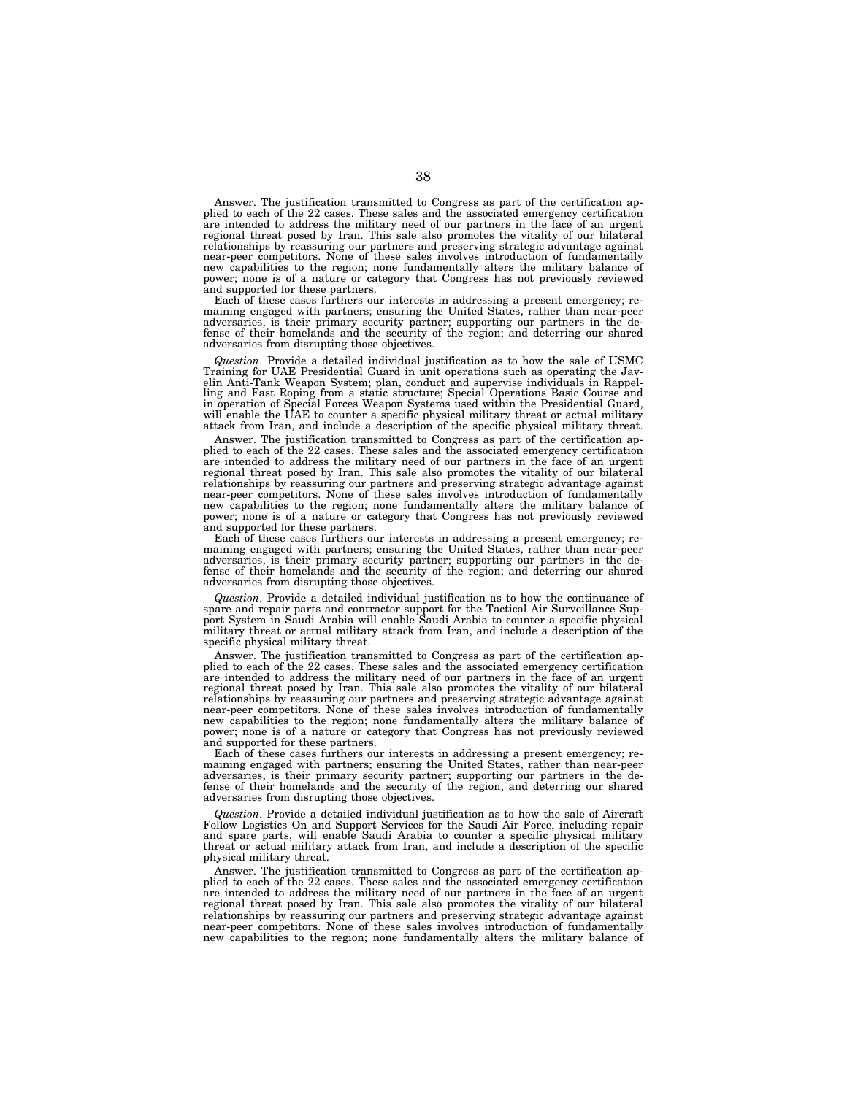Answer. The justification transmitted to Congress as part of the certification applied to each of the 22 cases. These sales and the associated emergency certification are intended to address the military need of our partners in the face of an urgent regional threat posed by Iran. This sale also promotes the vitality of our bilateral relationships by reassuring our partners and preserving strategic advantage against near-peer competitors. None of these sales involves introduction of fundamentally new capabilities to the region; none fundamentally alters the military balance of power; none is of a nature or category that Congress has not previously reviewed and supported for these partners.

Each of these cases furthers our interests in addressing a present emergency; remaining engaged with partners; ensuring the United States, rather than near-peer adversaries, is their primary security partner; supporting our partners in the de-fense of their homelands and the security of the region; and deterring our shared adversaries from disrupting those objectives.

*Question*. Provide a detailed individual justification as to how the sale of USMC Training for UAE Presidential Guard in unit operations such as operating the Javelin Anti-Tank Weapon System; plan, conduct and supervise individuals in Rappelling and Fast Roping from a static structure; Special Operations Basic Course and in operation of Special Forces Weapon Systems used within the Presidential Guard, will enable the UAE to counter a specific physical military threat or actual military attack from Iran, and include a description of the specific physical military threat.

Answer. The justification transmitted to Congress as part of the certification applied to each of the 22 cases. These sales and the associated emergency certification are intended to address the military need of our partners in the face of an urgent regional threat posed by Iran. This sale also promotes the vitality of our bilateral relationships by reassuring our partners and preserving strategic advantage against near-peer competitors. None of these sales involves introduction of fundamentally new capabilities to the region; none fundamentally alters the military balance of power; none is of a nature or category that Congress has not previously reviewed and supported for these partners.

Each of these cases furthers our interests in addressing a present emergency; remaining engaged with partners; ensuring the United States, rather than near-peer adversaries, is their primary security partner; supporting our partners in the de-fense of their homelands and the security of the region; and deterring our shared adversaries from disrupting those objectives.

*Question*. Provide a detailed individual justification as to how the continuance of spare and repair parts and contractor support for the Tactical Air Surveillance Sup-port System in Saudi Arabia will enable Saudi Arabia to counter a specific physical military threat or actual military attack from Iran, and include a description of the specific physical military threat.

Answer. The justification transmitted to Congress as part of the certification applied to each of the 22 cases. These sales and the associated emergency certification are intended to address the military need of our partners in the face of an urgent regional threat posed by Iran. This sale also promotes the vitality of our bilateral relationships by reassuring our partners and preserving strategic advantage against near-peer competitors. None of these sales involves introduction of fundamentally new capabilities to the region; none fundamentally alters the military balance of power; none is of a nature or category that Congress has not previously reviewed and supported for these partners.

Each of these cases furthers our interests in addressing a present emergency; re-maining engaged with partners; ensuring the United States, rather than near-peer adversaries, is their primary security partner; supporting our partners in the de-fense of their homelands and the security of the region; and deterring our shared adversaries from disrupting those objectives.

*Question*. Provide a detailed individual justification as to how the sale of Aircraft Follow Logistics On and Support Services for the Saudi Air Force, including repair and spare parts, will enable Saudi Arabia to counter a specific physical military threat or actual military attack from Iran, and include a description of the specific physical military threat.

Answer. The justification transmitted to Congress as part of the certification applied to each of the 22 cases. These sales and the associated emergency certification are intended to address the military need of our partners in the face of an urgent regional threat posed by Iran. This sale also promotes the vitality of our bilateral relationships by reassuring our partners and preserving strategic advantage against near-peer competitors. None of these sales involves introduction of fundamentally new capabilities to the region; none fundamentally alters the military balance of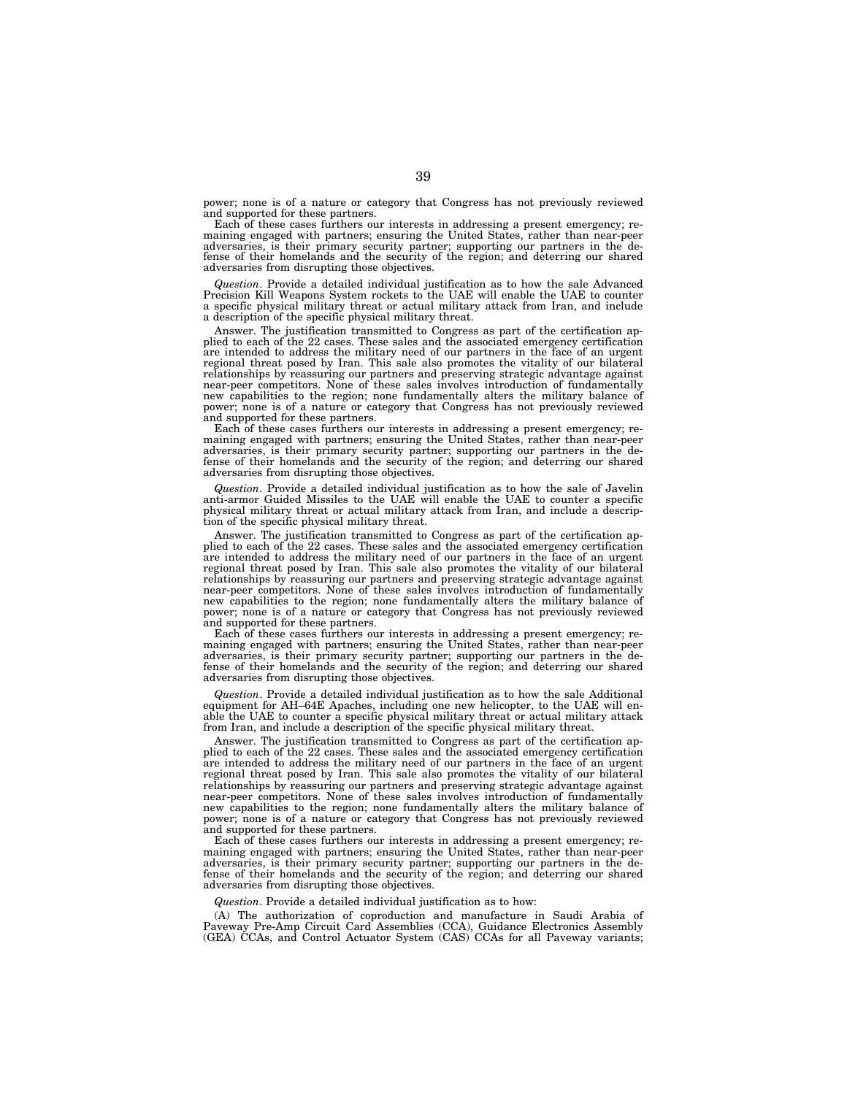power; none is of a nature or category that Congress has not previously reviewed and supported for these partners.

Each of these cases furthers our interests in addressing a present emergency; remaining engaged with partners; ensuring the United States, rather than near-peer adversaries, is their primary security partner; supporting our partners in the de-fense of their homelands and the security of the region; and deterring our shared adversaries from disrupting those objectives.

*Question*. Provide a detailed individual justification as to how the sale Advanced Precision Kill Weapons System rockets to the UAE will enable the UAE to counter a specific physical military threat or actual military attack from Iran, and include a description of the specific physical military threat.

Answer. The justification transmitted to Congress as part of the certification applied to each of the 22 cases. These sales and the associated emergency certification are intended to address the military need of our partners in the face of an urgent regional threat posed by Iran. This sale also promotes the vitality of our bilateral relationships by reassuring our partners and preserving strategic advantage against near-peer competitors. None of these sales involves introduction of fundamentally new capabilities to the region; none fundamentally alters the military balance of power; none is of a nature or category that Congress has not previously reviewed and supported for these partners.

Each of these cases furthers our interests in addressing a present emergency; remaining engaged with partners; ensuring the United States, rather than near-peer adversaries, is their primary security partner; supporting our partners in the defense of their homelands and the security of the region; and deterring our shared adversaries from disrupting those objectives.

*Question*. Provide a detailed individual justification as to how the sale of Javelin anti-armor Guided Missiles to the UAE will enable the UAE to counter a specific physical military threat or actual military attack from Iran, and include a description of the specific physical military threat.

Answer. The justification transmitted to Congress as part of the certification applied to each of the 22 cases. These sales and the associated emergency certification are intended to address the military need of our partners in the face of an urgent regional threat posed by Iran. This sale also promotes the vitality of our bilateral relationships by reassuring our partners and preserving strategic advantage against near-peer competitors. None of these sales involves introduction of fundamentally new capabilities to the region; none fundamentally alters the military balance of power; none is of a nature or category that Congress has not previously reviewed and supported for these partners.

Each of these cases furthers our interests in addressing a present emergency; remaining engaged with partners; ensuring the United States, rather than near-peer adversaries, is their primary security partner; supporting our partners in the defense of their homelands and the security of the region; and deterring our shared adversaries from disrupting those objectives.

*Question*. Provide a detailed individual justification as to how the sale Additional equipment for AH–64E Apaches, including one new helicopter, to the UAE will enable the UAE to counter a specific physical military threat or actual military attack from Iran, and include a description of the specific physical military threat.

Answer. The justification transmitted to Congress as part of the certification applied to each of the 22 cases. These sales and the associated emergency certification are intended to address the military need of our partners in the face of an urgent regional threat posed by Iran. This sale also promotes the vitality of our bilateral relationships by reassuring our partners and preserving strategic advantage against near-peer competitors. None of these sales involves introduction of fundamentally new capabilities to the region; none fundamentally alters the military balance of power; none is of a nature or category that Congress has not previously reviewed and supported for these partners.

Each of these cases furthers our interests in addressing a present emergency; remaining engaged with partners; ensuring the United States, rather than near-peer adversaries, is their primary security partner; supporting our partners in the defense of their homelands and the security of the region; and deterring our shared adversaries from disrupting those objectives.

*Question*. Provide a detailed individual justification as to how:

(A) The authorization of coproduction and manufacture in Saudi Arabia of Paveway Pre-Amp Circuit Card Assemblies (CCA), Guidance Electronics Assembly (GEA) CCAs, and Control Actuator System (CAS) CCAs for all Paveway variants;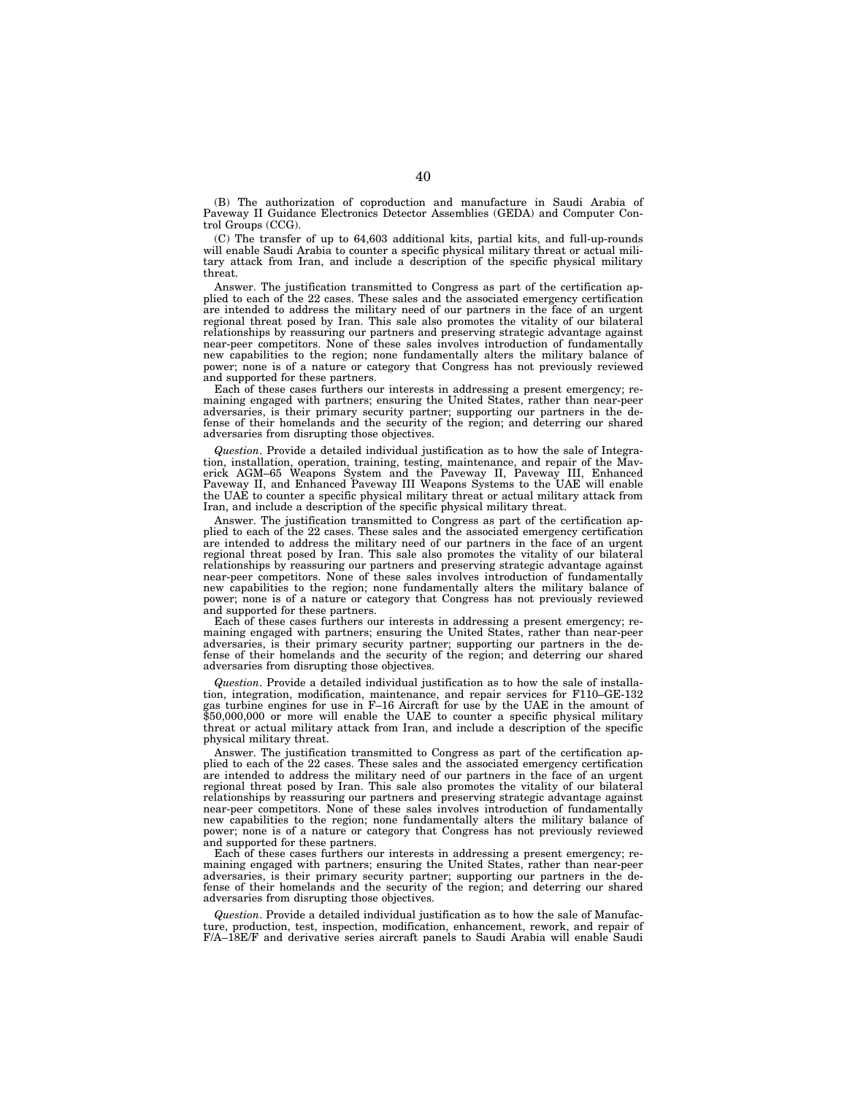(B) The authorization of coproduction and manufacture in Saudi Arabia of Paveway II Guidance Electronics Detector Assemblies (GEDA) and Computer Control Groups (CCG).

(C) The transfer of up to 64,603 additional kits, partial kits, and full-up-rounds will enable Saudi Arabia to counter a specific physical military threat or actual military attack from Iran, and include a description of the specific physical military threat.

Answer. The justification transmitted to Congress as part of the certification applied to each of the 22 cases. These sales and the associated emergency certification are intended to address the military need of our partners in the face of an urgent regional threat posed by Iran. This sale also promotes the vitality of our bilateral relationships by reassuring our partners and preserving strategic advantage against near-peer competitors. None of these sales involves introduction of fundamentally new capabilities to the region; none fundamentally alters the military balance of power; none is of a nature or category that Congress has not previously reviewed and supported for these partners.

Each of these cases furthers our interests in addressing a present emergency; remaining engaged with partners; ensuring the United States, rather than near-peer adversaries, is their primary security partner; supporting our partners in the defense of their homelands and the security of the region; and deterring our shared adversaries from disrupting those objectives.

*Question*. Provide a detailed individual justification as to how the sale of Integration, installation, operation, training, testing, maintenance, and repair of the Maverick AGM–65 Weapons System and the Paveway II, Paveway III, Enhanced Paveway II, and Enhanced Paveway III Weapons Systems to the UAE will enable the UAE to counter a specific physical military threat or actual military attack from Iran, and include a description of the specific physical military threat.

Answer. The justification transmitted to Congress as part of the certification applied to each of the 22 cases. These sales and the associated emergency certification are intended to address the military need of our partners in the face of an urgent regional threat posed by Iran. This sale also promotes the vitality of our bilateral relationships by reassuring our partners and preserving strategic advantage against near-peer competitors. None of these sales involves introduction of fundamentally new capabilities to the region; none fundamentally alters the military balance of power; none is of a nature or category that Congress has not previously reviewed and supported for these partners.

Each of these cases furthers our interests in addressing a present emergency; remaining engaged with partners; ensuring the United States, rather than near-peer adversaries, is their primary security partner; supporting our partners in the defense of their homelands and the security of the region; and deterring our shared adversaries from disrupting those objectives.

*Question*. Provide a detailed individual justification as to how the sale of installation, integration, modification, maintenance, and repair services for F110–GE-132 gas turbine engines for use in F–16 Aircraft for use by the UAE in the amount of \$50,000,000 or more will enable the UAE to counter a specific physical military threat or actual military attack from Iran, and include a description of the specific physical military threat.

Answer. The justification transmitted to Congress as part of the certification applied to each of the 22 cases. These sales and the associated emergency certification are intended to address the military need of our partners in the face of an urgent regional threat posed by Iran. This sale also promotes the vitality of our bilateral relationships by reassuring our partners and preserving strategic advantage against near-peer competitors. None of these sales involves introduction of fundamentally new capabilities to the region; none fundamentally alters the military balance of power; none is of a nature or category that Congress has not previously reviewed and supported for these partners.

Each of these cases furthers our interests in addressing a present emergency; remaining engaged with partners; ensuring the United States, rather than near-peer adversaries, is their primary security partner; supporting our partners in the defense of their homelands and the security of the region; and deterring our shared adversaries from disrupting those objectives.

*Question*. Provide a detailed individual justification as to how the sale of Manufacture, production, test, inspection, modification, enhancement, rework, and repair of F/A–18E/F and derivative series aircraft panels to Saudi Arabia will enable Saudi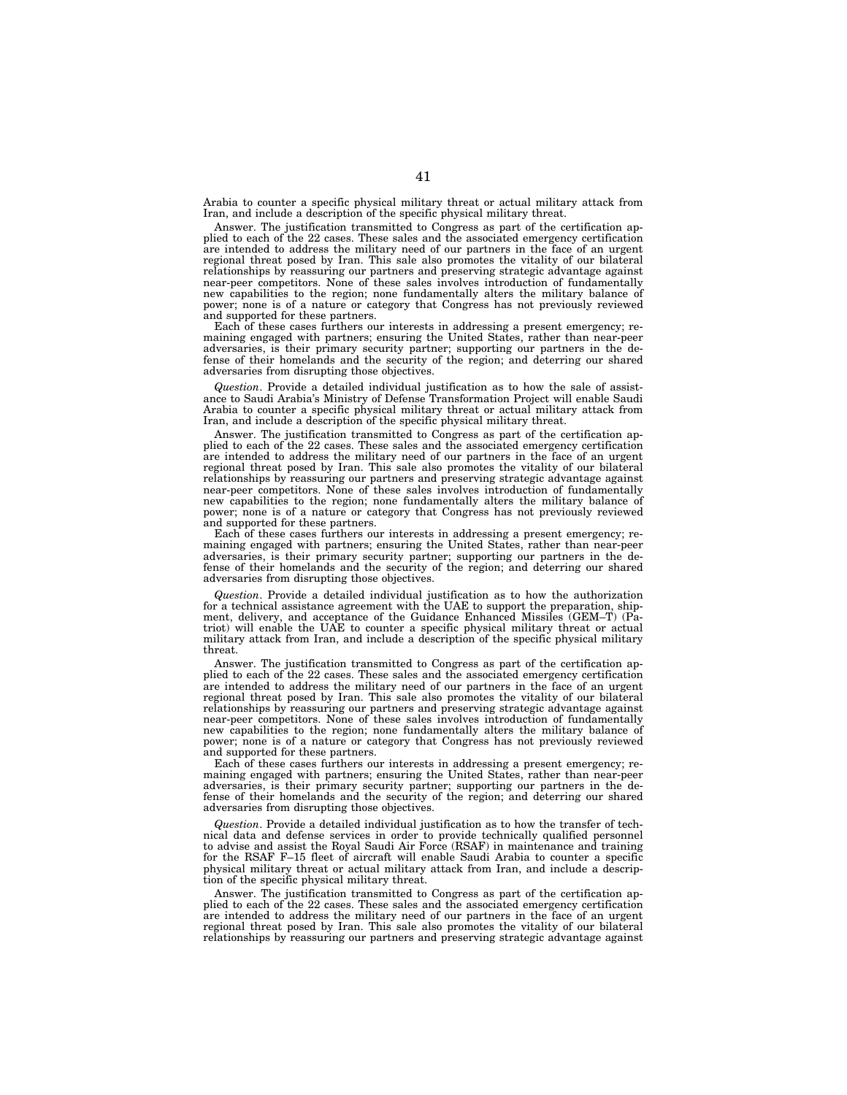Arabia to counter a specific physical military threat or actual military attack from Iran, and include a description of the specific physical military threat.

Answer. The justification transmitted to Congress as part of the certification applied to each of the 22 cases. These sales and the associated emergency certification are intended to address the military need of our partners in the face of an urgent regional threat posed by Iran. This sale also promotes the vitality of our bilateral relationships by reassuring our partners and preserving strategic advantage against near-peer competitors. None of these sales involves introduction of fundamentally new capabilities to the region; none fundamentally alters the military balance of power; none is of a nature or category that Congress has not previously reviewed and supported for these partners.

Each of these cases furthers our interests in addressing a present emergency; remaining engaged with partners; ensuring the United States, rather than near-peer adversaries, is their primary security partner; supporting our partners in the defense of their homelands and the security of the region; and deterring our shared adversaries from disrupting those objectives.

*Question*. Provide a detailed individual justification as to how the sale of assistance to Saudi Arabia's Ministry of Defense Transformation Project will enable Saudi Arabia to counter a specific physical military threat or actual military attack from Iran, and include a description of the specific physical military threat.

Answer. The justification transmitted to Congress as part of the certification applied to each of the 22 cases. These sales and the associated emergency certification are intended to address the military need of our partners in the face of an urgent regional threat posed by Iran. This sale also promotes the vitality of our bilateral relationships by reassuring our partners and preserving strategic advantage against near-peer competitors. None of these sales involves introduction of fundamentally new capabilities to the region; none fundamentally alters the military balance of power; none is of a nature or category that Congress has not previously reviewed and supported for these partners.

Each of these cases furthers our interests in addressing a present emergency; remaining engaged with partners; ensuring the United States, rather than near-peer adversaries, is their primary security partner; supporting our partners in the defense of their homelands and the security of the region; and deterring our shared adversaries from disrupting those objectives.

*Question*. Provide a detailed individual justification as to how the authorization for a technical assistance agreement with the UAE to support the preparation, shipment, delivery, and acceptance of the Guidance Enhanced Missiles (GEM–T) (Patriot) will enable the UAE to counter a specific physical military threat or actual military attack from Iran, and include a description of the specific physical military threat.

Answer. The justification transmitted to Congress as part of the certification applied to each of the 22 cases. These sales and the associated emergency certification are intended to address the military need of our partners in the face of an urgent regional threat posed by Iran. This sale also promotes the vitality of our bilateral relationships by reassuring our partners and preserving strategic advantage against near-peer competitors. None of these sales involves introduction of fundamentally new capabilities to the region; none fundamentally alters the military balance of power; none is of a nature or category that Congress has not previously reviewed and supported for these partners.

Each of these cases furthers our interests in addressing a present emergency; remaining engaged with partners; ensuring the United States, rather than near-peer adversaries, is their primary security partner; supporting our partners in the defense of their homelands and the security of the region; and deterring our shared adversaries from disrupting those objectives.

*Question*. Provide a detailed individual justification as to how the transfer of technical data and defense services in order to provide technically qualified personnel to advise and assist the Royal Saudi Air Force (RSAF) in maintenance and training for the RSAF F–15 fleet of aircraft will enable Saudi Arabia to counter a specific physical military threat or actual military attack from Iran, and include a description of the specific physical military threat.

Answer. The justification transmitted to Congress as part of the certification applied to each of the 22 cases. These sales and the associated emergency certification are intended to address the military need of our partners in the face of an urgent regional threat posed by Iran. This sale also promotes the vitality of our bilateral relationships by reassuring our partners and preserving strategic advantage against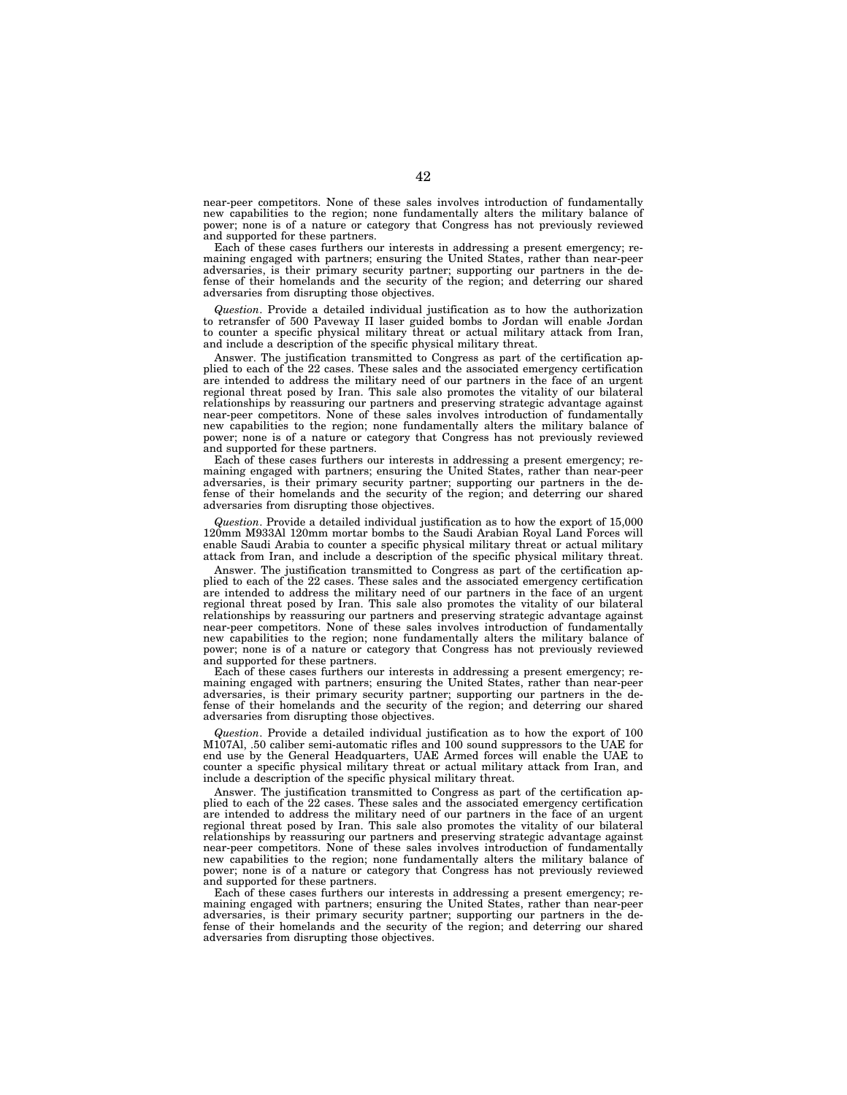near-peer competitors. None of these sales involves introduction of fundamentally new capabilities to the region; none fundamentally alters the military balance of power; none is of a nature or category that Congress has not previously reviewed and supported for these partners.

Each of these cases furthers our interests in addressing a present emergency; remaining engaged with partners; ensuring the United States, rather than near-peer adversaries, is their primary security partner; supporting our partners in the defense of their homelands and the security of the region; and deterring our shared adversaries from disrupting those objectives.

*Question*. Provide a detailed individual justification as to how the authorization to retransfer of 500 Paveway II laser guided bombs to Jordan will enable Jordan to counter a specific physical military threat or actual military attack from Iran, and include a description of the specific physical military threat.

Answer. The justification transmitted to Congress as part of the certification applied to each of the 22 cases. These sales and the associated emergency certification are intended to address the military need of our partners in the face of an urgent regional threat posed by Iran. This sale also promotes the vitality of our bilateral relationships by reassuring our partners and preserving strategic advantage against near-peer competitors. None of these sales involves introduction of fundamentally new capabilities to the region; none fundamentally alters the military balance of power; none is of a nature or category that Congress has not previously reviewed and supported for these partners.

Each of these cases furthers our interests in addressing a present emergency; remaining engaged with partners; ensuring the United States, rather than near-peer adversaries, is their primary security partner; supporting our partners in the defense of their homelands and the security of the region; and deterring our shared adversaries from disrupting those objectives.

*Question*. Provide a detailed individual justification as to how the export of 15,000 120mm M933Al 120mm mortar bombs to the Saudi Arabian Royal Land Forces will enable Saudi Arabia to counter a specific physical military threat or actual military attack from Iran, and include a description of the specific physical military threat.

Answer. The justification transmitted to Congress as part of the certification applied to each of the 22 cases. These sales and the associated emergency certification are intended to address the military need of our partners in the face of an urgent regional threat posed by Iran. This sale also promotes the vitality of our bilateral relationships by reassuring our partners and preserving strategic advantage against near-peer competitors. None of these sales involves introduction of fundamentally new capabilities to the region; none fundamentally alters the military balance of power; none is of a nature or category that Congress has not previously reviewed and supported for these partners.

Each of these cases furthers our interests in addressing a present emergency; remaining engaged with partners; ensuring the United States, rather than near-peer adversaries, is their primary security partner; supporting our partners in the defense of their homelands and the security of the region; and deterring our shared adversaries from disrupting those objectives.

*Question*. Provide a detailed individual justification as to how the export of 100 M107Al, .50 caliber semi-automatic rifles and 100 sound suppressors to the UAE for end use by the General Headquarters, UAE Armed forces will enable the UAE to counter a specific physical military threat or actual military attack from Iran, and include a description of the specific physical military threat.

Answer. The justification transmitted to Congress as part of the certification applied to each of the 22 cases. These sales and the associated emergency certification are intended to address the military need of our partners in the face of an urgent regional threat posed by Iran. This sale also promotes the vitality of our bilateral relationships by reassuring our partners and preserving strategic advantage against near-peer competitors. None of these sales involves introduction of fundamentally new capabilities to the region; none fundamentally alters the military balance of power; none is of a nature or category that Congress has not previously reviewed and supported for these partners.

Each of these cases furthers our interests in addressing a present emergency; remaining engaged with partners; ensuring the United States, rather than near-peer adversaries, is their primary security partner; supporting our partners in the defense of their homelands and the security of the region; and deterring our shared adversaries from disrupting those objectives.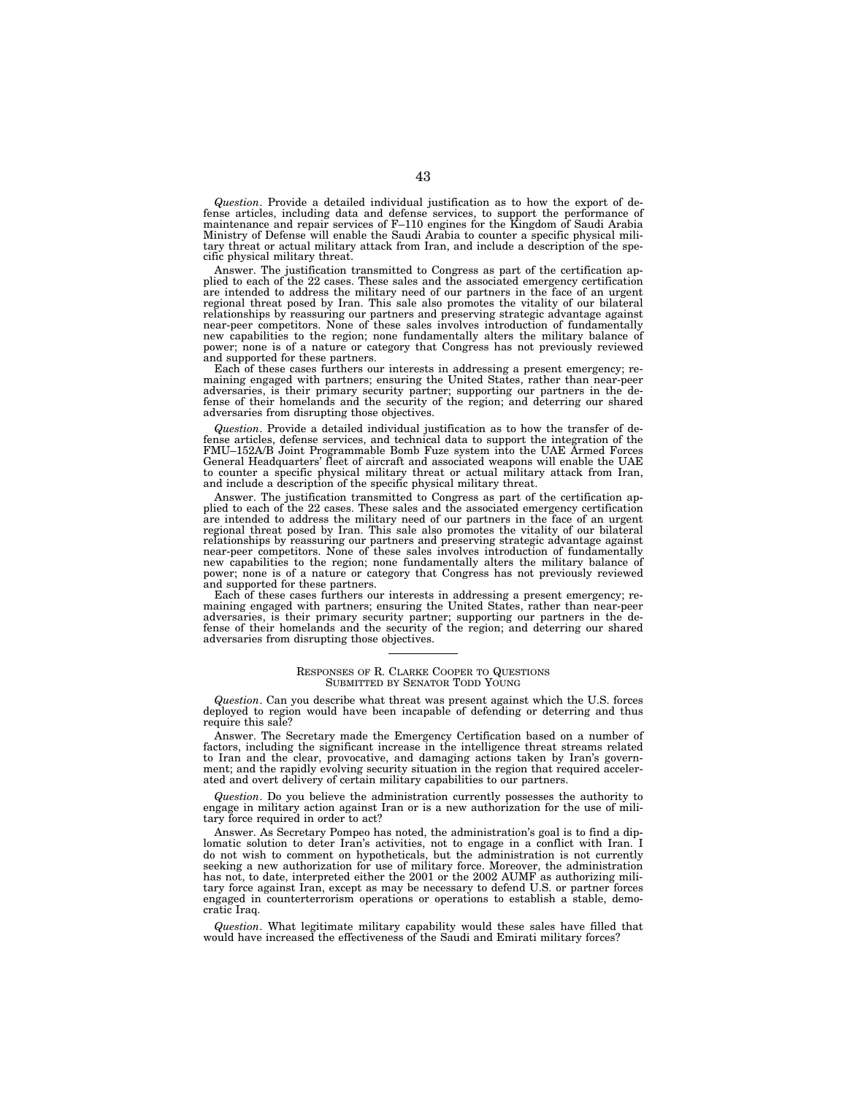*Question*. Provide a detailed individual justification as to how the export of defense articles, including data and defense services, to support the performance of maintenance and repair services of F–110 engines for the Kingdom of Saudi Arabia Ministry of Defense will enable the Saudi Arabia to counter a specific physical military threat or actual military attack from Iran, and include a description of the specific physical military threat.

Answer. The justification transmitted to Congress as part of the certification ap-plied to each of the 22 cases. These sales and the associated emergency certification are intended to address the military need of our partners in the face of an urgent regional threat posed by Iran. This sale also promotes the vitality of our bilateral relationships by reassuring our partners and preserving strategic advantage against near-peer competitors. None of these sales involves introduction of fundamentally new capabilities to the region; none fundamentally alters the military balance of power; none is of a nature or category that Congress has not previously reviewed and supported for these partners.

Each of these cases furthers our interests in addressing a present emergency; remaining engaged with partners; ensuring the United States, rather than near-peer adversaries, is their primary security partner; supporting our partners in the defense of their homelands and the security of the region; and deterring our shared adversaries from disrupting those objectives.

*Question*. Provide a detailed individual justification as to how the transfer of defense articles, defense services, and technical data to support the integration of the FMU–152A/B Joint Programmable Bomb Fuze system into the UAE Armed Forces General Headquarters' fleet of aircraft and associated weapons will enable the UAE to counter a specific physical military threat or actual military attack from Iran, and include a description of the specific physical military threat.

Answer. The justification transmitted to Congress as part of the certification applied to each of the 22 cases. These sales and the associated emergency certification are intended to address the military need of our partners in the face of an urgent regional threat posed by Iran. This sale also promotes the vitality of our bilateral relationships by reassuring our partners and preserving strategic advantage against<br>near-peer competitors. None of these sales involves introduction of fundamentally<br>new capabilities to the region; none fundamentally alter power; none is of a nature or category that Congress has not previously reviewed and supported for these partners.

Each of these cases furthers our interests in addressing a present emergency; remaining engaged with partners; ensuring the United States, rather than near-peer adversaries, is their primary security partner; supporting our partners in the defense of their homelands and the security of the region; and deterring our shared adversaries from disrupting those objectives.

#### RESPONSES OF R. CLARKE COOPER TO QUESTIONS SUBMITTED BY SENATOR TODD YOUNG

*Question*. Can you describe what threat was present against which the U.S. forces deployed to region would have been incapable of defending or deterring and thus require this sale?

Answer. The Secretary made the Emergency Certification based on a number of factors, including the significant increase in the intelligence threat streams related to Iran and the clear, provocative, and damaging actions taken by Iran's government; and the rapidly evolving security situation in the region that required accelerated and overt delivery of certain military capabilities to our partners.

*Question*. Do you believe the administration currently possesses the authority to engage in military action against Iran or is a new authorization for the use of military force required in order to act?

Answer. As Secretary Pompeo has noted, the administration's goal is to find a diplomatic solution to deter Iran's activities, not to engage in a conflict with Iran. I do not wish to comment on hypotheticals, but the administration is not currently seeking a new authorization for use of military force. Moreover, the administration has not, to date, interpreted either the 2001 or the 2002 AUMF as authorizing military force against Iran, except as may be necessary to defend U.S. or partner forces engaged in counterterrorism operations or operations to establish a stable, democratic Iraq.

*Question*. What legitimate military capability would these sales have filled that would have increased the effectiveness of the Saudi and Emirati military forces?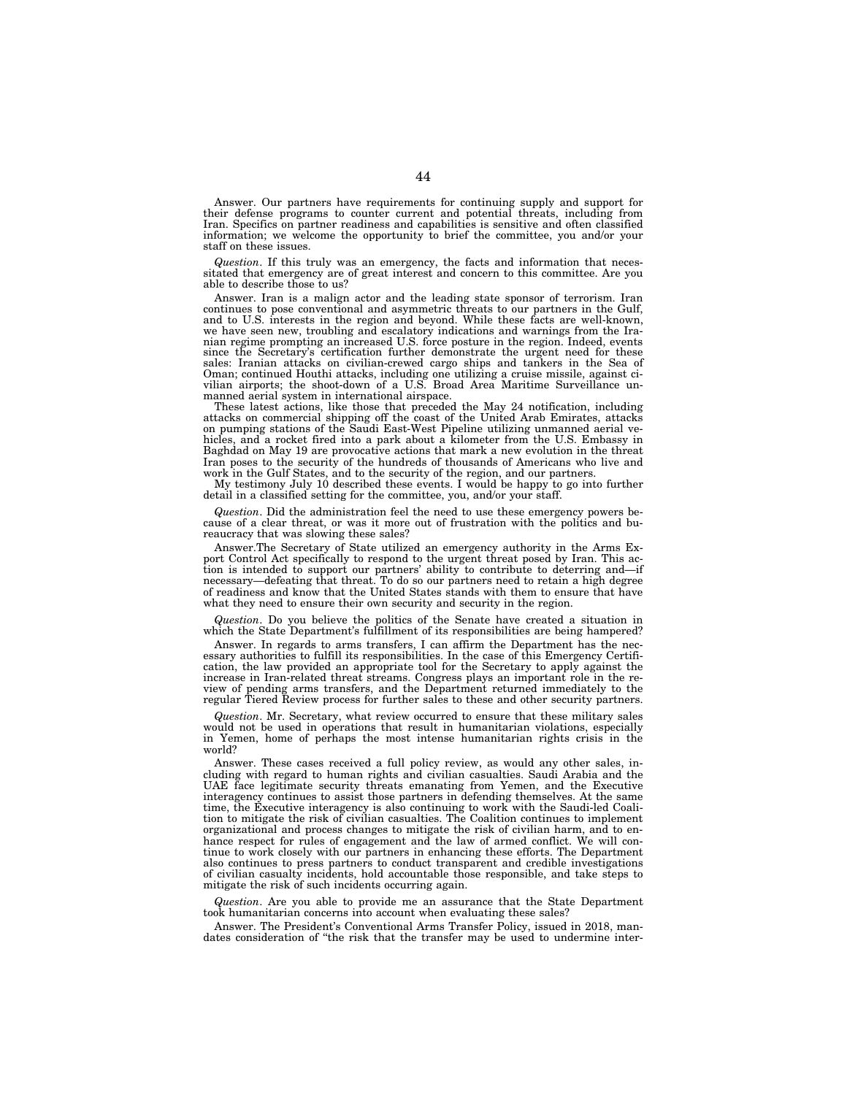Answer. Our partners have requirements for continuing supply and support for their defense programs to counter current and potential threats, including from Iran. Specifics on partner readiness and capabilities is sensitive and often classified information; we welcome the opportunity to brief the committee, you and/or your staff on these issues.

*Question*. If this truly was an emergency, the facts and information that necessitated that emergency are of great interest and concern to this committee. Are you able to describe those to us?

Answer. Iran is a malign actor and the leading state sponsor of terrorism. Iran continues to pose conventional and asymmetric threats to our partners in the Gulf, and to U.S. interests in the region and beyond. While these facts are well-known, we have seen new, troubling and escalatory indications and warnings from the Iranian regime prompting an increased U.S. force posture in the region. Indeed, events since the Secretary's certification further demonstrate the urgent need for these sales: Iranian attacks on civilian-crewed cargo ships and tankers in the Sea of Oman; continued Houthi attacks, including one utilizing a cruise missile, against ci-vilian airports; the shoot-down of a U.S. Broad Area Maritime Surveillance unmanned aerial system in international airspace.

These latest actions, like those that preceded the May 24 notification, including attacks on commercial shipping off the coast of the United Arab Emirates, attacks on pumping stations of the Saudi East-West Pipeline utilizing unmanned aerial vehicles, and a rocket fired into a park about a kilometer from the U.S. Embassy in Baghdad on May 19 are provocative actions that mark a new evolution in the threat Iran poses to the security of the hundreds of thousands of Americans who live and work in the Gulf States, and to the security of the region, and our partners.

My testimony July 10 described these events. I would be happy to go into further detail in a classified setting for the committee, you, and/or your staff.

*Question*. Did the administration feel the need to use these emergency powers because of a clear threat, or was it more out of frustration with the politics and bureaucracy that was slowing these sales?

Answer.The Secretary of State utilized an emergency authority in the Arms Export Control Act specifically to respond to the urgent threat posed by Iran. This action is intended to support our partners' ability to contribute to deterring and—if necessary—defeating that threat. To do so our partners need to retain a high degree of readiness and know that the United States stands with them to ensure that have what they need to ensure their own security and security in the region.

*Question*. Do you believe the politics of the Senate have created a situation in which the State Department's fulfillment of its responsibilities are being hampered?

Answer. In regards to arms transfers, I can affirm the Department has the necessary authorities to fulfill its responsibilities. In the case of this Emergency Certification, the law provided an appropriate tool for the Secretary to apply against the increase in Iran-related threat streams. Congress plays an important role in the review of pending arms transfers, and the Department returned immediately to the regular Tiered Review process for further sales to these and other security partners.

*Question*. Mr. Secretary, what review occurred to ensure that these military sales would not be used in operations that result in humanitarian violations, especially in Yemen, home of perhaps the most intense humanitarian rights crisis in the world?

Answer. These cases received a full policy review, as would any other sales, including with regard to human rights and civilian casualties. Saudi Arabia and the UAE face legitimate security threats emanating from Yemen, and the Executive interagency continues to assist those partners in defending themselves. At the same time, the Executive interagency is also continuing to work with the Saudi-led Coalition to mitigate the risk of civilian casualties. The Coalition continues to implement organizational and process changes to mitigate the risk of civilian harm, and to enhance respect for rules of engagement and the law of armed conflict. We will continue to work closely with our partners in enhancing these efforts. The Department also continues to press partners to conduct transparent and credible investigations of civilian casualty incidents, hold accountable those responsible, and take steps to mitigate the risk of such incidents occurring again.

*Question*. Are you able to provide me an assurance that the State Department took humanitarian concerns into account when evaluating these sales?

Answer. The President's Conventional Arms Transfer Policy, issued in 2018, mandates consideration of ''the risk that the transfer may be used to undermine inter